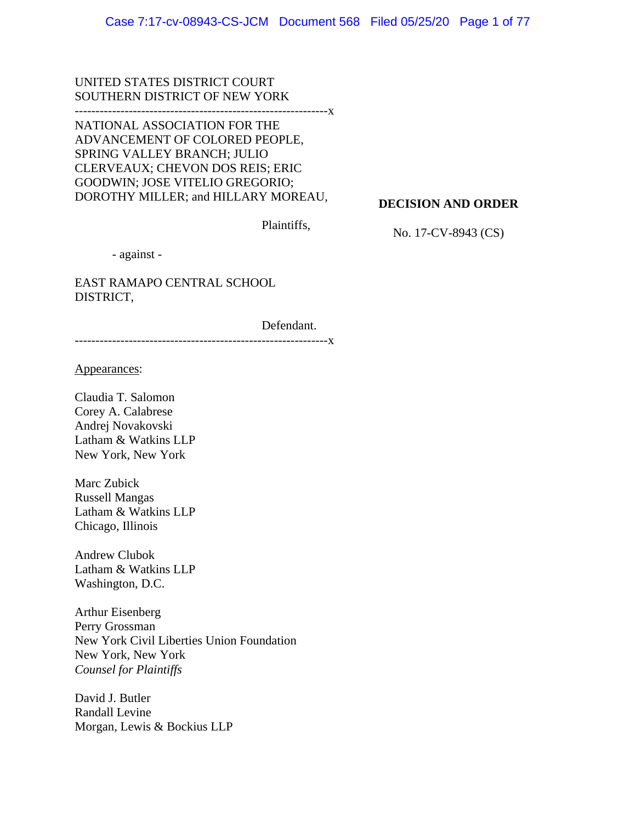UNITED STATES DISTRICT COURT SOUTHERN DISTRICT OF NEW YORK

-------------------------------------------------------------x

NATIONAL ASSOCIATION FOR THE ADVANCEMENT OF COLORED PEOPLE, SPRING VALLEY BRANCH; JULIO CLERVEAUX; CHEVON DOS REIS; ERIC GOODWIN; JOSE VITELIO GREGORIO; DOROTHY MILLER; and HILLARY MOREAU,

**DECISION AND ORDER** 

Plaintiffs,

No. 17-CV-8943 (CS)

- against -

EAST RAMAPO CENTRAL SCHOOL DISTRICT,

Defendant.

-------------------------------------------------------------x

Appearances:

Claudia T. Salomon Corey A. Calabrese Andrej Novakovski Latham & Watkins LLP New York, New York

Marc Zubick Russell Mangas Latham & Watkins LLP Chicago, Illinois

Andrew Clubok Latham & Watkins LLP Washington, D.C.

Arthur Eisenberg Perry Grossman New York Civil Liberties Union Foundation New York, New York *Counsel for Plaintiffs* 

David J. Butler Randall Levine Morgan, Lewis & Bockius LLP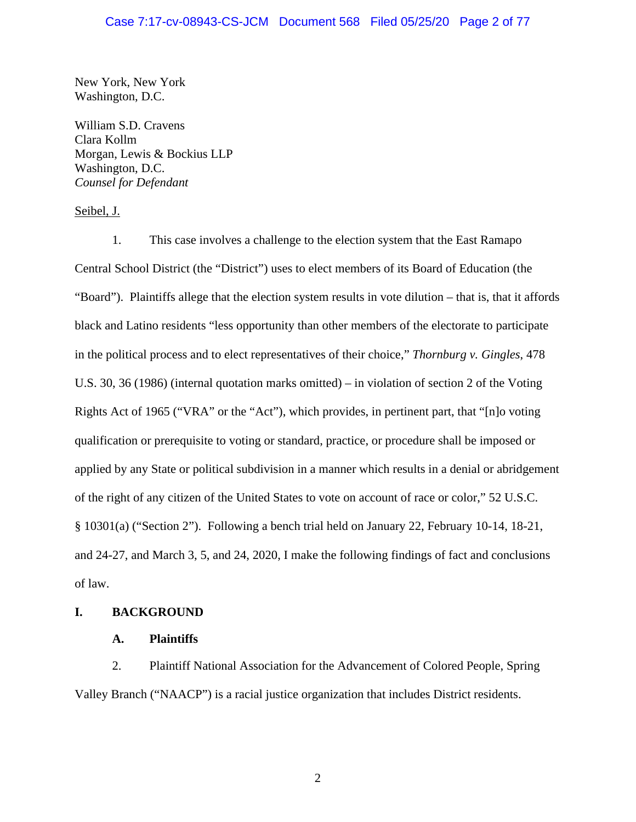# Case 7:17-cv-08943-CS-JCM Document 568 Filed 05/25/20 Page 2 of 77

New York, New York Washington, D.C.

William S.D. Cravens Clara Kollm Morgan, Lewis & Bockius LLP Washington, D.C. *Counsel for Defendant* 

Seibel, J.

1. This case involves a challenge to the election system that the East Ramapo Central School District (the "District") uses to elect members of its Board of Education (the "Board"). Plaintiffs allege that the election system results in vote dilution – that is, that it affords black and Latino residents "less opportunity than other members of the electorate to participate in the political process and to elect representatives of their choice," *Thornburg v. Gingles*, 478 U.S. 30, 36 (1986) (internal quotation marks omitted) – in violation of section 2 of the Voting Rights Act of 1965 ("VRA" or the "Act"), which provides, in pertinent part, that "[n]o voting qualification or prerequisite to voting or standard, practice, or procedure shall be imposed or applied by any State or political subdivision in a manner which results in a denial or abridgement of the right of any citizen of the United States to vote on account of race or color," 52 U.S.C. § 10301(a) ("Section 2"). Following a bench trial held on January 22, February 10-14, 18-21, and 24-27, and March 3, 5, and 24, 2020, I make the following findings of fact and conclusions of law.

# **I. BACKGROUND**

# **A. Plaintiffs**

2. Plaintiff National Association for the Advancement of Colored People, Spring Valley Branch ("NAACP") is a racial justice organization that includes District residents.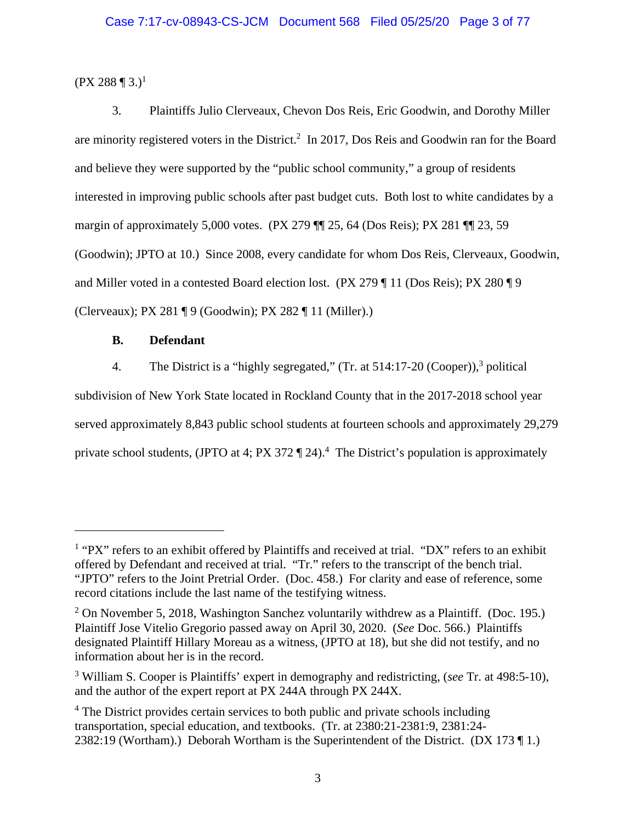$(PX 288 \text{ } \P \text{ } 3.)^1$ 

3. Plaintiffs Julio Clerveaux, Chevon Dos Reis, Eric Goodwin, and Dorothy Miller are minority registered voters in the District.<sup>2</sup> In 2017, Dos Reis and Goodwin ran for the Board and believe they were supported by the "public school community," a group of residents interested in improving public schools after past budget cuts. Both lost to white candidates by a margin of approximately 5,000 votes. (PX 279 ¶¶ 25, 64 (Dos Reis); PX 281 ¶¶ 23, 59 (Goodwin); JPTO at 10.) Since 2008, every candidate for whom Dos Reis, Clerveaux, Goodwin, and Miller voted in a contested Board election lost. (PX 279 ¶ 11 (Dos Reis); PX 280 ¶ 9 (Clerveaux); PX 281 ¶ 9 (Goodwin); PX 282 ¶ 11 (Miller).)

# **B. Defendant**

4. The District is a "highly segregated," (Tr. at  $514:17-20$  (Cooper)),<sup>3</sup> political subdivision of New York State located in Rockland County that in the 2017-2018 school year served approximately 8,843 public school students at fourteen schools and approximately 29,279 private school students, (JPTO at 4; PX 372  $\P$  24).<sup>4</sup> The District's population is approximately

<sup>&</sup>lt;sup>1</sup> "PX" refers to an exhibit offered by Plaintiffs and received at trial. "DX" refers to an exhibit offered by Defendant and received at trial. "Tr." refers to the transcript of the bench trial. "JPTO" refers to the Joint Pretrial Order. (Doc. 458.) For clarity and ease of reference, some record citations include the last name of the testifying witness.

 $2$  On November 5, 2018, Washington Sanchez voluntarily withdrew as a Plaintiff. (Doc. 195.) Plaintiff Jose Vitelio Gregorio passed away on April 30, 2020. (*See* Doc. 566.) Plaintiffs designated Plaintiff Hillary Moreau as a witness, (JPTO at 18), but she did not testify, and no information about her is in the record.

<sup>3</sup> William S. Cooper is Plaintiffs' expert in demography and redistricting, (*see* Tr. at 498:5-10), and the author of the expert report at PX 244A through PX 244X.

<sup>&</sup>lt;sup>4</sup> The District provides certain services to both public and private schools including transportation, special education, and textbooks. (Tr. at 2380:21-2381:9, 2381:24- 2382:19 (Wortham).) Deborah Wortham is the Superintendent of the District. (DX 173 ¶ 1.)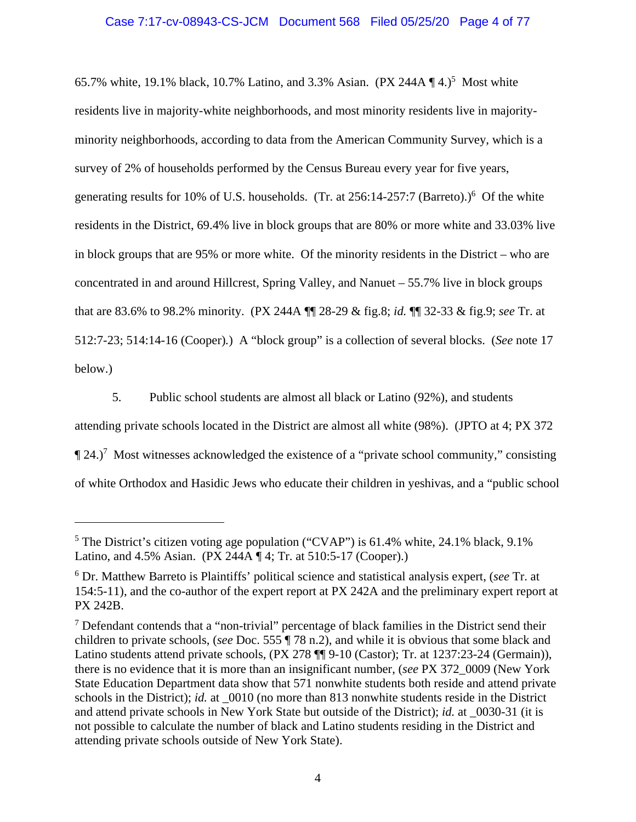# Case 7:17-cv-08943-CS-JCM Document 568 Filed 05/25/20 Page 4 of 77

65.7% white, 19.1% black, 10.7% Latino, and 3.3% Asian.  $(PX 244A \P 4.)^5$  Most white residents live in majority-white neighborhoods, and most minority residents live in majorityminority neighborhoods, according to data from the American Community Survey, which is a survey of 2% of households performed by the Census Bureau every year for five years, generating results for 10% of U.S. households. (Tr. at  $256:14-257:7$  (Barreto).)<sup>6</sup> Of the white residents in the District, 69.4% live in block groups that are 80% or more white and 33.03% live in block groups that are 95% or more white. Of the minority residents in the District – who are concentrated in and around Hillcrest, Spring Valley, and Nanuet – 55.7% live in block groups that are 83.6% to 98.2% minority. (PX 244A ¶¶ 28-29 & fig.8; *id.* ¶¶ 32-33 & fig.9; *see* Tr. at 512:7-23; 514:14-16 (Cooper)*.*) A "block group" is a collection of several blocks. (*See* note 17 below.)

5. Public school students are almost all black or Latino (92%), and students attending private schools located in the District are almost all white (98%). (JPTO at 4; PX 372  $\P$  24.)<sup>7</sup> Most witnesses acknowledged the existence of a "private school community," consisting of white Orthodox and Hasidic Jews who educate their children in yeshivas, and a "public school

<sup>&</sup>lt;sup>5</sup> The District's citizen voting age population ("CVAP") is  $61.4\%$  white, 24.1% black, 9.1% Latino, and 4.5% Asian. (PX 244A ¶ 4; Tr. at 510:5-17 (Cooper).)

<sup>6</sup> Dr. Matthew Barreto is Plaintiffs' political science and statistical analysis expert, (*see* Tr. at 154:5-11), and the co-author of the expert report at PX 242A and the preliminary expert report at PX 242B.

 $<sup>7</sup>$  Defendant contends that a "non-trivial" percentage of black families in the District send their</sup> children to private schools, (*see* Doc. 555 ¶ 78 n.2), and while it is obvious that some black and Latino students attend private schools, (PX 278 ¶¶ 9-10 (Castor); Tr. at 1237:23-24 (Germain)), there is no evidence that it is more than an insignificant number, (*see* PX 372\_0009 (New York State Education Department data show that 571 nonwhite students both reside and attend private schools in the District); *id.* at 0010 (no more than 813 nonwhite students reside in the District and attend private schools in New York State but outside of the District); *id.* at \_0030-31 (it is not possible to calculate the number of black and Latino students residing in the District and attending private schools outside of New York State).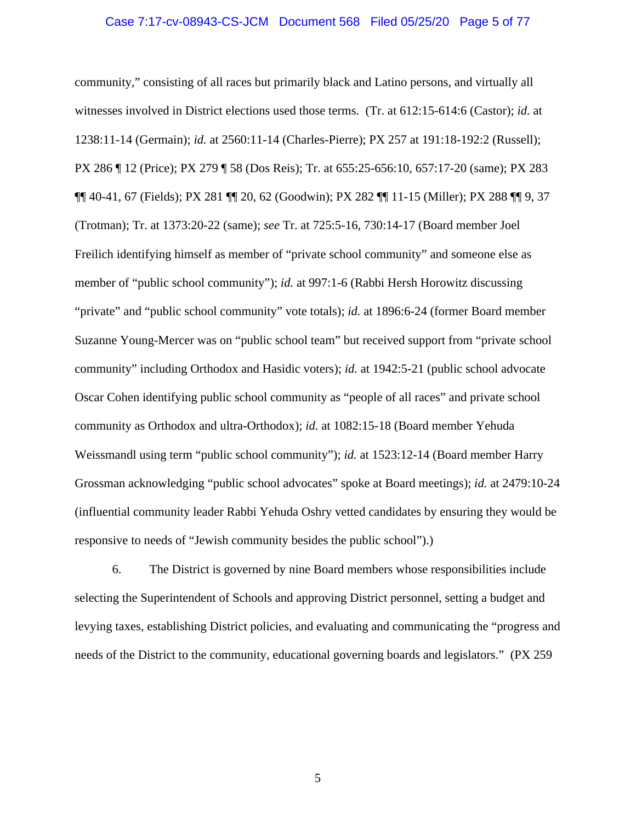#### Case 7:17-cv-08943-CS-JCM Document 568 Filed 05/25/20 Page 5 of 77

community," consisting of all races but primarily black and Latino persons, and virtually all witnesses involved in District elections used those terms. (Tr. at 612:15-614:6 (Castor); *id.* at 1238:11-14 (Germain); *id.* at 2560:11-14 (Charles-Pierre); PX 257 at 191:18-192:2 (Russell); PX 286 ¶ 12 (Price); PX 279 ¶ 58 (Dos Reis); Tr. at 655:25-656:10, 657:17-20 (same); PX 283 ¶¶ 40-41, 67 (Fields); PX 281 ¶¶ 20, 62 (Goodwin); PX 282 ¶¶ 11-15 (Miller); PX 288 ¶¶ 9, 37 (Trotman); Tr. at 1373:20-22 (same); *see* Tr. at 725:5-16, 730:14-17 (Board member Joel Freilich identifying himself as member of "private school community" and someone else as member of "public school community"); *id.* at 997:1-6 (Rabbi Hersh Horowitz discussing "private" and "public school community" vote totals); *id.* at 1896:6-24 (former Board member Suzanne Young-Mercer was on "public school team" but received support from "private school community" including Orthodox and Hasidic voters); *id.* at 1942:5-21 (public school advocate Oscar Cohen identifying public school community as "people of all races" and private school community as Orthodox and ultra-Orthodox); *id.* at 1082:15-18 (Board member Yehuda Weissmandl using term "public school community"); *id.* at 1523:12-14 (Board member Harry Grossman acknowledging "public school advocates" spoke at Board meetings); *id.* at 2479:10-24 (influential community leader Rabbi Yehuda Oshry vetted candidates by ensuring they would be responsive to needs of "Jewish community besides the public school").)

6. The District is governed by nine Board members whose responsibilities include selecting the Superintendent of Schools and approving District personnel, setting a budget and levying taxes, establishing District policies, and evaluating and communicating the "progress and needs of the District to the community, educational governing boards and legislators." (PX 259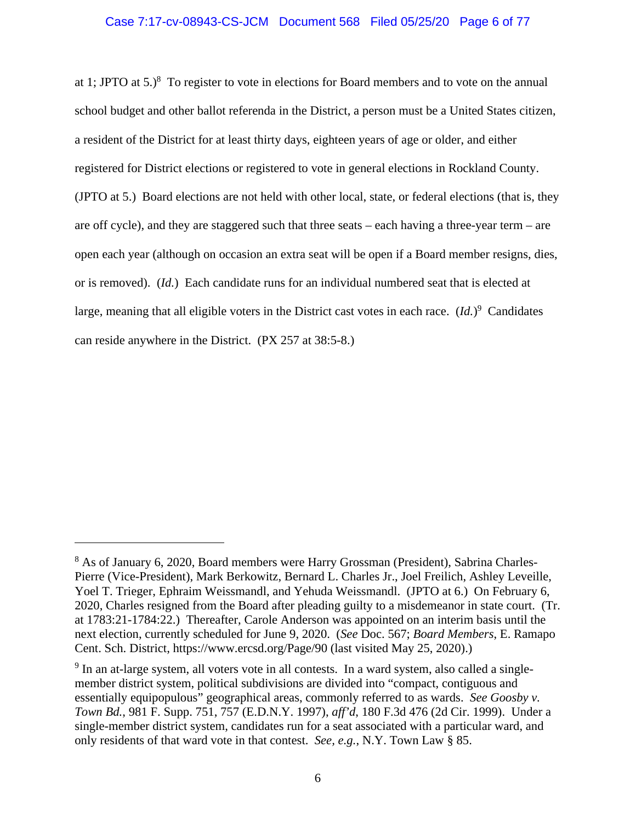### Case 7:17-cv-08943-CS-JCM Document 568 Filed 05/25/20 Page 6 of 77

at 1; JPTO at  $5.$ <sup>8</sup> To register to vote in elections for Board members and to vote on the annual school budget and other ballot referenda in the District, a person must be a United States citizen, a resident of the District for at least thirty days, eighteen years of age or older, and either registered for District elections or registered to vote in general elections in Rockland County. (JPTO at 5.) Board elections are not held with other local, state, or federal elections (that is, they are off cycle), and they are staggered such that three seats – each having a three-year term – are open each year (although on occasion an extra seat will be open if a Board member resigns, dies, or is removed). (*Id.*) Each candidate runs for an individual numbered seat that is elected at large, meaning that all eligible voters in the District cast votes in each race. (*Id.*)<sup>9</sup> Candidates can reside anywhere in the District. (PX 257 at 38:5-8.)

<sup>&</sup>lt;sup>8</sup> As of January 6, 2020, Board members were Harry Grossman (President), Sabrina Charles-Pierre (Vice-President), Mark Berkowitz, Bernard L. Charles Jr., Joel Freilich, Ashley Leveille, Yoel T. Trieger, Ephraim Weissmandl, and Yehuda Weissmandl. (JPTO at 6.) On February 6, 2020, Charles resigned from the Board after pleading guilty to a misdemeanor in state court. (Tr. at 1783:21-1784:22.) Thereafter, Carole Anderson was appointed on an interim basis until the next election, currently scheduled for June 9, 2020. (*See* Doc. 567; *Board Members*, E. Ramapo Cent. Sch. District, https://www.ercsd.org/Page/90 (last visited May 25, 2020).)

<sup>&</sup>lt;sup>9</sup> In an at-large system, all voters vote in all contests. In a ward system, also called a singlemember district system, political subdivisions are divided into "compact, contiguous and essentially equipopulous" geographical areas, commonly referred to as wards. *See Goosby v. Town Bd.*, 981 F. Supp. 751, 757 (E.D.N.Y. 1997), *aff'd*, 180 F.3d 476 (2d Cir. 1999). Under a single-member district system, candidates run for a seat associated with a particular ward, and only residents of that ward vote in that contest. *See, e.g.*, N.Y. Town Law § 85.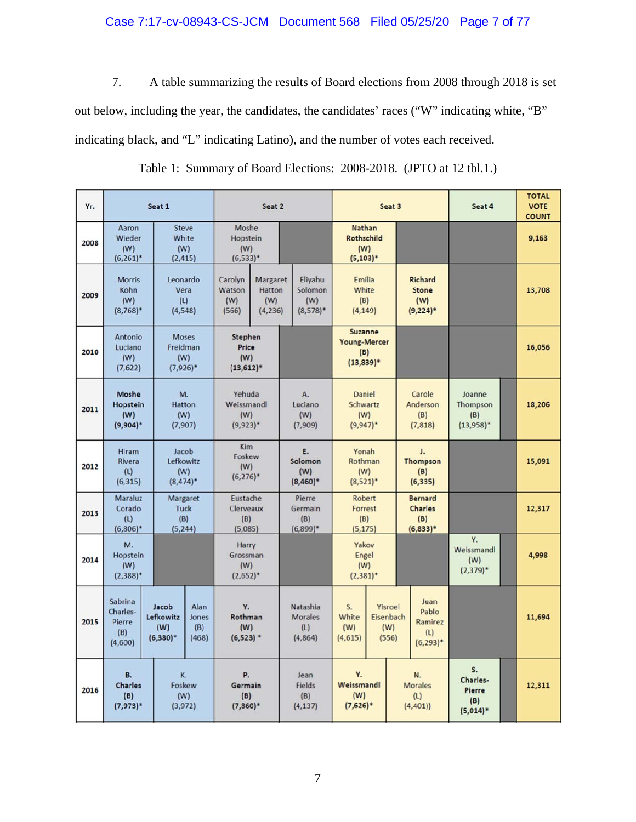# Case 7:17-cv-08943-CS-JCM Document 568 Filed 05/25/20 Page 7 of 77

7. A table summarizing the results of Board elections from 2008 through 2018 is set out below, including the year, the candidates, the candidates' races ("W" indicating white, "B" indicating black, and "L" indicating Latino), and the number of votes each received.

| Yr.  | Seat 1                                                                      |                                                                           | Seat 2                             |                                            |                                       |                                              | Seat 3                                 |                                                                        |                                        |  | Seat 4                                                | <b>TOTAL</b><br><b>VOTE</b><br><b>COUNT</b> |        |        |
|------|-----------------------------------------------------------------------------|---------------------------------------------------------------------------|------------------------------------|--------------------------------------------|---------------------------------------|----------------------------------------------|----------------------------------------|------------------------------------------------------------------------|----------------------------------------|--|-------------------------------------------------------|---------------------------------------------|--------|--------|
| 2008 | Aaron<br>Wieder<br>(W)<br>$(6,261)^*$                                       | <b>Steve</b><br>White<br>(W)<br>(2, 415)                                  |                                    | Moshe<br>Hopstein<br>(W)<br>$(6,533)^*$    |                                       |                                              |                                        | Nathan<br><b>Rothschild</b><br>(W)<br>$(5, 103)^*$                     |                                        |  |                                                       |                                             |        | 9,163  |
| 2009 | <b>Morris</b><br>Kohn<br>(W)<br>$(8,768)^*$                                 | Leonardo<br>Vera<br>(L)<br>(4, 548)                                       |                                    | Carolyn<br>Watson<br>(W)<br>(566)          | Margaret<br>Hatton<br>(W)<br>(4, 236) | Eliyahu<br>Solomon<br>(W)<br>$(8,578)$ *     |                                        | Emilia<br>White<br>(B)<br>(4, 149)                                     |                                        |  | Richard<br><b>Stone</b><br>(W)<br>$(9,224)^*$         |                                             |        | 13,708 |
| 2010 | Antonio<br>Luciano<br>(W)<br>(7,622)                                        | <b>Moses</b><br>Freidman<br>(W)<br>$(7,926)$ *                            |                                    | Stephen<br>Price<br>(W)<br>$(13, 612)^*$   |                                       |                                              |                                        | Suzanne<br>Young-Mercer<br>(B)<br>$(13,839)^*$                         |                                        |  |                                                       |                                             |        | 16,056 |
| 2011 | Moshe<br>Hopstein<br>(W)<br>$(9,904)*$                                      | M.<br><b>Hatton</b><br>(W)<br>(7,907)                                     |                                    | Yehuda<br>Weissmandl<br>(W)<br>$(9,923)^*$ |                                       | A.<br>Luciano<br>(W)<br>(7,909)              |                                        | Daniel<br>Schwartz<br>(W)<br>$(9,947)^*$                               |                                        |  | Carole<br>Anderson<br>(B)<br>(7, 818)                 | Joanne<br>Thompson<br>(B)<br>$(13,958)^*$   |        | 18,206 |
| 2012 | <b>Hiram</b><br>Rivera<br>(L)<br>(6, 315)                                   | Jacob<br>Lefkowitz<br>(W)<br>$(8,474)$ *                                  |                                    | <b>Kim</b><br>Foskew<br>(W)<br>$(6,276)^*$ |                                       | E.<br>Solomon<br>(W)<br>$(8,460)*$           |                                        | Yonah<br>Rothman<br>(W)<br>$(8,521)^*$                                 |                                        |  | J.<br><b>Thompson</b><br>(B)<br>(6, 335)              |                                             |        | 15,091 |
| 2013 | Maraluz<br>Corado<br>(L)<br>$(6,806)^*$                                     | Margaret<br><b>Tuck</b><br>(B)<br>(5, 244)                                |                                    | Eustache<br>Clerveaux<br>(B)<br>(5,085)    |                                       | Pierre<br>Germain<br>(B)<br>$(6,899)$ *      |                                        | Robert<br>Forrest<br>(B)<br>(5, 175)                                   |                                        |  | <b>Bernard</b><br><b>Charles</b><br>(B)<br>$(6,833)*$ |                                             |        | 12,317 |
| 2014 | M.<br>Hopstein<br>(W)<br>$(2,388)^*$                                        |                                                                           |                                    | Harry<br>Grossman<br>(W)<br>$(2,652)^*$    |                                       |                                              |                                        | Yakov<br>Engel<br>(W)<br>$(2,381)^*$                                   |                                        |  |                                                       | Υ.<br>Weissmandl<br>(W)<br>$(2,379)^*$      |        | 4,998  |
| 2015 | Sabrina<br>Charles-<br>Pierre<br>(B)<br>(4,600)                             | Alan<br>Jacob<br>Lefkowitz<br>Jones<br>(W)<br>(B)<br>$(6,380)^*$<br>(468) |                                    | Υ.<br>Rothman<br>(W)<br>$(6,523)$ *        |                                       | Natashia<br><b>Morales</b><br>(L)<br>(4,864) |                                        | S.<br>Yisroel<br>Eisenbach<br>White<br>(W)<br>(W)<br>(556)<br>(4, 615) |                                        |  | Juan<br>Pablo<br>Ramirez<br>(L)<br>$(6, 293)^*$       |                                             |        | 11,694 |
| 2016 | В.<br>K.<br>Foskew<br><b>Charles</b><br>(B)<br>(W)<br>$(7,973)*$<br>(3,972) |                                                                           | P.<br>Germain<br>(B)<br>$(7,860)*$ |                                            | Jean<br>Fields<br>(B)<br>(4, 137)     |                                              | Y.<br>Weissmandl<br>(W)<br>$(7,626)$ * |                                                                        | N.<br><b>Morales</b><br>(L)<br>(4,401) |  | S.<br>Charles-<br><b>Pierre</b><br>(B)<br>$(5,014)*$  |                                             | 12,311 |        |

Table 1: Summary of Board Elections: 2008-2018. (JPTO at 12 tbl.1.)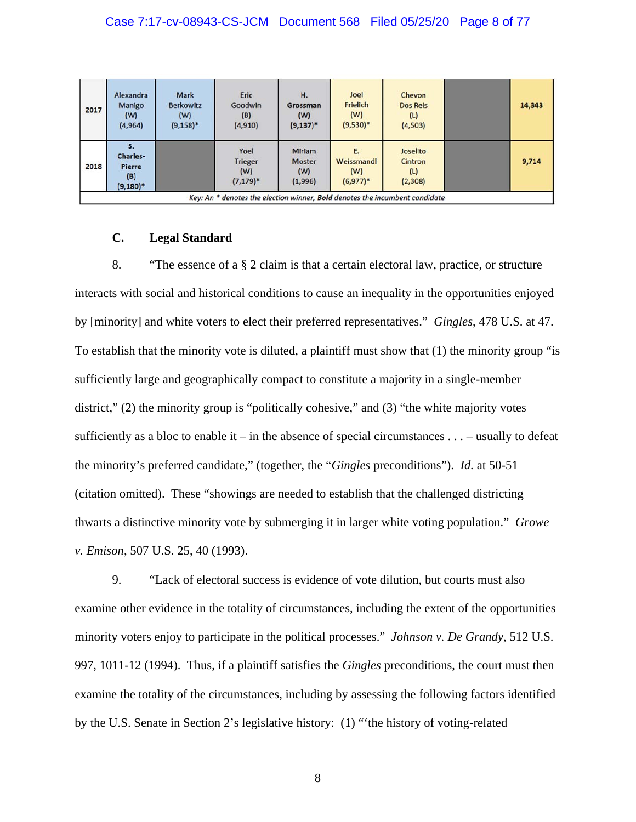### Case 7:17-cv-08943-CS-JCM Document 568 Filed 05/25/20 Page 8 of 77

| 2017 | Alexandra<br>Manigo<br>(W)<br>(4, 964)                                               | Mark<br><b>Berkowitz</b><br>(W)<br>$(9, 158)^*$ | Eric<br>Goodwin<br>(B)<br>(4, 910)            | Н.<br>Grossman<br>(W)<br>$(9, 137)^*$     | Joel<br>Frielich<br>(W)<br>$(9,530)*$ | Chevon<br><b>Dos Reis</b><br>(L)<br>(4,503) |  | 14,343 |  |  |  |  |  |
|------|--------------------------------------------------------------------------------------|-------------------------------------------------|-----------------------------------------------|-------------------------------------------|---------------------------------------|---------------------------------------------|--|--------|--|--|--|--|--|
| 2018 | Charles-<br><b>Pierre</b><br>(B)<br>$(9,180)^*$                                      |                                                 | Yoel<br><b>Trieger</b><br>(W)<br>$(7, 179)^*$ | Miriam<br><b>Moster</b><br>(W)<br>(1,996) | E.<br>Weissmandl<br>(W)<br>$(6,977)*$ | Joselito<br>Cintron<br>(L)<br>(2,308)       |  | 9,714  |  |  |  |  |  |
|      | Key: An $*$ denotes the election winner, <b>Bold</b> denotes the incumbent candidate |                                                 |                                               |                                           |                                       |                                             |  |        |  |  |  |  |  |

# **C. Legal Standard**

8. "The essence of a § 2 claim is that a certain electoral law, practice, or structure interacts with social and historical conditions to cause an inequality in the opportunities enjoyed by [minority] and white voters to elect their preferred representatives." *Gingles*, 478 U.S. at 47. To establish that the minority vote is diluted, a plaintiff must show that (1) the minority group "is sufficiently large and geographically compact to constitute a majority in a single-member district," (2) the minority group is "politically cohesive," and (3) "the white majority votes sufficiently as a bloc to enable it – in the absence of special circumstances  $\dots$  – usually to defeat the minority's preferred candidate," (together, the "*Gingles* preconditions"). *Id.* at 50-51 (citation omitted). These "showings are needed to establish that the challenged districting thwarts a distinctive minority vote by submerging it in larger white voting population." *Growe v. Emison*, 507 U.S. 25, 40 (1993).

9. "Lack of electoral success is evidence of vote dilution, but courts must also examine other evidence in the totality of circumstances, including the extent of the opportunities minority voters enjoy to participate in the political processes." *Johnson v. De Grandy*, 512 U.S. 997, 1011-12 (1994). Thus, if a plaintiff satisfies the *Gingles* preconditions, the court must then examine the totality of the circumstances, including by assessing the following factors identified by the U.S. Senate in Section 2's legislative history: (1) "'the history of voting-related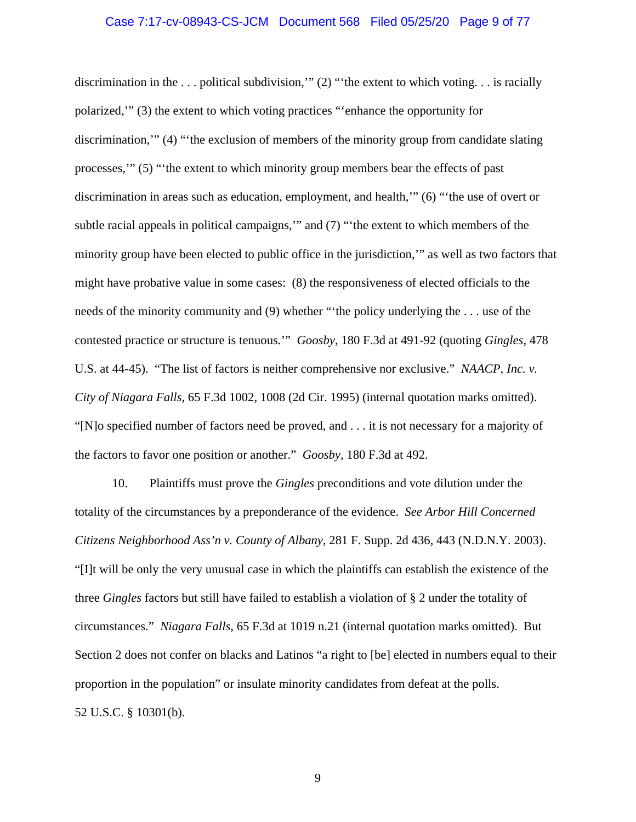#### Case 7:17-cv-08943-CS-JCM Document 568 Filed 05/25/20 Page 9 of 77

discrimination in the . . . political subdivision,'" (2) "'the extent to which voting. . . is racially polarized,'" (3) the extent to which voting practices "'enhance the opportunity for discrimination,'" (4) "'the exclusion of members of the minority group from candidate slating processes,'" (5) "'the extent to which minority group members bear the effects of past discrimination in areas such as education, employment, and health,'" (6) "'the use of overt or subtle racial appeals in political campaigns,'" and (7) "'the extent to which members of the minority group have been elected to public office in the jurisdiction,'" as well as two factors that might have probative value in some cases: (8) the responsiveness of elected officials to the needs of the minority community and (9) whether "'the policy underlying the . . . use of the contested practice or structure is tenuous.'" *Goosby*, 180 F.3d at 491-92 (quoting *Gingles*, 478 U.S. at 44-45). "The list of factors is neither comprehensive nor exclusive." *NAACP, Inc. v. City of Niagara Falls*, 65 F.3d 1002, 1008 (2d Cir. 1995) (internal quotation marks omitted). "[N]o specified number of factors need be proved, and . . . it is not necessary for a majority of the factors to favor one position or another." *Goosby*, 180 F.3d at 492.

10. Plaintiffs must prove the *Gingles* preconditions and vote dilution under the totality of the circumstances by a preponderance of the evidence. *See Arbor Hill Concerned Citizens Neighborhood Ass'n v. County of Albany*, 281 F. Supp. 2d 436, 443 (N.D.N.Y. 2003). "[I]t will be only the very unusual case in which the plaintiffs can establish the existence of the three *Gingles* factors but still have failed to establish a violation of § 2 under the totality of circumstances." *Niagara Falls*, 65 F.3d at 1019 n.21 (internal quotation marks omitted). But Section 2 does not confer on blacks and Latinos "a right to [be] elected in numbers equal to their proportion in the population" or insulate minority candidates from defeat at the polls. 52 U.S.C. § 10301(b).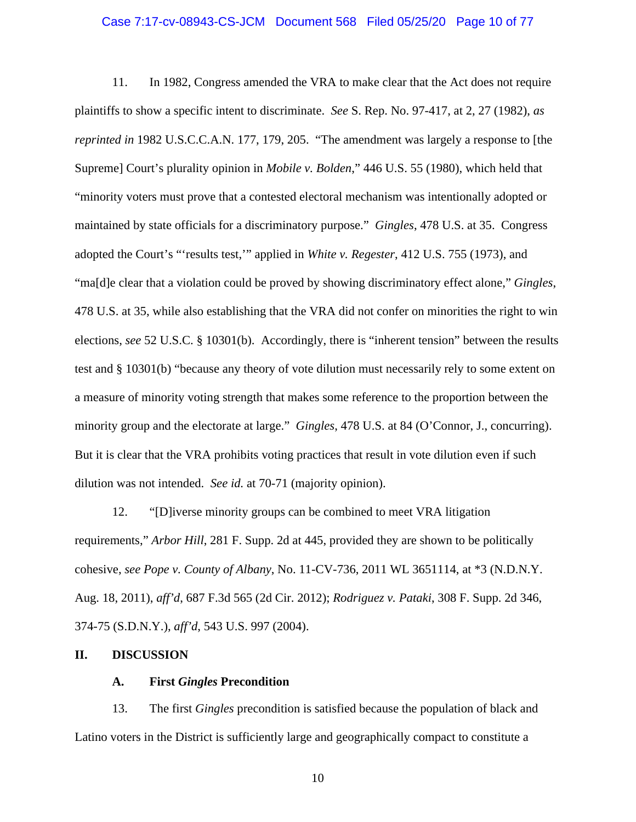### Case 7:17-cv-08943-CS-JCM Document 568 Filed 05/25/20 Page 10 of 77

11. In 1982, Congress amended the VRA to make clear that the Act does not require plaintiffs to show a specific intent to discriminate. *See* S. Rep. No. 97-417, at 2, 27 (1982), *as reprinted in* 1982 U.S.C.C.A.N. 177, 179, 205. "The amendment was largely a response to [the Supreme] Court's plurality opinion in *Mobile v. Bolden*," 446 U.S. 55 (1980), which held that "minority voters must prove that a contested electoral mechanism was intentionally adopted or maintained by state officials for a discriminatory purpose." *Gingles*, 478 U.S. at 35. Congress adopted the Court's "'results test,'" applied in *White v. Regester*, 412 U.S. 755 (1973), and "ma[d]e clear that a violation could be proved by showing discriminatory effect alone," *Gingles*, 478 U.S. at 35, while also establishing that the VRA did not confer on minorities the right to win elections, *see* 52 U.S.C. § 10301(b). Accordingly, there is "inherent tension" between the results test and § 10301(b) "because any theory of vote dilution must necessarily rely to some extent on a measure of minority voting strength that makes some reference to the proportion between the minority group and the electorate at large." *Gingles*, 478 U.S. at 84 (O'Connor, J., concurring). But it is clear that the VRA prohibits voting practices that result in vote dilution even if such dilution was not intended. *See id.* at 70-71 (majority opinion).

12. "[D]iverse minority groups can be combined to meet VRA litigation requirements," *Arbor Hill*, 281 F. Supp. 2d at 445, provided they are shown to be politically cohesive, *see Pope v. County of Albany*, No. 11-CV-736, 2011 WL 3651114, at \*3 (N.D.N.Y. Aug. 18, 2011), *aff'd*, 687 F.3d 565 (2d Cir. 2012); *Rodriguez v. Pataki*, 308 F. Supp. 2d 346, 374-75 (S.D.N.Y.), *aff'd*, 543 U.S. 997 (2004).

#### **II. DISCUSSION**

## **A. First** *Gingles* **Precondition**

13. The first *Gingles* precondition is satisfied because the population of black and Latino voters in the District is sufficiently large and geographically compact to constitute a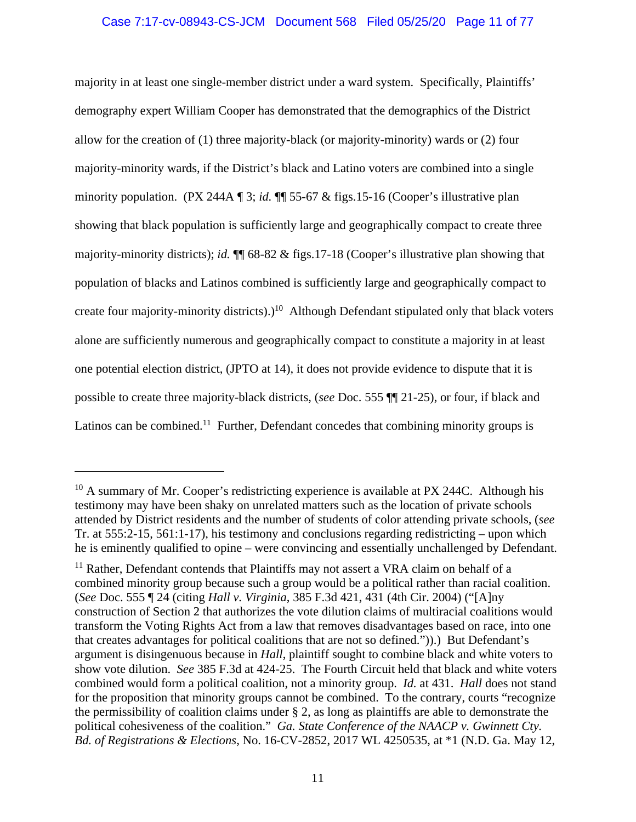# Case 7:17-cv-08943-CS-JCM Document 568 Filed 05/25/20 Page 11 of 77

majority in at least one single-member district under a ward system. Specifically, Plaintiffs' demography expert William Cooper has demonstrated that the demographics of the District allow for the creation of (1) three majority-black (or majority-minority) wards or (2) four majority-minority wards, if the District's black and Latino voters are combined into a single minority population. (PX 244A ¶ 3; *id.* ¶¶ 55-67 & figs.15-16 (Cooper's illustrative plan showing that black population is sufficiently large and geographically compact to create three majority-minority districts); *id.* ¶¶ 68-82 & figs.17-18 (Cooper's illustrative plan showing that population of blacks and Latinos combined is sufficiently large and geographically compact to create four majority-minority districts).)<sup>10</sup> Although Defendant stipulated only that black voters alone are sufficiently numerous and geographically compact to constitute a majority in at least one potential election district, (JPTO at 14), it does not provide evidence to dispute that it is possible to create three majority-black districts, (*see* Doc. 555 ¶¶ 21-25), or four, if black and Latinos can be combined.<sup>11</sup> Further, Defendant concedes that combining minority groups is

<sup>&</sup>lt;sup>10</sup> A summary of Mr. Cooper's redistricting experience is available at PX 244C. Although his testimony may have been shaky on unrelated matters such as the location of private schools attended by District residents and the number of students of color attending private schools, (*see* Tr. at 555:2-15, 561:1-17), his testimony and conclusions regarding redistricting – upon which he is eminently qualified to opine – were convincing and essentially unchallenged by Defendant.

<sup>&</sup>lt;sup>11</sup> Rather, Defendant contends that Plaintiffs may not assert a VRA claim on behalf of a combined minority group because such a group would be a political rather than racial coalition. (*See* Doc. 555 ¶ 24 (citing *Hall v. Virginia*, 385 F.3d 421, 431 (4th Cir. 2004) ("[A]ny construction of Section 2 that authorizes the vote dilution claims of multiracial coalitions would transform the Voting Rights Act from a law that removes disadvantages based on race, into one that creates advantages for political coalitions that are not so defined.")).) But Defendant's argument is disingenuous because in *Hall*, plaintiff sought to combine black and white voters to show vote dilution. *See* 385 F.3d at 424-25. The Fourth Circuit held that black and white voters combined would form a political coalition, not a minority group. *Id.* at 431. *Hall* does not stand for the proposition that minority groups cannot be combined. To the contrary, courts "recognize the permissibility of coalition claims under § 2, as long as plaintiffs are able to demonstrate the political cohesiveness of the coalition." *Ga. State Conference of the NAACP v. Gwinnett Cty. Bd. of Registrations & Elections*, No. 16-CV-2852, 2017 WL 4250535, at \*1 (N.D. Ga. May 12,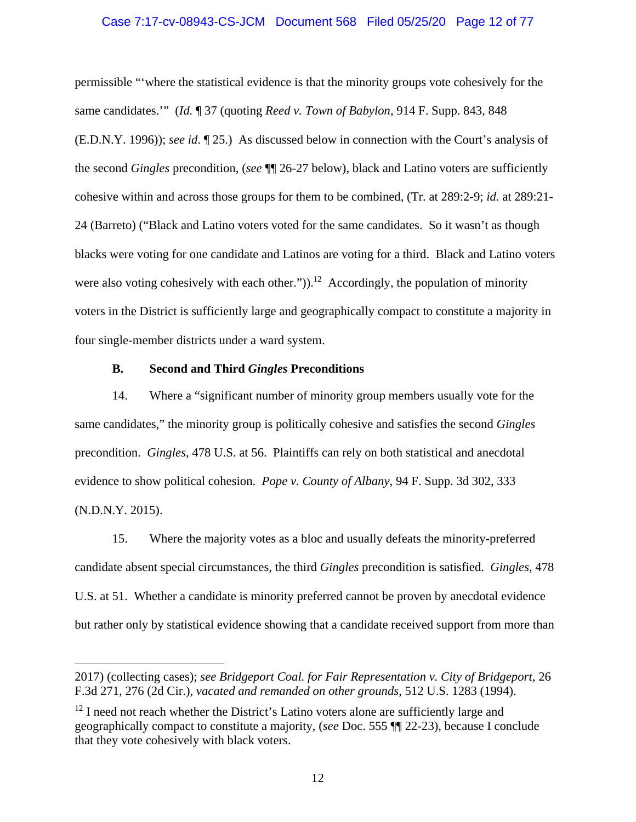## Case 7:17-cv-08943-CS-JCM Document 568 Filed 05/25/20 Page 12 of 77

permissible "'where the statistical evidence is that the minority groups vote cohesively for the same candidates.'" (*Id.* ¶ 37 (quoting *Reed v. Town of Babylon*, 914 F. Supp. 843, 848 (E.D.N.Y. 1996)); *see id*. ¶ 25.) As discussed below in connection with the Court's analysis of the second *Gingles* precondition, (*see* ¶¶ 26-27 below), black and Latino voters are sufficiently cohesive within and across those groups for them to be combined, (Tr. at 289:2-9; *id.* at 289:21- 24 (Barreto) ("Black and Latino voters voted for the same candidates. So it wasn't as though blacks were voting for one candidate and Latinos are voting for a third. Black and Latino voters were also voting cohesively with each other.")).<sup>12</sup> Accordingly, the population of minority voters in the District is sufficiently large and geographically compact to constitute a majority in four single-member districts under a ward system.

# **B. Second and Third** *Gingles* **Preconditions**

14. Where a "significant number of minority group members usually vote for the same candidates," the minority group is politically cohesive and satisfies the second *Gingles* precondition. *Gingles*, 478 U.S. at 56. Plaintiffs can rely on both statistical and anecdotal evidence to show political cohesion. *Pope v. County of Albany*, 94 F. Supp. 3d 302, 333 (N.D.N.Y. 2015).

15. Where the majority votes as a bloc and usually defeats the minority-preferred candidate absent special circumstances, the third *Gingles* precondition is satisfied. *Gingles*, 478 U.S. at 51. Whether a candidate is minority preferred cannot be proven by anecdotal evidence but rather only by statistical evidence showing that a candidate received support from more than

<sup>2017) (</sup>collecting cases); *see Bridgeport Coal. for Fair Representation v. City of Bridgeport*, 26 F.3d 271, 276 (2d Cir.), *vacated and remanded on other grounds*, 512 U.S. 1283 (1994).

 $12$  I need not reach whether the District's Latino voters alone are sufficiently large and geographically compact to constitute a majority, (*see* Doc. 555 ¶¶ 22-23), because I conclude that they vote cohesively with black voters.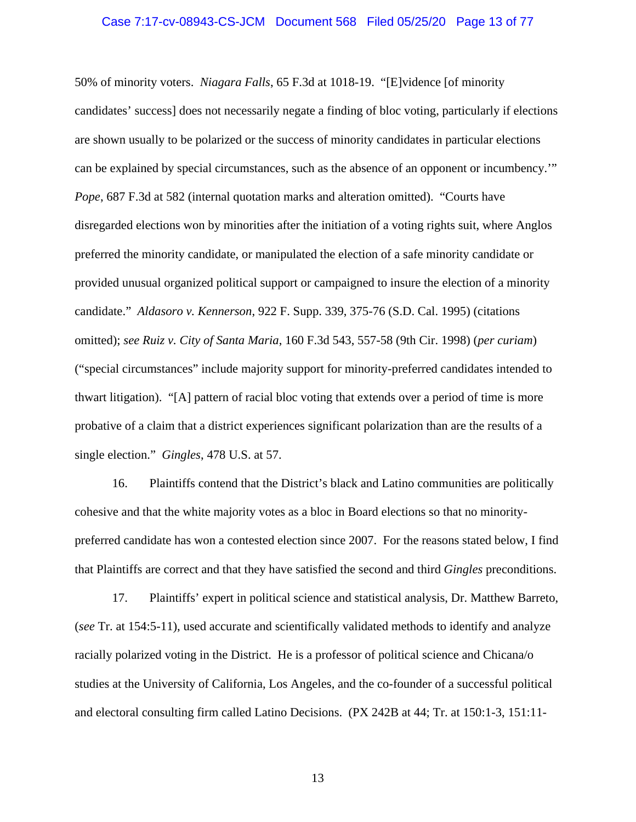#### Case 7:17-cv-08943-CS-JCM Document 568 Filed 05/25/20 Page 13 of 77

50% of minority voters. *Niagara Falls*, 65 F.3d at 1018-19. "[E]vidence [of minority candidates' success] does not necessarily negate a finding of bloc voting, particularly if elections are shown usually to be polarized or the success of minority candidates in particular elections can be explained by special circumstances, such as the absence of an opponent or incumbency.'" *Pope*, 687 F.3d at 582 (internal quotation marks and alteration omitted). "Courts have disregarded elections won by minorities after the initiation of a voting rights suit, where Anglos preferred the minority candidate, or manipulated the election of a safe minority candidate or provided unusual organized political support or campaigned to insure the election of a minority candidate." *Aldasoro v. Kennerson*, 922 F. Supp. 339, 375-76 (S.D. Cal. 1995) (citations omitted); *see Ruiz v. City of Santa Maria*, 160 F.3d 543, 557-58 (9th Cir. 1998) (*per curiam*) ("special circumstances" include majority support for minority-preferred candidates intended to thwart litigation). "[A] pattern of racial bloc voting that extends over a period of time is more probative of a claim that a district experiences significant polarization than are the results of a single election." *Gingles*, 478 U.S. at 57.

16. Plaintiffs contend that the District's black and Latino communities are politically cohesive and that the white majority votes as a bloc in Board elections so that no minoritypreferred candidate has won a contested election since 2007. For the reasons stated below, I find that Plaintiffs are correct and that they have satisfied the second and third *Gingles* preconditions.

17. Plaintiffs' expert in political science and statistical analysis, Dr. Matthew Barreto, (*see* Tr. at 154:5-11), used accurate and scientifically validated methods to identify and analyze racially polarized voting in the District. He is a professor of political science and Chicana/o studies at the University of California, Los Angeles, and the co-founder of a successful political and electoral consulting firm called Latino Decisions. (PX 242B at 44; Tr. at 150:1-3, 151:11-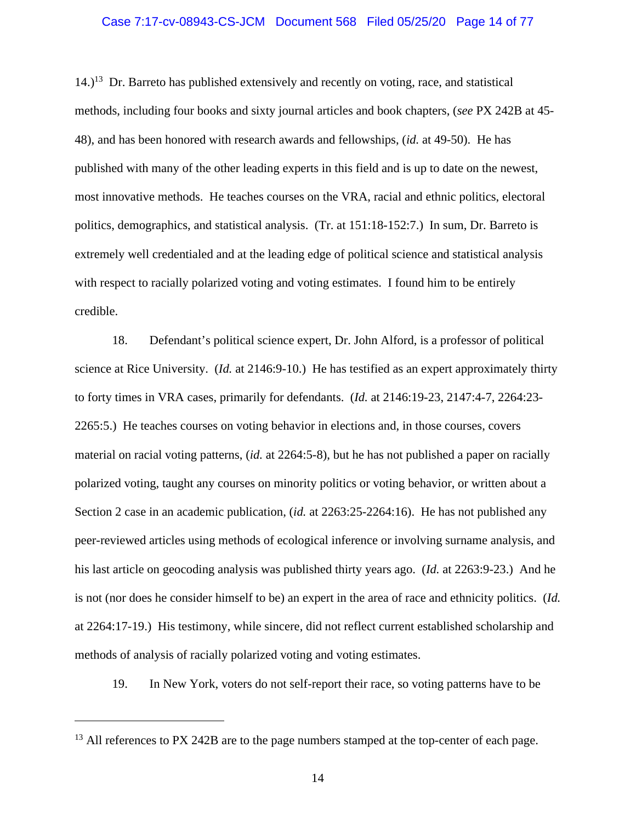### Case 7:17-cv-08943-CS-JCM Document 568 Filed 05/25/20 Page 14 of 77

 $14.$ )<sup>13</sup> Dr. Barreto has published extensively and recently on voting, race, and statistical methods, including four books and sixty journal articles and book chapters, (*see* PX 242B at 45- 48), and has been honored with research awards and fellowships, (*id.* at 49-50). He has published with many of the other leading experts in this field and is up to date on the newest, most innovative methods. He teaches courses on the VRA, racial and ethnic politics, electoral politics, demographics, and statistical analysis. (Tr. at 151:18-152:7.) In sum, Dr. Barreto is extremely well credentialed and at the leading edge of political science and statistical analysis with respect to racially polarized voting and voting estimates. I found him to be entirely credible.

18. Defendant's political science expert, Dr. John Alford, is a professor of political science at Rice University. (*Id.* at 2146:9-10.) He has testified as an expert approximately thirty to forty times in VRA cases, primarily for defendants. (*Id.* at 2146:19-23, 2147:4-7, 2264:23- 2265:5.) He teaches courses on voting behavior in elections and, in those courses, covers material on racial voting patterns, (*id.* at 2264:5-8), but he has not published a paper on racially polarized voting, taught any courses on minority politics or voting behavior, or written about a Section 2 case in an academic publication, (*id.* at 2263:25-2264:16). He has not published any peer-reviewed articles using methods of ecological inference or involving surname analysis, and his last article on geocoding analysis was published thirty years ago. (*Id.* at 2263:9-23.) And he is not (nor does he consider himself to be) an expert in the area of race and ethnicity politics. (*Id.* at 2264:17-19.) His testimony, while sincere, did not reflect current established scholarship and methods of analysis of racially polarized voting and voting estimates.

19. In New York, voters do not self-report their race, so voting patterns have to be

<sup>&</sup>lt;sup>13</sup> All references to PX 242B are to the page numbers stamped at the top-center of each page.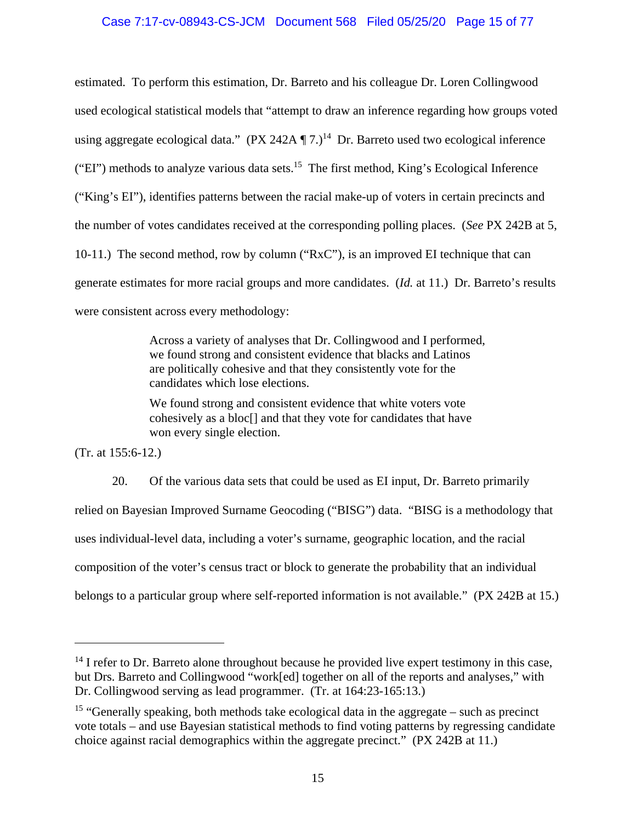# Case 7:17-cv-08943-CS-JCM Document 568 Filed 05/25/20 Page 15 of 77

estimated. To perform this estimation, Dr. Barreto and his colleague Dr. Loren Collingwood used ecological statistical models that "attempt to draw an inference regarding how groups voted using aggregate ecological data."  $(PX 242A \P 7.)^{14}$  Dr. Barreto used two ecological inference ("EI") methods to analyze various data sets.15 The first method, King's Ecological Inference ("King's EI"), identifies patterns between the racial make-up of voters in certain precincts and the number of votes candidates received at the corresponding polling places. (*See* PX 242B at 5, 10-11.) The second method, row by column ("RxC"), is an improved EI technique that can generate estimates for more racial groups and more candidates. (*Id.* at 11.) Dr. Barreto's results were consistent across every methodology:

> Across a variety of analyses that Dr. Collingwood and I performed, we found strong and consistent evidence that blacks and Latinos are politically cohesive and that they consistently vote for the candidates which lose elections.

We found strong and consistent evidence that white voters vote cohesively as a bloc[] and that they vote for candidates that have won every single election.

(Tr. at 155:6-12.)

20. Of the various data sets that could be used as EI input, Dr. Barreto primarily relied on Bayesian Improved Surname Geocoding ("BISG") data. "BISG is a methodology that uses individual-level data, including a voter's surname, geographic location, and the racial composition of the voter's census tract or block to generate the probability that an individual belongs to a particular group where self-reported information is not available." (PX 242B at 15.)

<sup>&</sup>lt;sup>14</sup> I refer to Dr. Barreto alone throughout because he provided live expert testimony in this case, but Drs. Barreto and Collingwood "work[ed] together on all of the reports and analyses," with Dr. Collingwood serving as lead programmer. (Tr. at 164:23-165:13.)

<sup>&</sup>lt;sup>15</sup> "Generally speaking, both methods take ecological data in the aggregate – such as precinct vote totals – and use Bayesian statistical methods to find voting patterns by regressing candidate choice against racial demographics within the aggregate precinct." (PX 242B at 11.)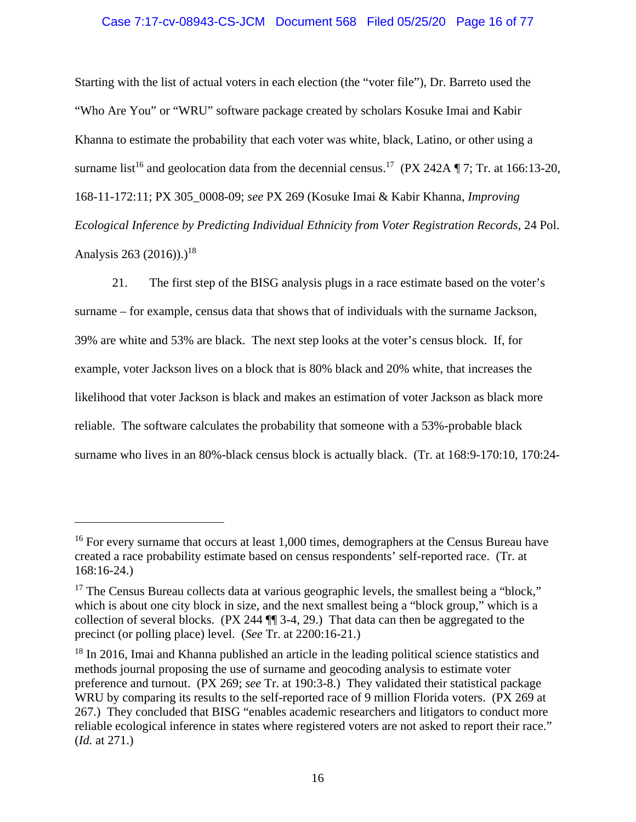# Case 7:17-cv-08943-CS-JCM Document 568 Filed 05/25/20 Page 16 of 77

Starting with the list of actual voters in each election (the "voter file"), Dr. Barreto used the "Who Are You" or "WRU" software package created by scholars Kosuke Imai and Kabir Khanna to estimate the probability that each voter was white, black, Latino, or other using a surname list<sup>16</sup> and geolocation data from the decennial census.<sup>17</sup> (PX 242A  $\P$  7; Tr. at 166:13-20, 168-11-172:11; PX 305\_0008-09; *see* PX 269 (Kosuke Imai & Kabir Khanna, *Improving Ecological Inference by Predicting Individual Ethnicity from Voter Registration Records*, 24 Pol. Analysis 263 (2016)).)<sup>18</sup>

21. The first step of the BISG analysis plugs in a race estimate based on the voter's surname – for example, census data that shows that of individuals with the surname Jackson, 39% are white and 53% are black. The next step looks at the voter's census block. If, for example, voter Jackson lives on a block that is 80% black and 20% white, that increases the likelihood that voter Jackson is black and makes an estimation of voter Jackson as black more reliable. The software calculates the probability that someone with a 53%-probable black surname who lives in an 80%-black census block is actually black. (Tr. at 168:9-170:10, 170:24-

<sup>&</sup>lt;sup>16</sup> For every surname that occurs at least 1,000 times, demographers at the Census Bureau have created a race probability estimate based on census respondents' self-reported race. (Tr. at 168:16-24.)

<sup>&</sup>lt;sup>17</sup> The Census Bureau collects data at various geographic levels, the smallest being a "block," which is about one city block in size, and the next smallest being a "block group," which is a collection of several blocks. (PX 244 ¶¶ 3-4, 29.) That data can then be aggregated to the precinct (or polling place) level. (*See* Tr. at 2200:16-21.)

<sup>&</sup>lt;sup>18</sup> In 2016, Imai and Khanna published an article in the leading political science statistics and methods journal proposing the use of surname and geocoding analysis to estimate voter preference and turnout. (PX 269; *see* Tr. at 190:3-8.) They validated their statistical package WRU by comparing its results to the self-reported race of 9 million Florida voters. (PX 269 at 267.) They concluded that BISG "enables academic researchers and litigators to conduct more reliable ecological inference in states where registered voters are not asked to report their race." (*Id.* at 271.)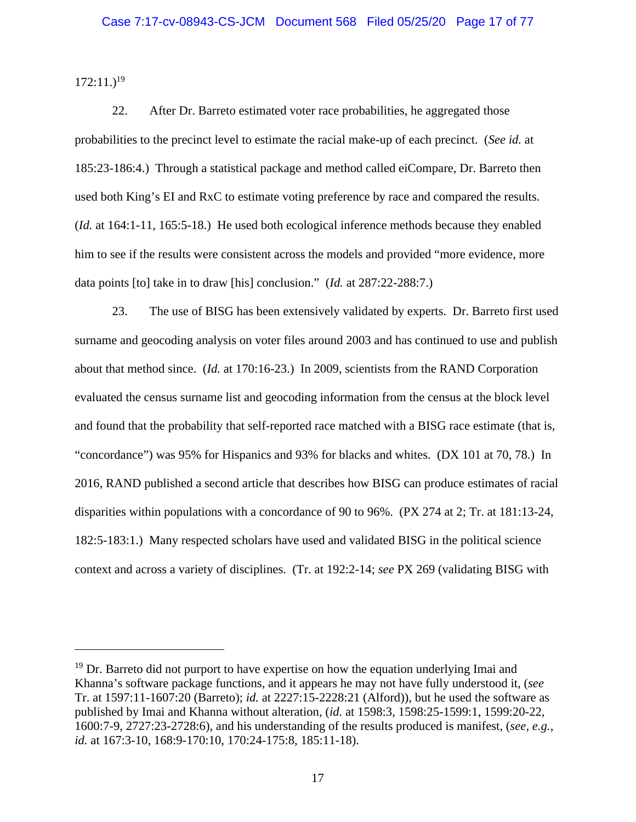$172:11.$ <sup>19</sup>

22. After Dr. Barreto estimated voter race probabilities, he aggregated those probabilities to the precinct level to estimate the racial make-up of each precinct. (*See id.* at 185:23-186:4.) Through a statistical package and method called eiCompare, Dr. Barreto then used both King's EI and RxC to estimate voting preference by race and compared the results. (*Id.* at 164:1-11, 165:5-18.) He used both ecological inference methods because they enabled him to see if the results were consistent across the models and provided "more evidence, more data points [to] take in to draw [his] conclusion." (*Id.* at 287:22-288:7.)

23. The use of BISG has been extensively validated by experts. Dr. Barreto first used surname and geocoding analysis on voter files around 2003 and has continued to use and publish about that method since. (*Id.* at 170:16-23.) In 2009, scientists from the RAND Corporation evaluated the census surname list and geocoding information from the census at the block level and found that the probability that self-reported race matched with a BISG race estimate (that is, "concordance") was 95% for Hispanics and 93% for blacks and whites. (DX 101 at 70, 78.) In 2016, RAND published a second article that describes how BISG can produce estimates of racial disparities within populations with a concordance of 90 to 96%. (PX 274 at 2; Tr. at 181:13-24, 182:5-183:1.) Many respected scholars have used and validated BISG in the political science context and across a variety of disciplines. (Tr. at 192:2-14; *see* PX 269 (validating BISG with

 $19$  Dr. Barreto did not purport to have expertise on how the equation underlying Imai and Khanna's software package functions, and it appears he may not have fully understood it, (*see* Tr. at 1597:11-1607:20 (Barreto); *id.* at 2227:15-2228:21 (Alford)), but he used the software as published by Imai and Khanna without alteration, (*id.* at 1598:3, 1598:25-1599:1, 1599:20-22, 1600:7-9, 2727:23-2728:6), and his understanding of the results produced is manifest, (*see, e.g.*, *id.* at 167:3-10, 168:9-170:10, 170:24-175:8, 185:11-18).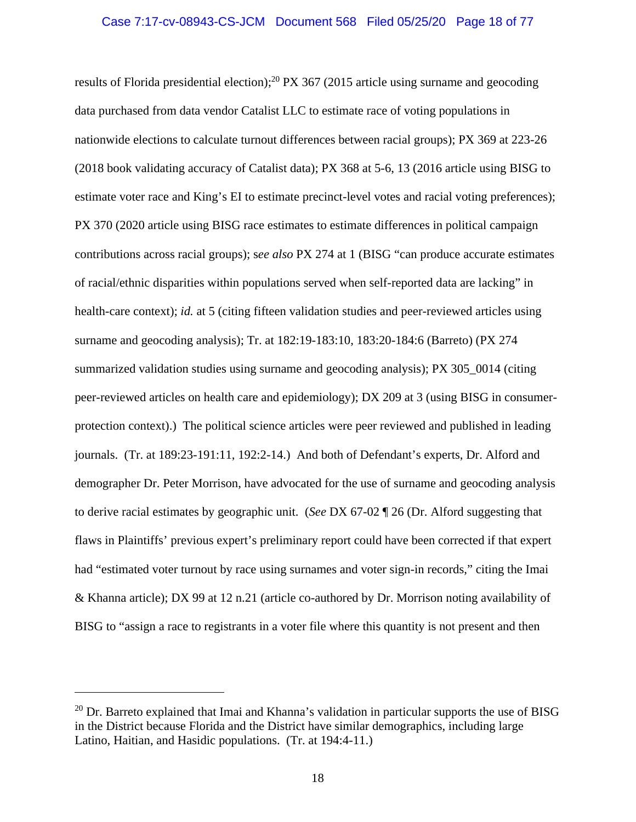results of Florida presidential election);<sup>20</sup> PX 367 (2015 article using surname and geocoding data purchased from data vendor Catalist LLC to estimate race of voting populations in nationwide elections to calculate turnout differences between racial groups); PX 369 at 223-26 (2018 book validating accuracy of Catalist data); PX 368 at 5-6, 13 (2016 article using BISG to estimate voter race and King's EI to estimate precinct-level votes and racial voting preferences); PX 370 (2020 article using BISG race estimates to estimate differences in political campaign contributions across racial groups); s*ee also* PX 274 at 1 (BISG "can produce accurate estimates of racial/ethnic disparities within populations served when self-reported data are lacking" in health-care context); *id.* at 5 (citing fifteen validation studies and peer-reviewed articles using surname and geocoding analysis); Tr. at 182:19-183:10, 183:20-184:6 (Barreto) (PX 274 summarized validation studies using surname and geocoding analysis); PX 305 0014 (citing peer-reviewed articles on health care and epidemiology); DX 209 at 3 (using BISG in consumerprotection context).) The political science articles were peer reviewed and published in leading journals. (Tr. at 189:23-191:11, 192:2-14.) And both of Defendant's experts, Dr. Alford and demographer Dr. Peter Morrison, have advocated for the use of surname and geocoding analysis to derive racial estimates by geographic unit. (*See* DX 67-02 ¶ 26 (Dr. Alford suggesting that flaws in Plaintiffs' previous expert's preliminary report could have been corrected if that expert had "estimated voter turnout by race using surnames and voter sign-in records," citing the Imai & Khanna article); DX 99 at 12 n.21 (article co-authored by Dr. Morrison noting availability of BISG to "assign a race to registrants in a voter file where this quantity is not present and then

 $20$  Dr. Barreto explained that Imai and Khanna's validation in particular supports the use of BISG in the District because Florida and the District have similar demographics, including large Latino, Haitian, and Hasidic populations. (Tr. at 194:4-11.)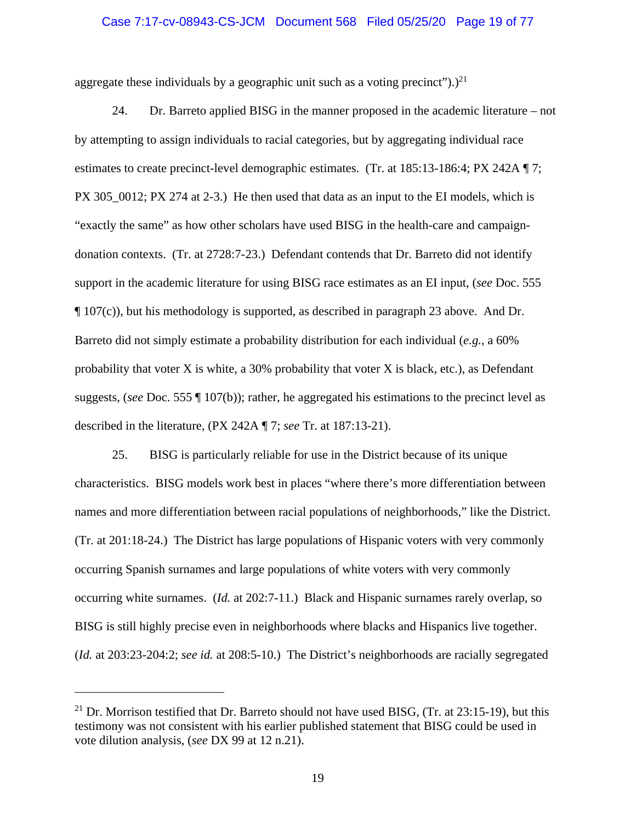### Case 7:17-cv-08943-CS-JCM Document 568 Filed 05/25/20 Page 19 of 77

aggregate these individuals by a geographic unit such as a voting precinct").)<sup>21</sup>

24. Dr. Barreto applied BISG in the manner proposed in the academic literature – not by attempting to assign individuals to racial categories, but by aggregating individual race estimates to create precinct-level demographic estimates. (Tr. at 185:13-186:4; PX 242A ¶ 7; PX 305\_0012; PX 274 at 2-3.) He then used that data as an input to the EI models, which is "exactly the same" as how other scholars have used BISG in the health-care and campaigndonation contexts. (Tr. at 2728:7-23.) Defendant contends that Dr. Barreto did not identify support in the academic literature for using BISG race estimates as an EI input, (*see* Doc. 555 ¶ 107(c)), but his methodology is supported, as described in paragraph 23 above. And Dr. Barreto did not simply estimate a probability distribution for each individual (*e.g.*, a 60% probability that voter  $X$  is white, a 30% probability that voter  $X$  is black, etc.), as Defendant suggests, (*see* Doc. 555 ¶ 107(b)); rather, he aggregated his estimations to the precinct level as described in the literature, (PX 242A ¶ 7; *see* Tr. at 187:13-21).

25. BISG is particularly reliable for use in the District because of its unique characteristics. BISG models work best in places "where there's more differentiation between names and more differentiation between racial populations of neighborhoods," like the District. (Tr. at 201:18-24.) The District has large populations of Hispanic voters with very commonly occurring Spanish surnames and large populations of white voters with very commonly occurring white surnames. (*Id.* at 202:7-11.) Black and Hispanic surnames rarely overlap, so BISG is still highly precise even in neighborhoods where blacks and Hispanics live together. (*Id.* at 203:23-204:2; *see id.* at 208:5-10.) The District's neighborhoods are racially segregated

<sup>&</sup>lt;sup>21</sup> Dr. Morrison testified that Dr. Barreto should not have used BISG, (Tr. at  $23:15-19$ ), but this testimony was not consistent with his earlier published statement that BISG could be used in vote dilution analysis, (*see* DX 99 at 12 n.21).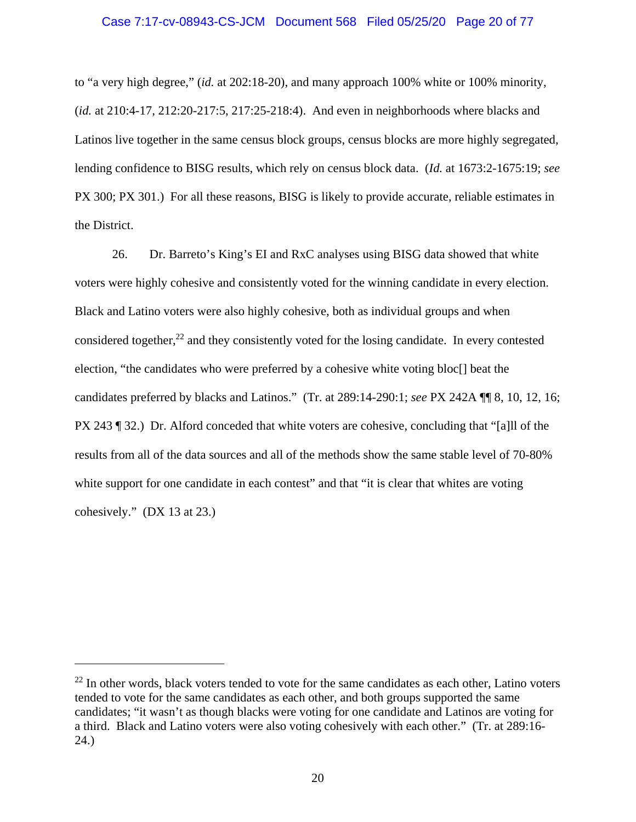### Case 7:17-cv-08943-CS-JCM Document 568 Filed 05/25/20 Page 20 of 77

to "a very high degree," (*id.* at 202:18-20), and many approach 100% white or 100% minority, (*id.* at 210:4-17, 212:20-217:5, 217:25-218:4). And even in neighborhoods where blacks and Latinos live together in the same census block groups, census blocks are more highly segregated, lending confidence to BISG results, which rely on census block data. (*Id.* at 1673:2-1675:19; *see* PX 300; PX 301.) For all these reasons, BISG is likely to provide accurate, reliable estimates in the District.

26. Dr. Barreto's King's EI and RxC analyses using BISG data showed that white voters were highly cohesive and consistently voted for the winning candidate in every election. Black and Latino voters were also highly cohesive, both as individual groups and when considered together, $^{22}$  and they consistently voted for the losing candidate. In every contested election, "the candidates who were preferred by a cohesive white voting bloc[] beat the candidates preferred by blacks and Latinos." (Tr. at 289:14-290:1; *see* PX 242A ¶¶ 8, 10, 12, 16; PX 243 ¶ 32.) Dr. Alford conceded that white voters are cohesive, concluding that "[a]ll of the results from all of the data sources and all of the methods show the same stable level of 70-80% white support for one candidate in each contest" and that "it is clear that whites are voting cohesively." (DX 13 at 23.)

 $22$  In other words, black voters tended to vote for the same candidates as each other, Latino voters tended to vote for the same candidates as each other, and both groups supported the same candidates; "it wasn't as though blacks were voting for one candidate and Latinos are voting for a third. Black and Latino voters were also voting cohesively with each other." (Tr. at 289:16- 24.)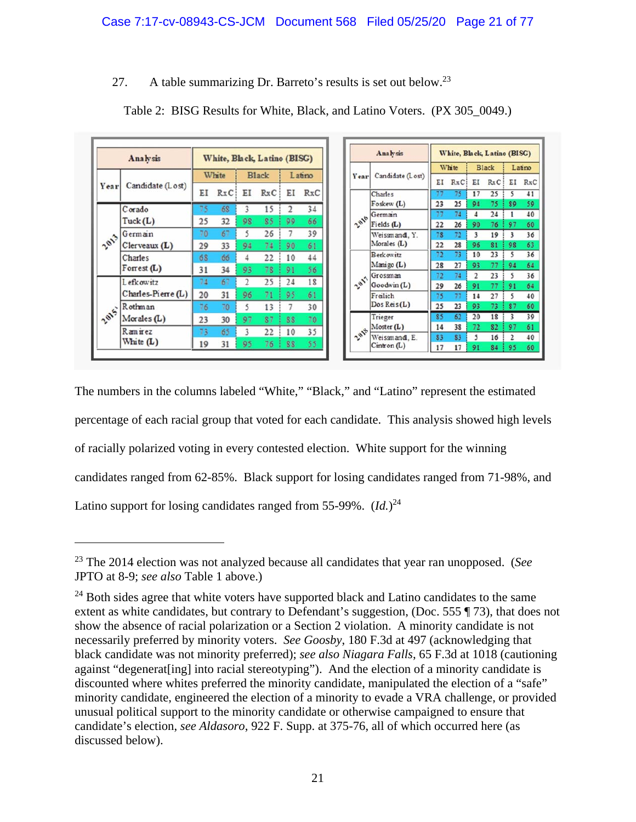# 27. A table summarizing Dr. Barreto's results is set out below.<sup>23</sup>

| Analysis |                            |       | White, Black, Latino (BISG) |              |     |        |     |      | Analysis                     |          |          | White, Black, Latino (BISG) |          |         |          |  |  |  |
|----------|----------------------------|-------|-----------------------------|--------------|-----|--------|-----|------|------------------------------|----------|----------|-----------------------------|----------|---------|----------|--|--|--|
|          |                            |       |                             |              |     |        |     |      |                              | White    |          | <b>Black</b>                |          | Latino  |          |  |  |  |
| Year     | Candidate (Lost)           | White |                             | <b>Black</b> |     | Latino |     | Year | Candidate (Lost)             | EI       | RxC      | ΕI                          | RxC      | EI      | RxC      |  |  |  |
|          |                            | ΕI    | RxC                         | EI           | RxC | ΕI     | RxC |      | Charles                      | 77       | 75       | 17                          | 25       | 5       | 41       |  |  |  |
|          | Corado                     | 75    | 68                          | 3            | 15  |        | 34  |      | Foskew $(L)$                 | 23       | 25       | 94                          | 75       | 89      | 59       |  |  |  |
|          |                            |       |                             |              |     |        |     |      | German                       | 77       | 74       | 4                           | 24       |         | 40       |  |  |  |
|          | Tuck(L)                    | 25    | 32                          | 98           | 85  | 99     | 66  | 2016 | Fields(L)                    | 22       | 26       | 90                          | 76       | 97      | 60       |  |  |  |
|          | Germain<br>Clerveaux $(L)$ | 70    | 67                          | 5            | 26  |        | 39  |      | Weissmand, Y.<br>Morales (L) | 78       | 72       | 3                           | 19       | 3       | 36       |  |  |  |
| 2013     |                            | 29    | 33                          | 94           | 74  | 90     | 61  |      |                              | 22       | 28       | 96                          | 81       | 98      | 63       |  |  |  |
|          | Charles<br>Forrest $(L)$   | 68    | 66                          | 4            | 22  | 10     | 44  |      | <b>Berkowitz</b>             | 72       | 73       | 10                          | 23       |         | 36       |  |  |  |
|          |                            | 31    | 34                          | 93           | 78  | 91     | 56  |      | Manigo (L)                   | 28       | 27       | 93                          | 77       | 94      | 64       |  |  |  |
|          | Lefkowitz                  | 74    | 67                          | 2            | 25  | 24     | 18  | 2811 | Grossman                     | 72       | 74       | $\overline{c}$              | 23       | 5       | 36       |  |  |  |
|          |                            |       |                             |              |     |        |     |      | Goodwin (L)                  | 29       | 26       | 91                          | 77       | 91      | 64       |  |  |  |
|          | Charles-Pierre (L)         | 20    | 31                          | 96           | 71  | 95     | 61  |      | Freilich                     | 75       | 77       | 14                          | 27       | 5       | 40       |  |  |  |
|          | Rothman                    | 76    | 70                          | 5            | 13  |        | 30  |      | Dos Reis $(L)$               | 25       | 23       | 93                          | 73       | 87      | 60       |  |  |  |
| 2015     | Morales $(L)$              | 23    | 30                          | 97           | 87  | 88     | 70  |      | Trieger                      | 85       | 62       | 20                          | 18       | 3       | 39       |  |  |  |
|          | Ramirez                    | 73    | 65                          | 3            | 22  | 10     | 35  | 2018 | Moster(L)                    | 14       | 38       | 72                          | 82       | 97      | 61       |  |  |  |
|          | White $(L)$                | 19    | 31                          | 95           | 76  | 88     | 55  |      | Weissmand, E.<br>Cinton(L)   | 83<br>17 | 83<br>17 | 5<br>91                     | 16<br>84 | 2<br>95 | 40<br>60 |  |  |  |

Table 2: BISG Results for White, Black, and Latino Voters. (PX 305\_0049.)

The numbers in the columns labeled "White," "Black," and "Latino" represent the estimated percentage of each racial group that voted for each candidate. This analysis showed high levels of racially polarized voting in every contested election. White support for the winning candidates ranged from 62-85%. Black support for losing candidates ranged from 71-98%, and Latino support for losing candidates ranged from 55-99%. (*Id.*) 24

<sup>23</sup> The 2014 election was not analyzed because all candidates that year ran unopposed. (*See* JPTO at 8-9; *see also* Table 1 above.)

 $24$  Both sides agree that white voters have supported black and Latino candidates to the same extent as white candidates, but contrary to Defendant's suggestion, (Doc. 555 ¶ 73), that does not show the absence of racial polarization or a Section 2 violation. A minority candidate is not necessarily preferred by minority voters. *See Goosby*, 180 F.3d at 497 (acknowledging that black candidate was not minority preferred); *see also Niagara Falls*, 65 F.3d at 1018 (cautioning against "degenerat[ing] into racial stereotyping"). And the election of a minority candidate is discounted where whites preferred the minority candidate, manipulated the election of a "safe" minority candidate, engineered the election of a minority to evade a VRA challenge, or provided unusual political support to the minority candidate or otherwise campaigned to ensure that candidate's election, *see Aldasoro*, 922 F. Supp. at 375-76, all of which occurred here (as discussed below).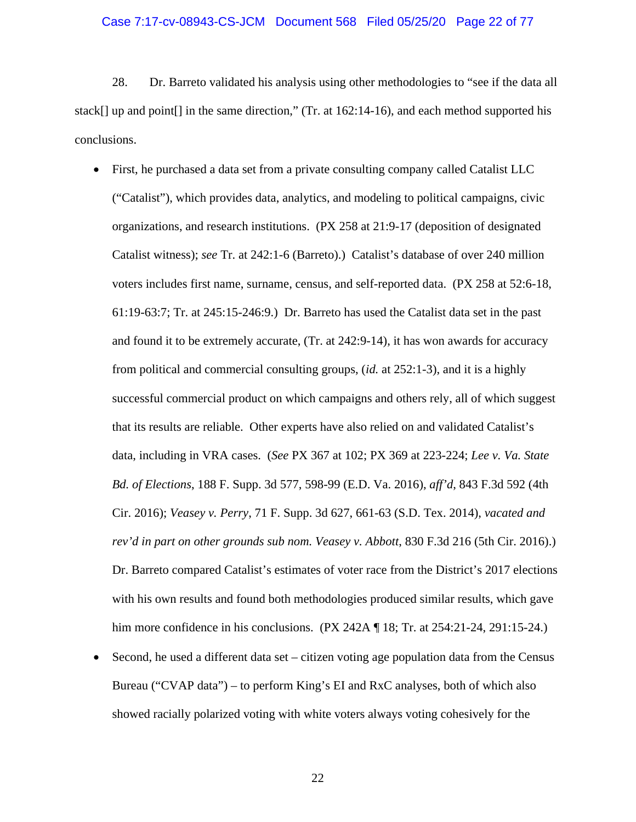### Case 7:17-cv-08943-CS-JCM Document 568 Filed 05/25/20 Page 22 of 77

28. Dr. Barreto validated his analysis using other methodologies to "see if the data all stack[] up and point[] in the same direction," (Tr. at 162:14-16), and each method supported his conclusions.

- First, he purchased a data set from a private consulting company called Catalist LLC ("Catalist"), which provides data, analytics, and modeling to political campaigns, civic organizations, and research institutions. (PX 258 at 21:9-17 (deposition of designated Catalist witness); *see* Tr. at 242:1-6 (Barreto).) Catalist's database of over 240 million voters includes first name, surname, census, and self-reported data. (PX 258 at 52:6-18, 61:19-63:7; Tr. at 245:15-246:9.) Dr. Barreto has used the Catalist data set in the past and found it to be extremely accurate, (Tr. at 242:9-14), it has won awards for accuracy from political and commercial consulting groups, (*id.* at 252:1-3), and it is a highly successful commercial product on which campaigns and others rely, all of which suggest that its results are reliable. Other experts have also relied on and validated Catalist's data, including in VRA cases. (*See* PX 367 at 102; PX 369 at 223-224; *Lee v. Va. State Bd. of Elections*, 188 F. Supp. 3d 577, 598-99 (E.D. Va. 2016), *aff'd*, 843 F.3d 592 (4th Cir. 2016); *Veasey v. Perry*, 71 F. Supp. 3d 627, 661-63 (S.D. Tex. 2014), *vacated and rev'd in part on other grounds sub nom. Veasey v. Abbott*, 830 F.3d 216 (5th Cir. 2016).) Dr. Barreto compared Catalist's estimates of voter race from the District's 2017 elections with his own results and found both methodologies produced similar results, which gave him more confidence in his conclusions. (PX 242A ¶ 18; Tr. at 254:21-24, 291:15-24.)
- Second, he used a different data set citizen voting age population data from the Census Bureau ("CVAP data") – to perform King's EI and RxC analyses, both of which also showed racially polarized voting with white voters always voting cohesively for the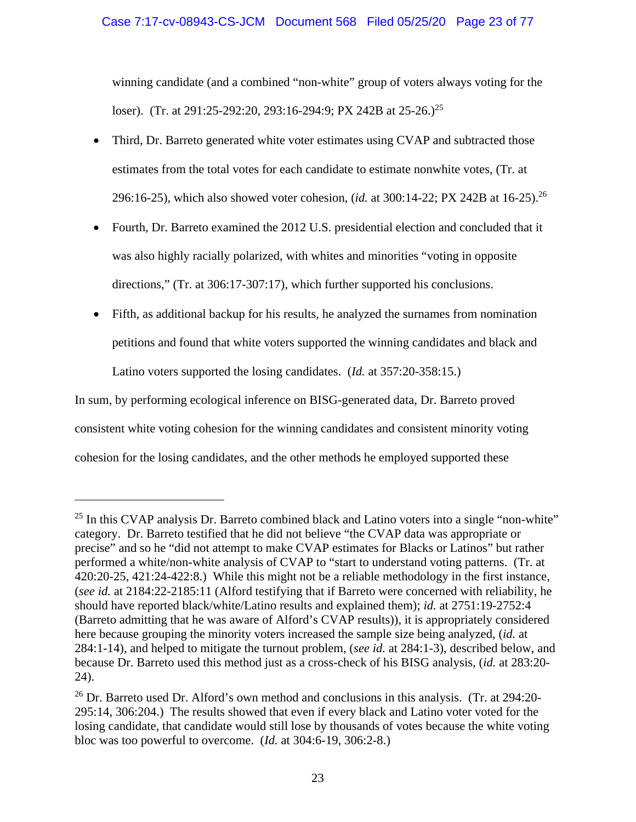winning candidate (and a combined "non-white" group of voters always voting for the loser). (Tr. at 291:25-292:20, 293:16-294:9; PX 242B at 25-26.)<sup>25</sup>

- Third, Dr. Barreto generated white voter estimates using CVAP and subtracted those estimates from the total votes for each candidate to estimate nonwhite votes, (Tr. at 296:16-25), which also showed voter cohesion, (*id.* at 300:14-22; PX 242B at 16-25).26
- Fourth, Dr. Barreto examined the 2012 U.S. presidential election and concluded that it was also highly racially polarized, with whites and minorities "voting in opposite directions," (Tr. at 306:17-307:17), which further supported his conclusions.
- Fifth, as additional backup for his results, he analyzed the surnames from nomination petitions and found that white voters supported the winning candidates and black and Latino voters supported the losing candidates. (*Id.* at 357:20-358:15.)

In sum, by performing ecological inference on BISG-generated data, Dr. Barreto proved consistent white voting cohesion for the winning candidates and consistent minority voting cohesion for the losing candidates, and the other methods he employed supported these

 $25$  In this CVAP analysis Dr. Barreto combined black and Latino voters into a single "non-white" category. Dr. Barreto testified that he did not believe "the CVAP data was appropriate or precise" and so he "did not attempt to make CVAP estimates for Blacks or Latinos" but rather performed a white/non-white analysis of CVAP to "start to understand voting patterns. (Tr. at 420:20-25, 421:24-422:8.) While this might not be a reliable methodology in the first instance, (*see id.* at 2184:22-2185:11 (Alford testifying that if Barreto were concerned with reliability, he should have reported black/white/Latino results and explained them); *id.* at 2751:19-2752:4 (Barreto admitting that he was aware of Alford's CVAP results)), it is appropriately considered here because grouping the minority voters increased the sample size being analyzed, (*id.* at 284:1-14), and helped to mitigate the turnout problem, (*see id.* at 284:1-3), described below, and because Dr. Barreto used this method just as a cross-check of his BISG analysis, (*id.* at 283:20- 24).

<sup>&</sup>lt;sup>26</sup> Dr. Barreto used Dr. Alford's own method and conclusions in this analysis. (Tr. at 294:20-295:14, 306:204.) The results showed that even if every black and Latino voter voted for the losing candidate, that candidate would still lose by thousands of votes because the white voting bloc was too powerful to overcome. (*Id.* at 304:6-19, 306:2-8.)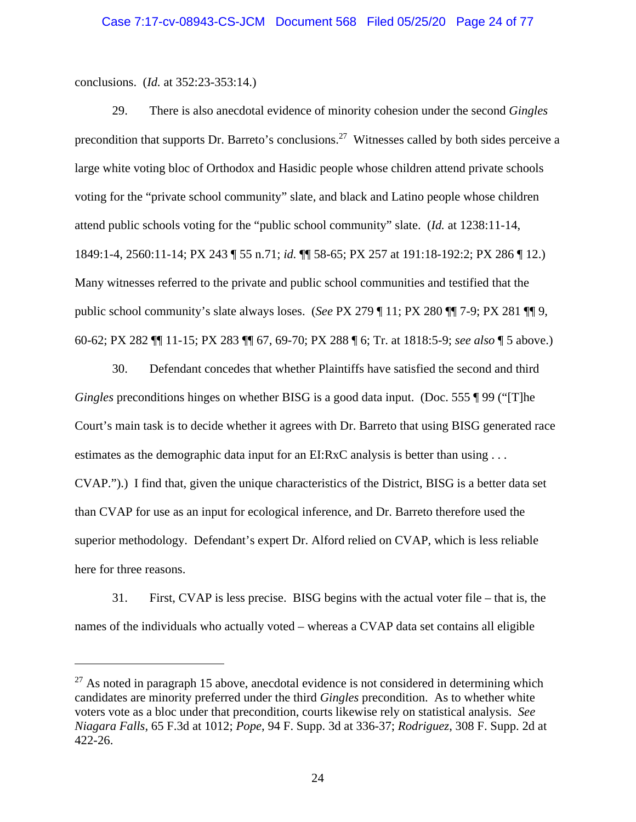conclusions. (*Id.* at 352:23-353:14.)

29. There is also anecdotal evidence of minority cohesion under the second *Gingles* precondition that supports Dr. Barreto's conclusions.<sup>27</sup> Witnesses called by both sides perceive a large white voting bloc of Orthodox and Hasidic people whose children attend private schools voting for the "private school community" slate, and black and Latino people whose children attend public schools voting for the "public school community" slate. (*Id.* at 1238:11-14, 1849:1-4, 2560:11-14; PX 243 ¶ 55 n.71; *id.* ¶¶ 58-65; PX 257 at 191:18-192:2; PX 286 ¶ 12.) Many witnesses referred to the private and public school communities and testified that the public school community's slate always loses. (*See* PX 279 ¶ 11; PX 280 ¶¶ 7-9; PX 281 ¶¶ 9, 60-62; PX 282 ¶¶ 11-15; PX 283 ¶¶ 67, 69-70; PX 288 ¶ 6; Tr. at 1818:5-9; *see also* ¶ 5 above.)

30. Defendant concedes that whether Plaintiffs have satisfied the second and third *Gingles* preconditions hinges on whether BISG is a good data input. (Doc. 555 ¶ 99 ("[T]he Court's main task is to decide whether it agrees with Dr. Barreto that using BISG generated race estimates as the demographic data input for an EI:RxC analysis is better than using . . . CVAP.").) I find that, given the unique characteristics of the District, BISG is a better data set than CVAP for use as an input for ecological inference, and Dr. Barreto therefore used the superior methodology. Defendant's expert Dr. Alford relied on CVAP, which is less reliable here for three reasons.

31. First, CVAP is less precise. BISG begins with the actual voter file – that is, the names of the individuals who actually voted – whereas a CVAP data set contains all eligible

 $27$  As noted in paragraph 15 above, anecdotal evidence is not considered in determining which candidates are minority preferred under the third *Gingles* precondition. As to whether white voters vote as a bloc under that precondition, courts likewise rely on statistical analysis. *See Niagara Falls*, 65 F.3d at 1012; *Pope*, 94 F. Supp. 3d at 336-37; *Rodriguez*, 308 F. Supp. 2d at 422-26.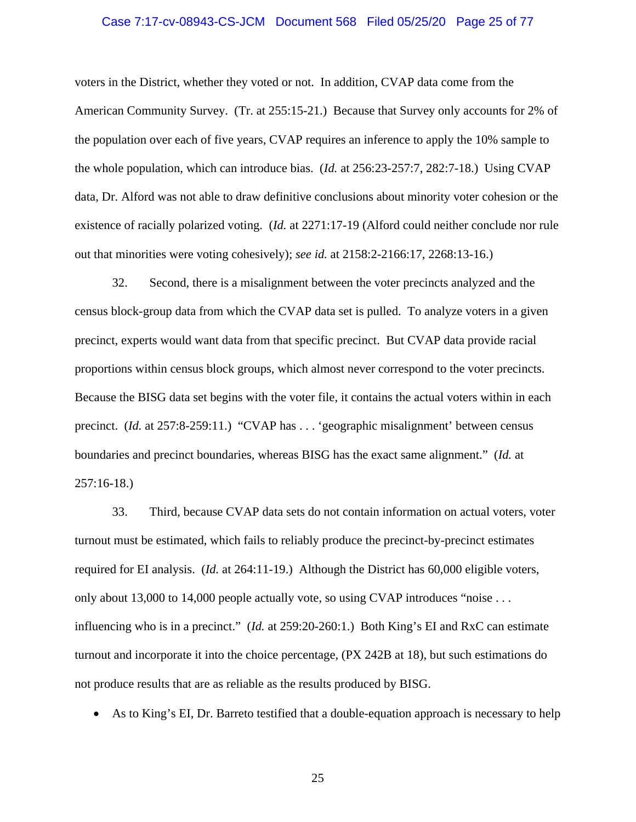### Case 7:17-cv-08943-CS-JCM Document 568 Filed 05/25/20 Page 25 of 77

voters in the District, whether they voted or not. In addition, CVAP data come from the American Community Survey. (Tr. at 255:15-21.) Because that Survey only accounts for 2% of the population over each of five years, CVAP requires an inference to apply the 10% sample to the whole population, which can introduce bias. (*Id.* at 256:23-257:7, 282:7-18.) Using CVAP data, Dr. Alford was not able to draw definitive conclusions about minority voter cohesion or the existence of racially polarized voting. (*Id.* at 2271:17-19 (Alford could neither conclude nor rule out that minorities were voting cohesively); *see id.* at 2158:2-2166:17, 2268:13-16.)

32. Second, there is a misalignment between the voter precincts analyzed and the census block-group data from which the CVAP data set is pulled. To analyze voters in a given precinct, experts would want data from that specific precinct. But CVAP data provide racial proportions within census block groups, which almost never correspond to the voter precincts. Because the BISG data set begins with the voter file, it contains the actual voters within in each precinct. (*Id.* at 257:8-259:11.) "CVAP has . . . 'geographic misalignment' between census boundaries and precinct boundaries, whereas BISG has the exact same alignment." (*Id.* at 257:16-18.)

33. Third, because CVAP data sets do not contain information on actual voters, voter turnout must be estimated, which fails to reliably produce the precinct-by-precinct estimates required for EI analysis. (*Id.* at 264:11-19.) Although the District has 60,000 eligible voters, only about 13,000 to 14,000 people actually vote, so using CVAP introduces "noise . . . influencing who is in a precinct." (*Id.* at 259:20-260:1.) Both King's EI and RxC can estimate turnout and incorporate it into the choice percentage, (PX 242B at 18), but such estimations do not produce results that are as reliable as the results produced by BISG.

As to King's EI, Dr. Barreto testified that a double-equation approach is necessary to help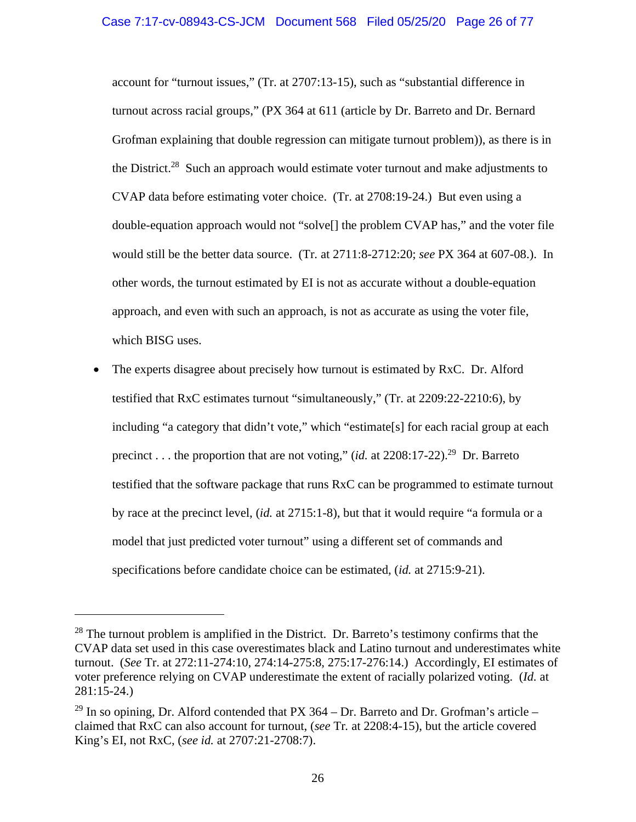account for "turnout issues," (Tr. at 2707:13-15), such as "substantial difference in turnout across racial groups," (PX 364 at 611 (article by Dr. Barreto and Dr. Bernard Grofman explaining that double regression can mitigate turnout problem)), as there is in the District.<sup>28</sup> Such an approach would estimate voter turnout and make adjustments to CVAP data before estimating voter choice. (Tr. at 2708:19-24.) But even using a double-equation approach would not "solve[] the problem CVAP has," and the voter file would still be the better data source. (Tr*.* at 2711:8-2712:20; *see* PX 364 at 607-08.). In other words, the turnout estimated by EI is not as accurate without a double-equation approach, and even with such an approach, is not as accurate as using the voter file, which BISG uses.

 The experts disagree about precisely how turnout is estimated by RxC. Dr. Alford testified that RxC estimates turnout "simultaneously," (Tr. at 2209:22-2210:6), by including "a category that didn't vote," which "estimate[s] for each racial group at each precinct . . . the proportion that are not voting," (*id.* at  $2208:17-22$ ).<sup>29</sup> Dr. Barreto testified that the software package that runs RxC can be programmed to estimate turnout by race at the precinct level, (*id.* at 2715:1-8), but that it would require "a formula or a model that just predicted voter turnout" using a different set of commands and specifications before candidate choice can be estimated, (*id.* at 2715:9-21).

 $28$  The turnout problem is amplified in the District. Dr. Barreto's testimony confirms that the CVAP data set used in this case overestimates black and Latino turnout and underestimates white turnout. (*See* Tr. at 272:11-274:10, 274:14-275:8, 275:17-276:14.) Accordingly, EI estimates of voter preference relying on CVAP underestimate the extent of racially polarized voting. (*Id.* at 281:15-24.)

 $^{29}$  In so opining, Dr. Alford contended that PX 364 – Dr. Barreto and Dr. Grofman's article – claimed that RxC can also account for turnout, (*see* Tr*.* at 2208:4-15), but the article covered King's EI, not RxC, (*see id.* at 2707:21-2708:7).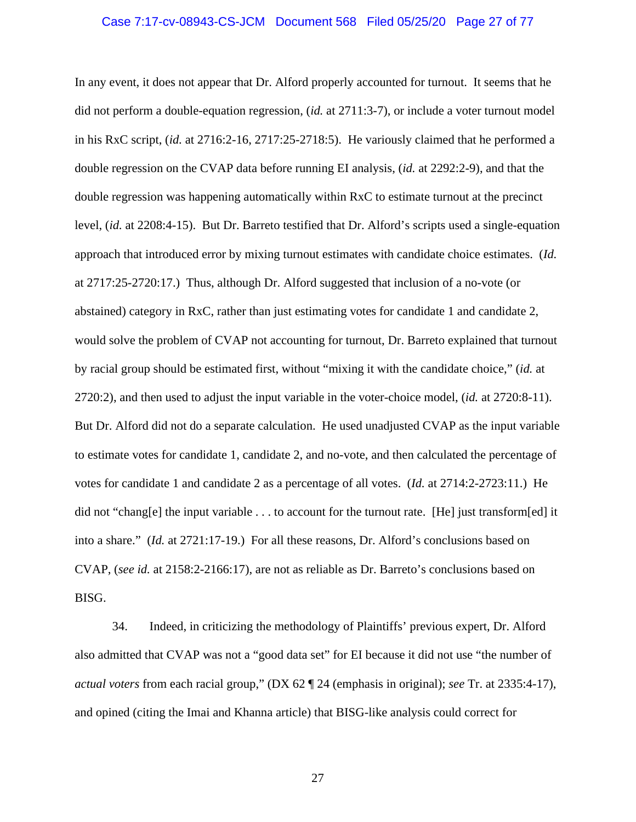#### Case 7:17-cv-08943-CS-JCM Document 568 Filed 05/25/20 Page 27 of 77

In any event, it does not appear that Dr. Alford properly accounted for turnout. It seems that he did not perform a double-equation regression, (*id.* at 2711:3-7), or include a voter turnout model in his RxC script, (*id.* at 2716:2-16, 2717:25-2718:5). He variously claimed that he performed a double regression on the CVAP data before running EI analysis, (*id.* at 2292:2-9), and that the double regression was happening automatically within RxC to estimate turnout at the precinct level, (*id.* at 2208:4-15). But Dr. Barreto testified that Dr. Alford's scripts used a single-equation approach that introduced error by mixing turnout estimates with candidate choice estimates. (*Id.* at 2717:25-2720:17.) Thus, although Dr. Alford suggested that inclusion of a no-vote (or abstained) category in RxC, rather than just estimating votes for candidate 1 and candidate 2, would solve the problem of CVAP not accounting for turnout, Dr. Barreto explained that turnout by racial group should be estimated first, without "mixing it with the candidate choice," (*id.* at 2720:2), and then used to adjust the input variable in the voter-choice model, (*id.* at 2720:8-11). But Dr. Alford did not do a separate calculation. He used unadjusted CVAP as the input variable to estimate votes for candidate 1, candidate 2, and no-vote, and then calculated the percentage of votes for candidate 1 and candidate 2 as a percentage of all votes. (*Id.* at 2714:2-2723:11.) He did not "chang[e] the input variable . . . to account for the turnout rate. [He] just transform[ed] it into a share." (*Id.* at 2721:17-19.) For all these reasons, Dr. Alford's conclusions based on CVAP, (*see id.* at 2158:2-2166:17), are not as reliable as Dr. Barreto's conclusions based on BISG.

34. Indeed, in criticizing the methodology of Plaintiffs' previous expert, Dr. Alford also admitted that CVAP was not a "good data set" for EI because it did not use "the number of *actual voters* from each racial group," (DX 62 ¶ 24 (emphasis in original); *see* Tr. at 2335:4-17), and opined (citing the Imai and Khanna article) that BISG-like analysis could correct for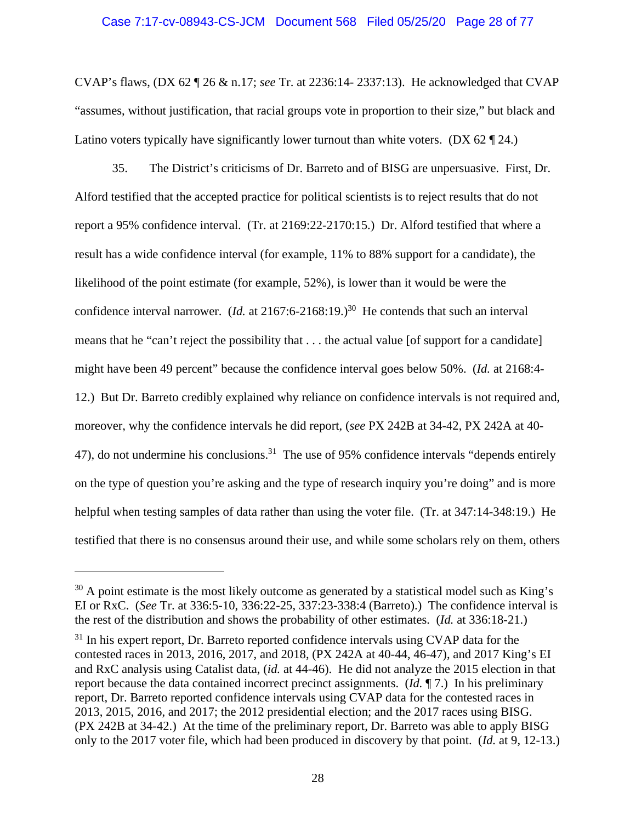## Case 7:17-cv-08943-CS-JCM Document 568 Filed 05/25/20 Page 28 of 77

CVAP's flaws, (DX 62 ¶ 26 & n.17; *see* Tr. at 2236:14- 2337:13). He acknowledged that CVAP "assumes, without justification, that racial groups vote in proportion to their size," but black and Latino voters typically have significantly lower turnout than white voters. (DX 62  $\P$  24.)

35. The District's criticisms of Dr. Barreto and of BISG are unpersuasive. First, Dr. Alford testified that the accepted practice for political scientists is to reject results that do not report a 95% confidence interval. (Tr. at 2169:22-2170:15.) Dr. Alford testified that where a result has a wide confidence interval (for example, 11% to 88% support for a candidate), the likelihood of the point estimate (for example, 52%), is lower than it would be were the confidence interval narrower. (*Id.* at 2167:6-2168:19.)<sup>30</sup> He contends that such an interval means that he "can't reject the possibility that . . . the actual value [of support for a candidate] might have been 49 percent" because the confidence interval goes below 50%. (*Id.* at 2168:4- 12.) But Dr. Barreto credibly explained why reliance on confidence intervals is not required and, moreover, why the confidence intervals he did report, (*see* PX 242B at 34-42, PX 242A at 40- 47), do not undermine his conclusions.<sup>31</sup> The use of 95% confidence intervals "depends entirely on the type of question you're asking and the type of research inquiry you're doing" and is more helpful when testing samples of data rather than using the voter file. (Tr. at 347:14-348:19.) He testified that there is no consensus around their use, and while some scholars rely on them, others

 $30$  A point estimate is the most likely outcome as generated by a statistical model such as King's EI or RxC. (*See* Tr. at 336:5-10, 336:22-25, 337:23-338:4 (Barreto).) The confidence interval is the rest of the distribution and shows the probability of other estimates. (*Id.* at 336:18-21.)

 $31$  In his expert report, Dr. Barreto reported confidence intervals using CVAP data for the contested races in 2013, 2016, 2017, and 2018, (PX 242A at 40-44, 46-47), and 2017 King's EI and RxC analysis using Catalist data, (*id.* at 44-46). He did not analyze the 2015 election in that report because the data contained incorrect precinct assignments. (*Id.* ¶ 7.) In his preliminary report, Dr. Barreto reported confidence intervals using CVAP data for the contested races in 2013, 2015, 2016, and 2017; the 2012 presidential election; and the 2017 races using BISG. (PX 242B at 34-42.) At the time of the preliminary report, Dr. Barreto was able to apply BISG only to the 2017 voter file, which had been produced in discovery by that point. (*Id.* at 9, 12-13.)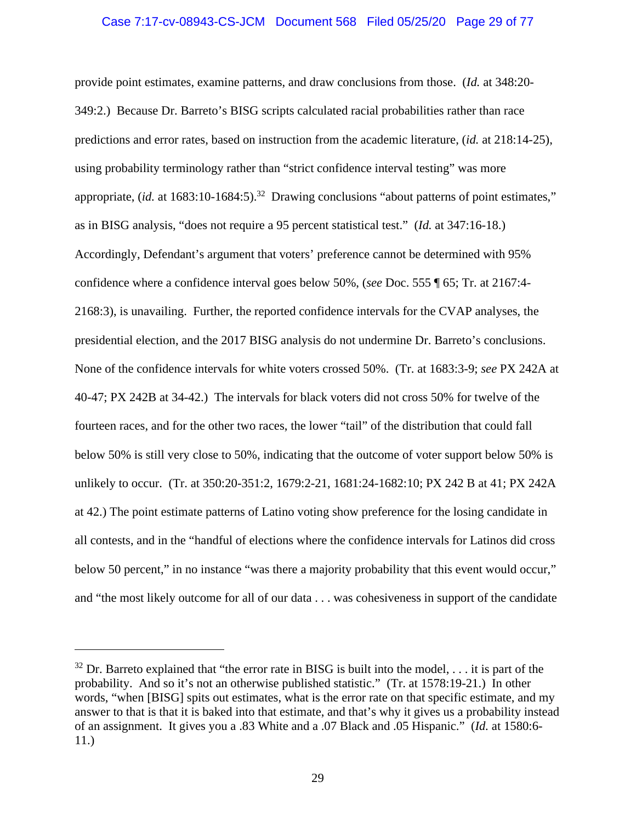# Case 7:17-cv-08943-CS-JCM Document 568 Filed 05/25/20 Page 29 of 77

provide point estimates, examine patterns, and draw conclusions from those. (*Id.* at 348:20- 349:2.) Because Dr. Barreto's BISG scripts calculated racial probabilities rather than race predictions and error rates, based on instruction from the academic literature, (*id.* at 218:14-25), using probability terminology rather than "strict confidence interval testing" was more appropriate,  $(id.$  at  $1683:10-1684:5)$ .<sup>32</sup> Drawing conclusions "about patterns of point estimates," as in BISG analysis, "does not require a 95 percent statistical test." (*Id.* at 347:16-18.) Accordingly, Defendant's argument that voters' preference cannot be determined with 95% confidence where a confidence interval goes below 50%, (*see* Doc. 555 ¶ 65; Tr. at 2167:4- 2168:3), is unavailing. Further, the reported confidence intervals for the CVAP analyses, the presidential election, and the 2017 BISG analysis do not undermine Dr. Barreto's conclusions. None of the confidence intervals for white voters crossed 50%. (Tr. at 1683:3-9; *see* PX 242A at 40-47; PX 242B at 34-42.) The intervals for black voters did not cross 50% for twelve of the fourteen races, and for the other two races, the lower "tail" of the distribution that could fall below 50% is still very close to 50%, indicating that the outcome of voter support below 50% is unlikely to occur. (Tr. at 350:20-351:2, 1679:2-21, 1681:24-1682:10; PX 242 B at 41; PX 242A at 42.) The point estimate patterns of Latino voting show preference for the losing candidate in all contests, and in the "handful of elections where the confidence intervals for Latinos did cross below 50 percent," in no instance "was there a majority probability that this event would occur," and "the most likely outcome for all of our data . . . was cohesiveness in support of the candidate

 $32$  Dr. Barreto explained that "the error rate in BISG is built into the model, ... it is part of the probability. And so it's not an otherwise published statistic." (Tr. at 1578:19-21.) In other words, "when [BISG] spits out estimates, what is the error rate on that specific estimate, and my answer to that is that it is baked into that estimate, and that's why it gives us a probability instead of an assignment. It gives you a .83 White and a .07 Black and .05 Hispanic." (*Id.* at 1580:6- 11.)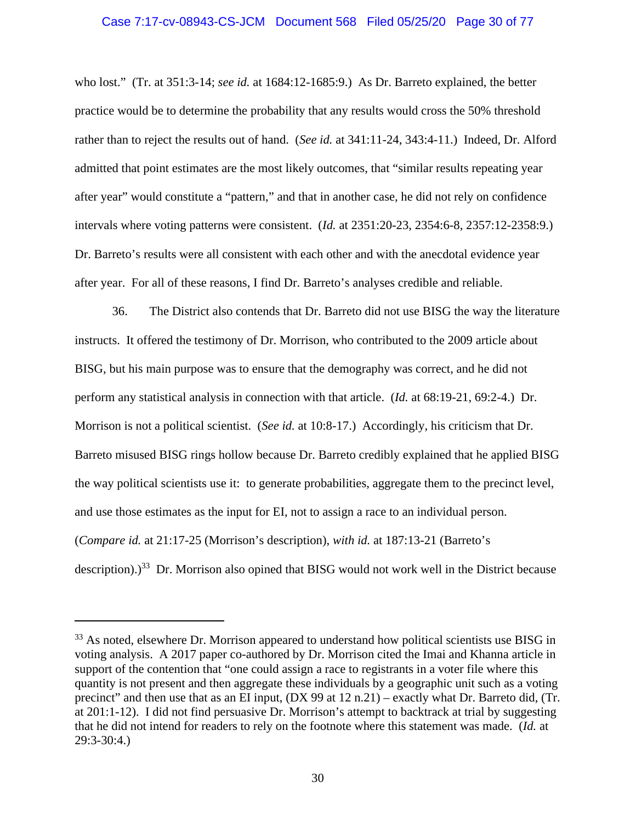### Case 7:17-cv-08943-CS-JCM Document 568 Filed 05/25/20 Page 30 of 77

who lost." (Tr. at 351:3-14; *see id.* at 1684:12-1685:9.) As Dr. Barreto explained, the better practice would be to determine the probability that any results would cross the 50% threshold rather than to reject the results out of hand. (*See id.* at 341:11-24, 343:4-11.) Indeed, Dr. Alford admitted that point estimates are the most likely outcomes, that "similar results repeating year after year" would constitute a "pattern," and that in another case, he did not rely on confidence intervals where voting patterns were consistent. (*Id.* at 2351:20-23, 2354:6-8, 2357:12-2358:9.) Dr. Barreto's results were all consistent with each other and with the anecdotal evidence year after year. For all of these reasons, I find Dr. Barreto's analyses credible and reliable.

36. The District also contends that Dr. Barreto did not use BISG the way the literature instructs. It offered the testimony of Dr. Morrison, who contributed to the 2009 article about BISG, but his main purpose was to ensure that the demography was correct, and he did not perform any statistical analysis in connection with that article. (*Id.* at 68:19-21, 69:2-4.) Dr. Morrison is not a political scientist. (*See id.* at 10:8-17.) Accordingly, his criticism that Dr. Barreto misused BISG rings hollow because Dr. Barreto credibly explained that he applied BISG the way political scientists use it: to generate probabilities, aggregate them to the precinct level, and use those estimates as the input for EI, not to assign a race to an individual person. (*Compare id.* at 21:17-25 (Morrison's description), *with id.* at 187:13-21 (Barreto's description).)<sup>33</sup> Dr. Morrison also opined that BISG would not work well in the District because

<sup>&</sup>lt;sup>33</sup> As noted, elsewhere Dr. Morrison appeared to understand how political scientists use BISG in voting analysis. A 2017 paper co-authored by Dr. Morrison cited the Imai and Khanna article in support of the contention that "one could assign a race to registrants in a voter file where this quantity is not present and then aggregate these individuals by a geographic unit such as a voting precinct" and then use that as an EI input, (DX 99 at 12 n.21) – exactly what Dr. Barreto did, (Tr. at 201:1-12). I did not find persuasive Dr. Morrison's attempt to backtrack at trial by suggesting that he did not intend for readers to rely on the footnote where this statement was made. (*Id.* at 29:3-30:4.)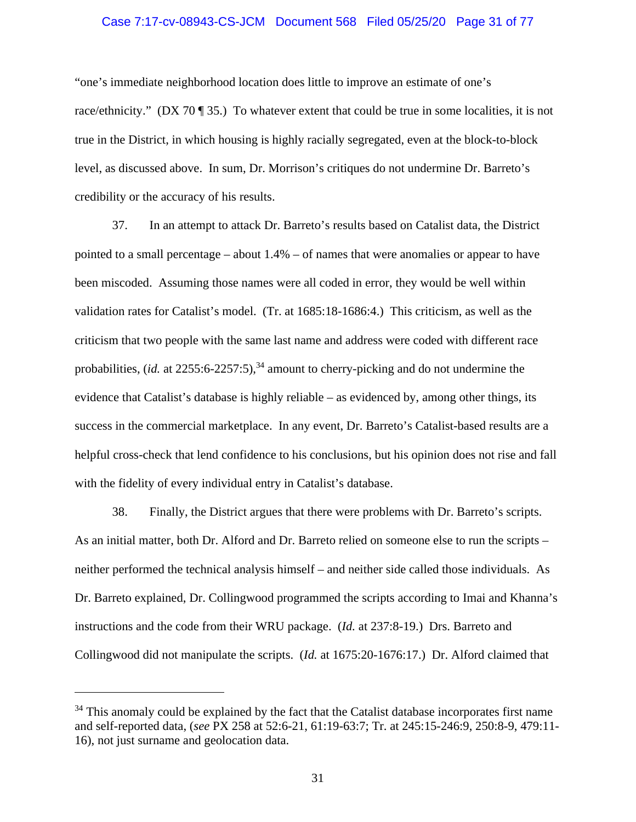### Case 7:17-cv-08943-CS-JCM Document 568 Filed 05/25/20 Page 31 of 77

"one's immediate neighborhood location does little to improve an estimate of one's race/ethnicity." (DX 70 ¶ 35.) To whatever extent that could be true in some localities, it is not true in the District, in which housing is highly racially segregated, even at the block-to-block level, as discussed above. In sum, Dr. Morrison's critiques do not undermine Dr. Barreto's credibility or the accuracy of his results.

37. In an attempt to attack Dr. Barreto's results based on Catalist data, the District pointed to a small percentage – about 1.4% – of names that were anomalies or appear to have been miscoded. Assuming those names were all coded in error, they would be well within validation rates for Catalist's model. (Tr. at 1685:18-1686:4.) This criticism, as well as the criticism that two people with the same last name and address were coded with different race probabilities, *(id.* at  $2255:6-2257:5$ ),  $34$  amount to cherry-picking and do not undermine the evidence that Catalist's database is highly reliable – as evidenced by, among other things, its success in the commercial marketplace. In any event, Dr. Barreto's Catalist-based results are a helpful cross-check that lend confidence to his conclusions, but his opinion does not rise and fall with the fidelity of every individual entry in Catalist's database.

38. Finally, the District argues that there were problems with Dr. Barreto's scripts. As an initial matter, both Dr. Alford and Dr. Barreto relied on someone else to run the scripts – neither performed the technical analysis himself – and neither side called those individuals. As Dr. Barreto explained, Dr. Collingwood programmed the scripts according to Imai and Khanna's instructions and the code from their WRU package. (*Id.* at 237:8-19.) Drs. Barreto and Collingwood did not manipulate the scripts. (*Id.* at 1675:20-1676:17.) Dr. Alford claimed that

<sup>&</sup>lt;sup>34</sup> This anomaly could be explained by the fact that the Catalist database incorporates first name and self-reported data, (*see* PX 258 at 52:6-21, 61:19-63:7; Tr. at 245:15-246:9, 250:8-9, 479:11- 16), not just surname and geolocation data.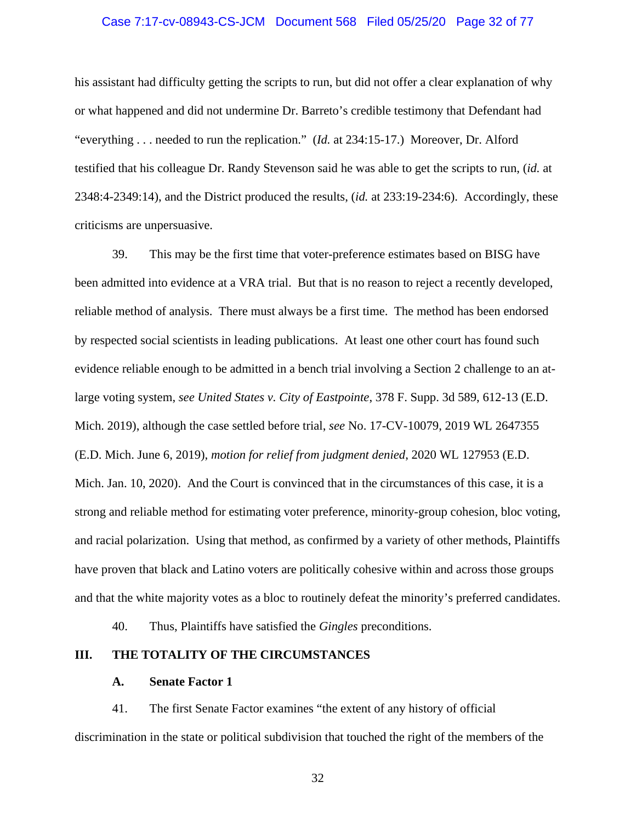### Case 7:17-cv-08943-CS-JCM Document 568 Filed 05/25/20 Page 32 of 77

his assistant had difficulty getting the scripts to run, but did not offer a clear explanation of why or what happened and did not undermine Dr. Barreto's credible testimony that Defendant had "everything . . . needed to run the replication." (*Id.* at 234:15-17.) Moreover, Dr. Alford testified that his colleague Dr. Randy Stevenson said he was able to get the scripts to run, (*id.* at 2348:4-2349:14), and the District produced the results, (*id.* at 233:19-234:6). Accordingly, these criticisms are unpersuasive.

39. This may be the first time that voter-preference estimates based on BISG have been admitted into evidence at a VRA trial. But that is no reason to reject a recently developed, reliable method of analysis. There must always be a first time. The method has been endorsed by respected social scientists in leading publications. At least one other court has found such evidence reliable enough to be admitted in a bench trial involving a Section 2 challenge to an atlarge voting system, *see United States v. City of Eastpointe*, 378 F. Supp. 3d 589, 612-13 (E.D. Mich. 2019), although the case settled before trial, *see* No. 17-CV-10079, 2019 WL 2647355 (E.D. Mich. June 6, 2019), *motion for relief from judgment denied*, 2020 WL 127953 (E.D. Mich. Jan. 10, 2020). And the Court is convinced that in the circumstances of this case, it is a strong and reliable method for estimating voter preference, minority-group cohesion, bloc voting, and racial polarization. Using that method, as confirmed by a variety of other methods, Plaintiffs have proven that black and Latino voters are politically cohesive within and across those groups and that the white majority votes as a bloc to routinely defeat the minority's preferred candidates.

40. Thus, Plaintiffs have satisfied the *Gingles* preconditions.

## **III. THE TOTALITY OF THE CIRCUMSTANCES**

### **A. Senate Factor 1**

41. The first Senate Factor examines "the extent of any history of official discrimination in the state or political subdivision that touched the right of the members of the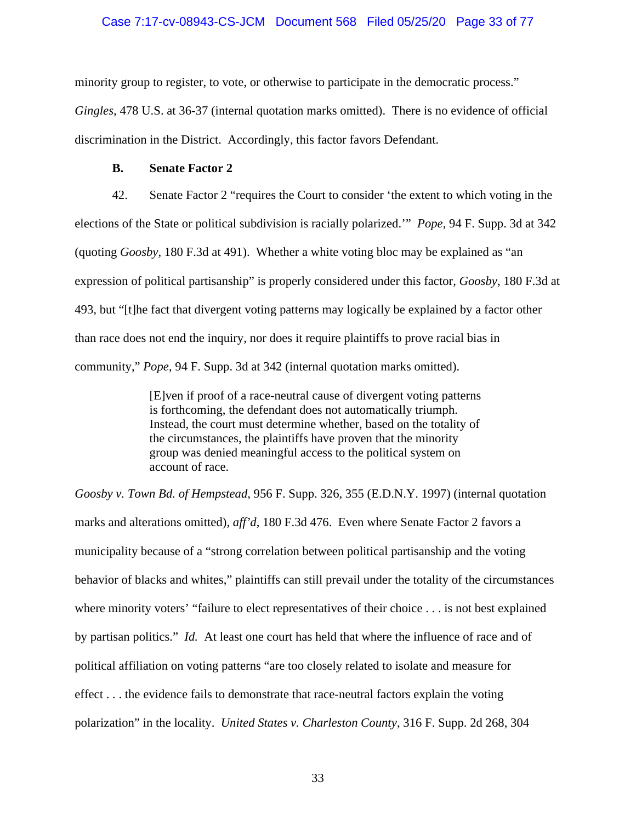## Case 7:17-cv-08943-CS-JCM Document 568 Filed 05/25/20 Page 33 of 77

minority group to register, to vote, or otherwise to participate in the democratic process."

*Gingles*, 478 U.S. at 36-37 (internal quotation marks omitted). There is no evidence of official discrimination in the District. Accordingly, this factor favors Defendant.

# **B. Senate Factor 2**

42. Senate Factor 2 "requires the Court to consider 'the extent to which voting in the elections of the State or political subdivision is racially polarized.'" *Pope*, 94 F. Supp. 3d at 342 (quoting *Goosby*, 180 F.3d at 491). Whether a white voting bloc may be explained as "an expression of political partisanship" is properly considered under this factor, *Goosby*, 180 F.3d at 493, but "[t]he fact that divergent voting patterns may logically be explained by a factor other than race does not end the inquiry, nor does it require plaintiffs to prove racial bias in community," *Pope*, 94 F. Supp. 3d at 342 (internal quotation marks omitted).

> [E]ven if proof of a race-neutral cause of divergent voting patterns is forthcoming, the defendant does not automatically triumph. Instead, the court must determine whether, based on the totality of the circumstances, the plaintiffs have proven that the minority group was denied meaningful access to the political system on account of race.

*Goosby v. Town Bd. of Hempstead*, 956 F. Supp. 326, 355 (E.D.N.Y. 1997) (internal quotation marks and alterations omitted), *aff'd*, 180 F.3d 476. Even where Senate Factor 2 favors a municipality because of a "strong correlation between political partisanship and the voting behavior of blacks and whites," plaintiffs can still prevail under the totality of the circumstances where minority voters' "failure to elect representatives of their choice . . . is not best explained by partisan politics." *Id.* At least one court has held that where the influence of race and of political affiliation on voting patterns "are too closely related to isolate and measure for effect . . . the evidence fails to demonstrate that race-neutral factors explain the voting polarization" in the locality. *United States v. Charleston County*, 316 F. Supp. 2d 268, 304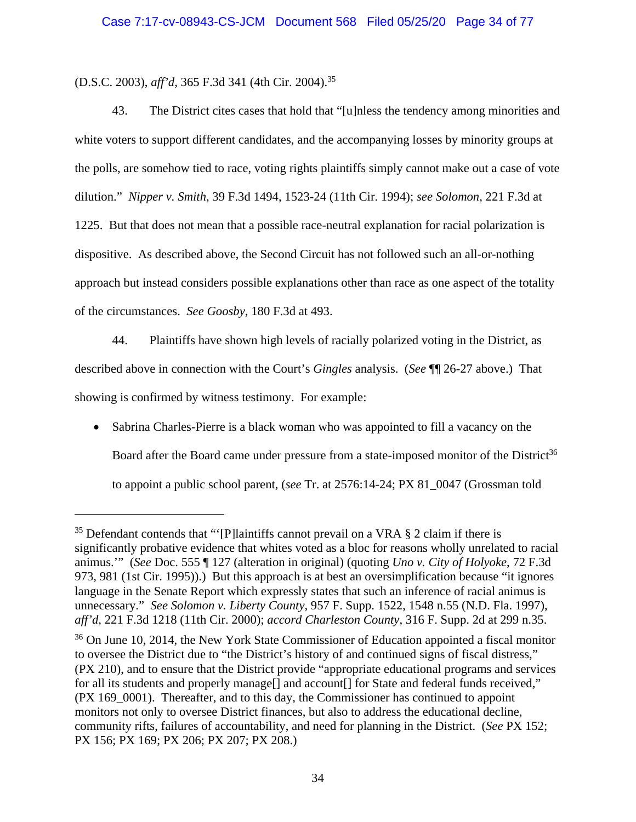(D.S.C. 2003), *aff'd*, 365 F.3d 341 (4th Cir. 2004).35

43. The District cites cases that hold that "[u]nless the tendency among minorities and white voters to support different candidates, and the accompanying losses by minority groups at the polls, are somehow tied to race, voting rights plaintiffs simply cannot make out a case of vote dilution." *Nipper v. Smith*, 39 F.3d 1494, 1523-24 (11th Cir. 1994); *see Solomon*, 221 F.3d at 1225. But that does not mean that a possible race-neutral explanation for racial polarization is dispositive. As described above, the Second Circuit has not followed such an all-or-nothing approach but instead considers possible explanations other than race as one aspect of the totality of the circumstances. *See Goosby*, 180 F.3d at 493.

44. Plaintiffs have shown high levels of racially polarized voting in the District, as described above in connection with the Court's *Gingles* analysis. (*See* ¶¶ 26-27 above.) That showing is confirmed by witness testimony. For example:

 Sabrina Charles-Pierre is a black woman who was appointed to fill a vacancy on the Board after the Board came under pressure from a state-imposed monitor of the District<sup>36</sup> to appoint a public school parent, (*see* Tr. at 2576:14-24; PX 81\_0047 (Grossman told

 $35$  Defendant contends that "'[P]laintiffs cannot prevail on a VRA § 2 claim if there is significantly probative evidence that whites voted as a bloc for reasons wholly unrelated to racial animus.'" (*See* Doc. 555 ¶ 127 (alteration in original) (quoting *Uno v. City of Holyoke*, 72 F.3d 973, 981 (1st Cir. 1995)).) But this approach is at best an oversimplification because "it ignores language in the Senate Report which expressly states that such an inference of racial animus is unnecessary." *See Solomon v. Liberty County*, 957 F. Supp. 1522, 1548 n.55 (N.D. Fla. 1997), *aff'd*, 221 F.3d 1218 (11th Cir. 2000); *accord Charleston County*, 316 F. Supp. 2d at 299 n.35.

<sup>&</sup>lt;sup>36</sup> On June 10, 2014, the New York State Commissioner of Education appointed a fiscal monitor to oversee the District due to "the District's history of and continued signs of fiscal distress," (PX 210), and to ensure that the District provide "appropriate educational programs and services for all its students and properly manage<sup>[]</sup> and account<sup>[]</sup> for State and federal funds received," (PX 169\_0001). Thereafter, and to this day, the Commissioner has continued to appoint monitors not only to oversee District finances, but also to address the educational decline, community rifts, failures of accountability, and need for planning in the District. (*See* PX 152; PX 156; PX 169; PX 206; PX 207; PX 208.)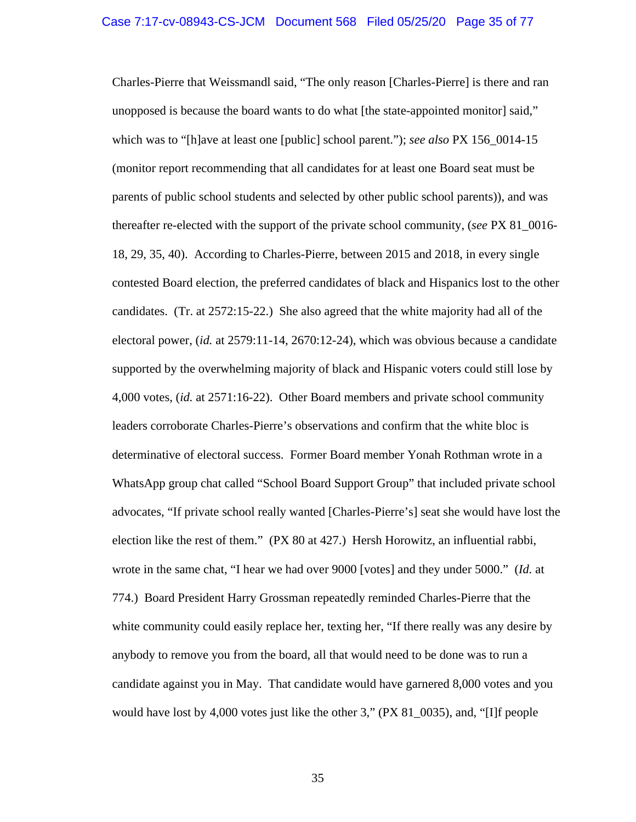Charles-Pierre that Weissmandl said, "The only reason [Charles-Pierre] is there and ran unopposed is because the board wants to do what [the state-appointed monitor] said," which was to "[h]ave at least one [public] school parent."); *see also* PX 156\_0014-15 (monitor report recommending that all candidates for at least one Board seat must be parents of public school students and selected by other public school parents)), and was thereafter re-elected with the support of the private school community, (*see* PX 81\_0016- 18, 29, 35, 40). According to Charles-Pierre, between 2015 and 2018, in every single contested Board election, the preferred candidates of black and Hispanics lost to the other candidates. (Tr. at 2572:15-22.) She also agreed that the white majority had all of the electoral power, (*id.* at 2579:11-14, 2670:12-24), which was obvious because a candidate supported by the overwhelming majority of black and Hispanic voters could still lose by 4,000 votes, (*id.* at 2571:16-22). Other Board members and private school community leaders corroborate Charles-Pierre's observations and confirm that the white bloc is determinative of electoral success. Former Board member Yonah Rothman wrote in a WhatsApp group chat called "School Board Support Group" that included private school advocates, "If private school really wanted [Charles-Pierre's] seat she would have lost the election like the rest of them." (PX 80 at 427.) Hersh Horowitz, an influential rabbi, wrote in the same chat, "I hear we had over 9000 [votes] and they under 5000." (*Id.* at 774.) Board President Harry Grossman repeatedly reminded Charles-Pierre that the white community could easily replace her, texting her, "If there really was any desire by anybody to remove you from the board, all that would need to be done was to run a candidate against you in May. That candidate would have garnered 8,000 votes and you would have lost by 4,000 votes just like the other 3," (PX 81\_0035), and, "[I]f people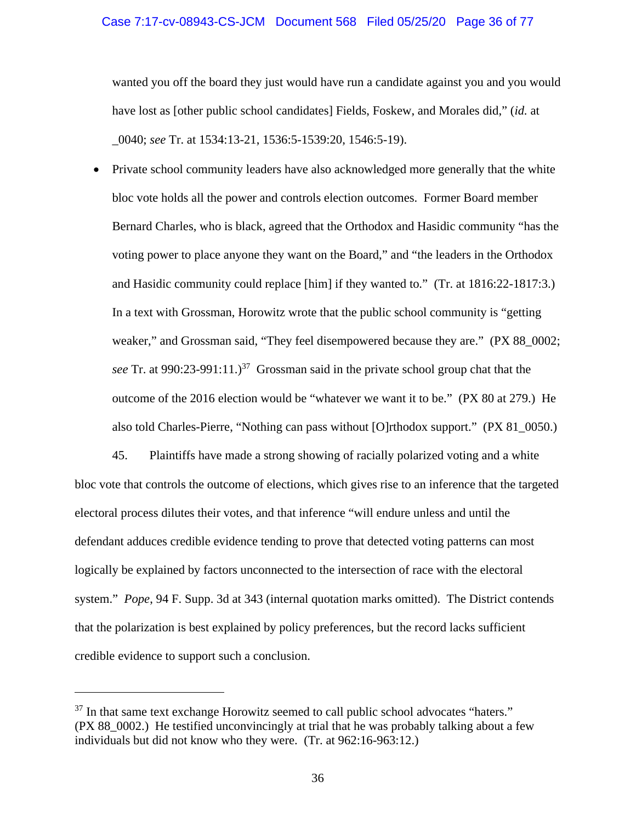### Case 7:17-cv-08943-CS-JCM Document 568 Filed 05/25/20 Page 36 of 77

wanted you off the board they just would have run a candidate against you and you would have lost as [other public school candidates] Fields, Foskew, and Morales did," (*id.* at \_0040; *see* Tr. at 1534:13-21, 1536:5-1539:20, 1546:5-19).

• Private school community leaders have also acknowledged more generally that the white bloc vote holds all the power and controls election outcomes. Former Board member Bernard Charles, who is black, agreed that the Orthodox and Hasidic community "has the voting power to place anyone they want on the Board," and "the leaders in the Orthodox and Hasidic community could replace [him] if they wanted to." (Tr. at 1816:22-1817:3.) In a text with Grossman, Horowitz wrote that the public school community is "getting weaker," and Grossman said, "They feel disempowered because they are." (PX 88\_0002; *see* Tr. at 990:23-991:11.)<sup>37</sup> Grossman said in the private school group chat that the outcome of the 2016 election would be "whatever we want it to be." (PX 80 at 279.) He also told Charles-Pierre, "Nothing can pass without [O]rthodox support." (PX 81\_0050.)

45. Plaintiffs have made a strong showing of racially polarized voting and a white bloc vote that controls the outcome of elections, which gives rise to an inference that the targeted electoral process dilutes their votes, and that inference "will endure unless and until the defendant adduces credible evidence tending to prove that detected voting patterns can most logically be explained by factors unconnected to the intersection of race with the electoral system." *Pope*, 94 F. Supp. 3d at 343 (internal quotation marks omitted). The District contends that the polarization is best explained by policy preferences, but the record lacks sufficient credible evidence to support such a conclusion.

 $37$  In that same text exchange Horowitz seemed to call public school advocates "haters." (PX 88\_0002.) He testified unconvincingly at trial that he was probably talking about a few individuals but did not know who they were. (Tr. at 962:16-963:12.)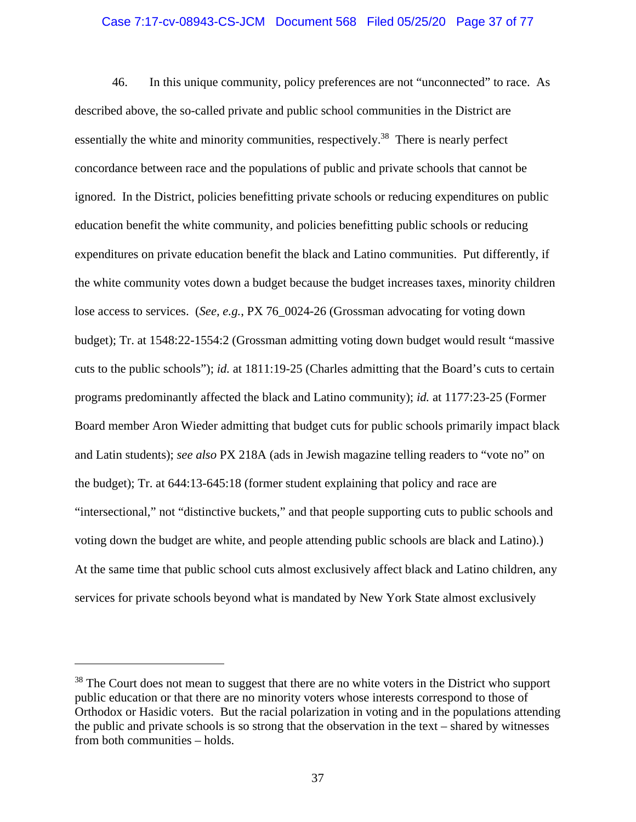# Case 7:17-cv-08943-CS-JCM Document 568 Filed 05/25/20 Page 37 of 77

46. In this unique community, policy preferences are not "unconnected" to race. As described above, the so-called private and public school communities in the District are essentially the white and minority communities, respectively.<sup>38</sup> There is nearly perfect concordance between race and the populations of public and private schools that cannot be ignored. In the District, policies benefitting private schools or reducing expenditures on public education benefit the white community, and policies benefitting public schools or reducing expenditures on private education benefit the black and Latino communities. Put differently, if the white community votes down a budget because the budget increases taxes, minority children lose access to services. (*See, e.g.*, PX 76\_0024-26 (Grossman advocating for voting down budget); Tr. at 1548:22-1554:2 (Grossman admitting voting down budget would result "massive cuts to the public schools"); *id.* at 1811:19-25 (Charles admitting that the Board's cuts to certain programs predominantly affected the black and Latino community); *id.* at 1177:23-25 (Former Board member Aron Wieder admitting that budget cuts for public schools primarily impact black and Latin students); *see also* PX 218A (ads in Jewish magazine telling readers to "vote no" on the budget); Tr. at 644:13-645:18 (former student explaining that policy and race are "intersectional," not "distinctive buckets," and that people supporting cuts to public schools and voting down the budget are white, and people attending public schools are black and Latino).) At the same time that public school cuts almost exclusively affect black and Latino children, any services for private schools beyond what is mandated by New York State almost exclusively

<sup>&</sup>lt;sup>38</sup> The Court does not mean to suggest that there are no white voters in the District who support public education or that there are no minority voters whose interests correspond to those of Orthodox or Hasidic voters. But the racial polarization in voting and in the populations attending the public and private schools is so strong that the observation in the text – shared by witnesses from both communities – holds.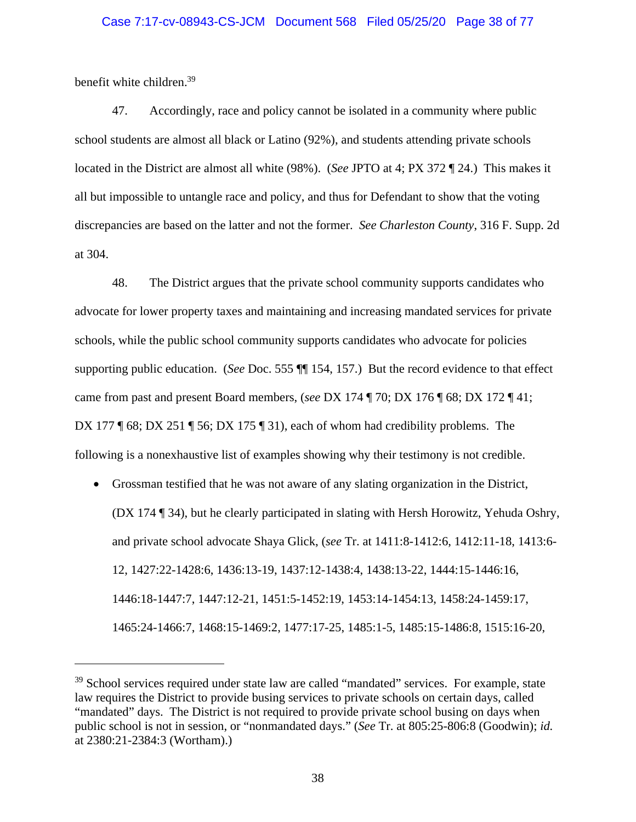# Case 7:17-cv-08943-CS-JCM Document 568 Filed 05/25/20 Page 38 of 77

benefit white children.39

47. Accordingly, race and policy cannot be isolated in a community where public school students are almost all black or Latino (92%), and students attending private schools located in the District are almost all white (98%). (*See* JPTO at 4; PX 372 ¶ 24.) This makes it all but impossible to untangle race and policy, and thus for Defendant to show that the voting discrepancies are based on the latter and not the former. *See Charleston County*, 316 F. Supp. 2d at 304.

48. The District argues that the private school community supports candidates who advocate for lower property taxes and maintaining and increasing mandated services for private schools, while the public school community supports candidates who advocate for policies supporting public education. (*See* Doc. 555 ¶¶ 154, 157.) But the record evidence to that effect came from past and present Board members, (*see* DX 174 ¶ 70; DX 176 ¶ 68; DX 172 ¶ 41; DX 177  $\sqrt{68}$ ; DX 251  $\sqrt{56}$ ; DX 175  $\sqrt{31}$ , each of whom had credibility problems. The following is a nonexhaustive list of examples showing why their testimony is not credible.

 Grossman testified that he was not aware of any slating organization in the District, (DX 174 ¶ 34), but he clearly participated in slating with Hersh Horowitz, Yehuda Oshry, and private school advocate Shaya Glick, (*see* Tr. at 1411:8-1412:6, 1412:11-18, 1413:6- 12, 1427:22-1428:6, 1436:13-19, 1437:12-1438:4, 1438:13-22, 1444:15-1446:16, 1446:18-1447:7, 1447:12-21, 1451:5-1452:19, 1453:14-1454:13, 1458:24-1459:17, 1465:24-1466:7, 1468:15-1469:2, 1477:17-25, 1485:1-5, 1485:15-1486:8, 1515:16-20,

<sup>&</sup>lt;sup>39</sup> School services required under state law are called "mandated" services. For example, state law requires the District to provide busing services to private schools on certain days, called "mandated" days. The District is not required to provide private school busing on days when public school is not in session, or "nonmandated days." (*See* Tr. at 805:25-806:8 (Goodwin); *id.* at 2380:21-2384:3 (Wortham).)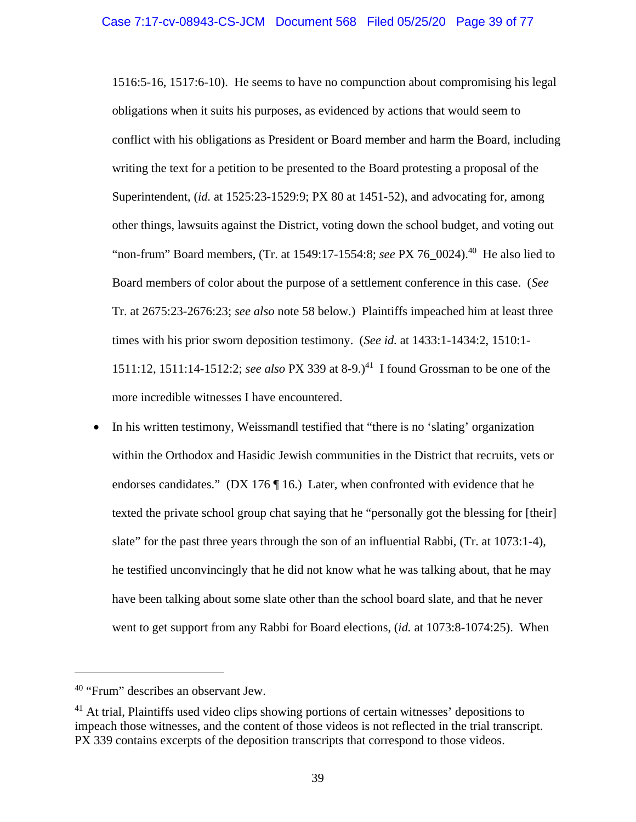1516:5-16, 1517:6-10). He seems to have no compunction about compromising his legal obligations when it suits his purposes, as evidenced by actions that would seem to conflict with his obligations as President or Board member and harm the Board, including writing the text for a petition to be presented to the Board protesting a proposal of the Superintendent, (*id.* at 1525:23-1529:9; PX 80 at 1451-52), and advocating for, among other things, lawsuits against the District, voting down the school budget, and voting out "non-frum" Board members, (Tr. at 1549:17-1554:8; *see* PX 76\_0024).40 He also lied to Board members of color about the purpose of a settlement conference in this case. (*See* Tr. at 2675:23-2676:23; *see also* note 58 below.) Plaintiffs impeached him at least three times with his prior sworn deposition testimony. (*See id.* at 1433:1-1434:2, 1510:1- 1511:12, 1511:14-1512:2; *see also* PX 339 at 8-9.)41 I found Grossman to be one of the more incredible witnesses I have encountered.

• In his written testimony, Weissmandl testified that "there is no 'slating' organization within the Orthodox and Hasidic Jewish communities in the District that recruits, vets or endorses candidates." (DX 176 $\P$ 16.) Later, when confronted with evidence that he texted the private school group chat saying that he "personally got the blessing for [their] slate" for the past three years through the son of an influential Rabbi, (Tr. at 1073:1-4), he testified unconvincingly that he did not know what he was talking about, that he may have been talking about some slate other than the school board slate, and that he never went to get support from any Rabbi for Board elections, (*id.* at 1073:8-1074:25). When

<sup>&</sup>lt;sup>40</sup> "Frum" describes an observant Jew.

 $41$  At trial, Plaintiffs used video clips showing portions of certain witnesses' depositions to impeach those witnesses, and the content of those videos is not reflected in the trial transcript. PX 339 contains excerpts of the deposition transcripts that correspond to those videos.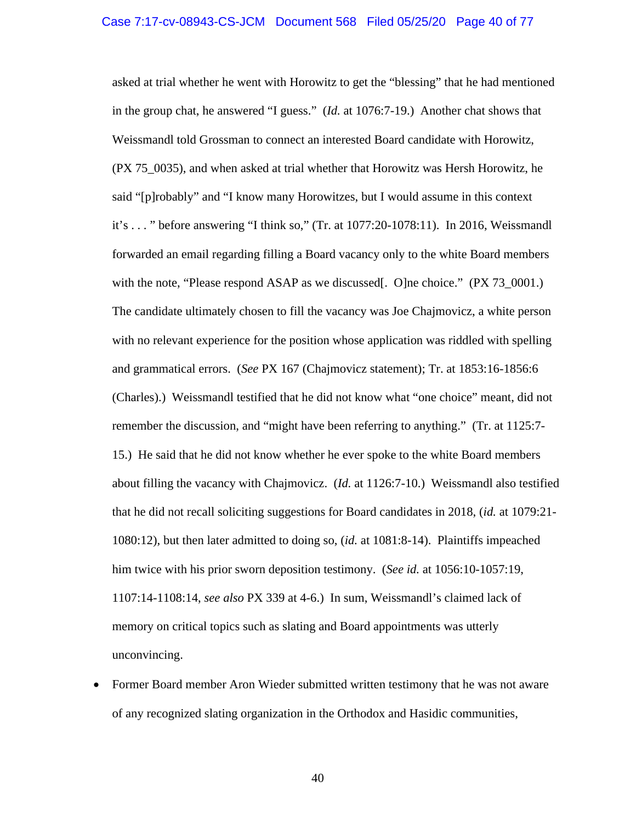asked at trial whether he went with Horowitz to get the "blessing" that he had mentioned in the group chat, he answered "I guess." (*Id.* at 1076:7-19.) Another chat shows that Weissmandl told Grossman to connect an interested Board candidate with Horowitz, (PX 75\_0035), and when asked at trial whether that Horowitz was Hersh Horowitz, he said "[p]robably" and "I know many Horowitzes, but I would assume in this context it's . . . " before answering "I think so," (Tr. at 1077:20-1078:11). In 2016, Weissmandl forwarded an email regarding filling a Board vacancy only to the white Board members with the note, "Please respond ASAP as we discussed. One choice." (PX 73\_0001.) The candidate ultimately chosen to fill the vacancy was Joe Chajmovicz, a white person with no relevant experience for the position whose application was riddled with spelling and grammatical errors. (*See* PX 167 (Chajmovicz statement); Tr. at 1853:16-1856:6 (Charles).) Weissmandl testified that he did not know what "one choice" meant, did not remember the discussion, and "might have been referring to anything." (Tr. at 1125:7- 15.) He said that he did not know whether he ever spoke to the white Board members about filling the vacancy with Chajmovicz. (*Id.* at 1126:7-10.) Weissmandl also testified that he did not recall soliciting suggestions for Board candidates in 2018, (*id.* at 1079:21- 1080:12), but then later admitted to doing so, (*id.* at 1081:8-14). Plaintiffs impeached him twice with his prior sworn deposition testimony. (*See id.* at 1056:10-1057:19, 1107:14-1108:14, *see also* PX 339 at 4-6.) In sum, Weissmandl's claimed lack of memory on critical topics such as slating and Board appointments was utterly unconvincing.

 Former Board member Aron Wieder submitted written testimony that he was not aware of any recognized slating organization in the Orthodox and Hasidic communities,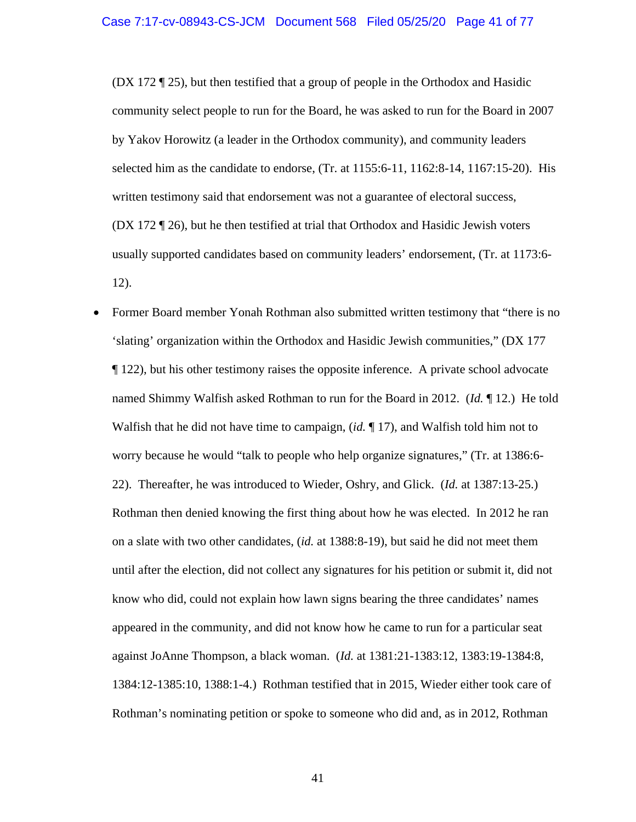(DX 172 ¶ 25), but then testified that a group of people in the Orthodox and Hasidic community select people to run for the Board, he was asked to run for the Board in 2007 by Yakov Horowitz (a leader in the Orthodox community), and community leaders selected him as the candidate to endorse, (Tr. at 1155:6-11, 1162:8-14, 1167:15-20). His written testimony said that endorsement was not a guarantee of electoral success, (DX 172 ¶ 26), but he then testified at trial that Orthodox and Hasidic Jewish voters usually supported candidates based on community leaders' endorsement, (Tr. at 1173:6- 12).

 Former Board member Yonah Rothman also submitted written testimony that "there is no 'slating' organization within the Orthodox and Hasidic Jewish communities," (DX 177 ¶ 122), but his other testimony raises the opposite inference. A private school advocate named Shimmy Walfish asked Rothman to run for the Board in 2012. (*Id.* ¶ 12.) He told Walfish that he did not have time to campaign, (*id.* ¶ 17), and Walfish told him not to worry because he would "talk to people who help organize signatures," (Tr. at 1386:6- 22). Thereafter, he was introduced to Wieder, Oshry, and Glick. (*Id.* at 1387:13-25.) Rothman then denied knowing the first thing about how he was elected. In 2012 he ran on a slate with two other candidates, (*id.* at 1388:8-19), but said he did not meet them until after the election, did not collect any signatures for his petition or submit it, did not know who did, could not explain how lawn signs bearing the three candidates' names appeared in the community, and did not know how he came to run for a particular seat against JoAnne Thompson, a black woman. (*Id.* at 1381:21-1383:12, 1383:19-1384:8, 1384:12-1385:10, 1388:1-4.) Rothman testified that in 2015, Wieder either took care of Rothman's nominating petition or spoke to someone who did and, as in 2012, Rothman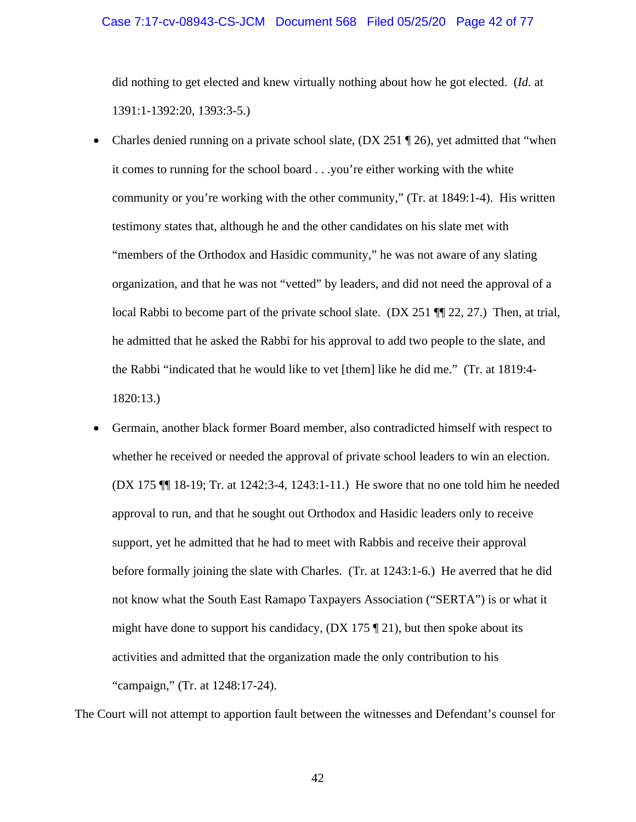# Case 7:17-cv-08943-CS-JCM Document 568 Filed 05/25/20 Page 42 of 77

did nothing to get elected and knew virtually nothing about how he got elected. (*Id.* at 1391:1-1392:20, 1393:3-5.)

- Charles denied running on a private school slate,  $(DX 251 \text{ } \textcircled{1} 26)$ , yet admitted that "when it comes to running for the school board . . .you're either working with the white community or you're working with the other community," (Tr. at 1849:1-4). His written testimony states that, although he and the other candidates on his slate met with "members of the Orthodox and Hasidic community," he was not aware of any slating organization, and that he was not "vetted" by leaders, and did not need the approval of a local Rabbi to become part of the private school slate. (DX 251 ¶¶ 22, 27.) Then, at trial, he admitted that he asked the Rabbi for his approval to add two people to the slate, and the Rabbi "indicated that he would like to vet [them] like he did me." (Tr. at 1819:4- 1820:13.)
- Germain, another black former Board member, also contradicted himself with respect to whether he received or needed the approval of private school leaders to win an election. (DX 175 ¶¶ 18-19; Tr. at 1242:3-4, 1243:1-11.) He swore that no one told him he needed approval to run, and that he sought out Orthodox and Hasidic leaders only to receive support, yet he admitted that he had to meet with Rabbis and receive their approval before formally joining the slate with Charles. (Tr. at 1243:1-6.) He averred that he did not know what the South East Ramapo Taxpayers Association ("SERTA") is or what it might have done to support his candidacy,  $(DX 175 \text{ T} 21)$ , but then spoke about its activities and admitted that the organization made the only contribution to his "campaign," (Tr. at 1248:17-24).

The Court will not attempt to apportion fault between the witnesses and Defendant's counsel for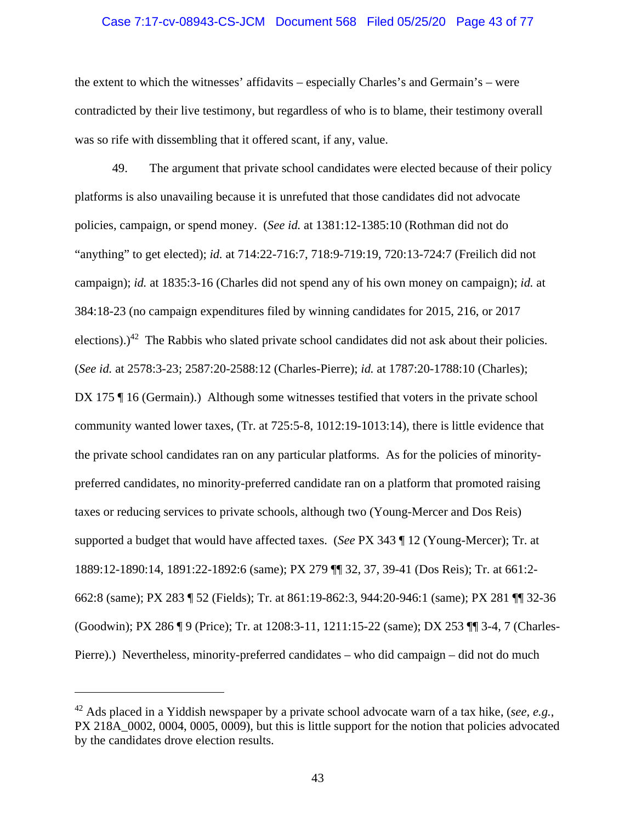## Case 7:17-cv-08943-CS-JCM Document 568 Filed 05/25/20 Page 43 of 77

the extent to which the witnesses' affidavits – especially Charles's and Germain's – were contradicted by their live testimony, but regardless of who is to blame, their testimony overall was so rife with dissembling that it offered scant, if any, value.

49. The argument that private school candidates were elected because of their policy platforms is also unavailing because it is unrefuted that those candidates did not advocate policies, campaign, or spend money. (*See id.* at 1381:12-1385:10 (Rothman did not do "anything" to get elected); *id.* at 714:22-716:7, 718:9-719:19, 720:13-724:7 (Freilich did not campaign); *id.* at 1835:3-16 (Charles did not spend any of his own money on campaign); *id.* at 384:18-23 (no campaign expenditures filed by winning candidates for 2015, 216, or 2017 elections).)<sup>42</sup> The Rabbis who slated private school candidates did not ask about their policies. (*See id.* at 2578:3-23; 2587:20-2588:12 (Charles-Pierre); *id.* at 1787:20-1788:10 (Charles); DX 175 ¶ 16 (Germain).) Although some witnesses testified that voters in the private school community wanted lower taxes, (Tr. at 725:5-8, 1012:19-1013:14), there is little evidence that the private school candidates ran on any particular platforms. As for the policies of minoritypreferred candidates, no minority-preferred candidate ran on a platform that promoted raising taxes or reducing services to private schools, although two (Young-Mercer and Dos Reis) supported a budget that would have affected taxes. (*See* PX 343 ¶ 12 (Young-Mercer); Tr. at 1889:12-1890:14, 1891:22-1892:6 (same); PX 279 ¶¶ 32, 37, 39-41 (Dos Reis); Tr. at 661:2- 662:8 (same); PX 283 ¶ 52 (Fields); Tr. at 861:19-862:3, 944:20-946:1 (same); PX 281 ¶¶ 32-36 (Goodwin); PX 286 ¶ 9 (Price); Tr. at 1208:3-11, 1211:15-22 (same); DX 253 ¶¶ 3-4, 7 (Charles-Pierre).) Nevertheless, minority-preferred candidates – who did campaign – did not do much

<sup>42</sup> Ads placed in a Yiddish newspaper by a private school advocate warn of a tax hike, (*see, e.g.*, PX 218A 0002, 0004, 0005, 0009), but this is little support for the notion that policies advocated by the candidates drove election results.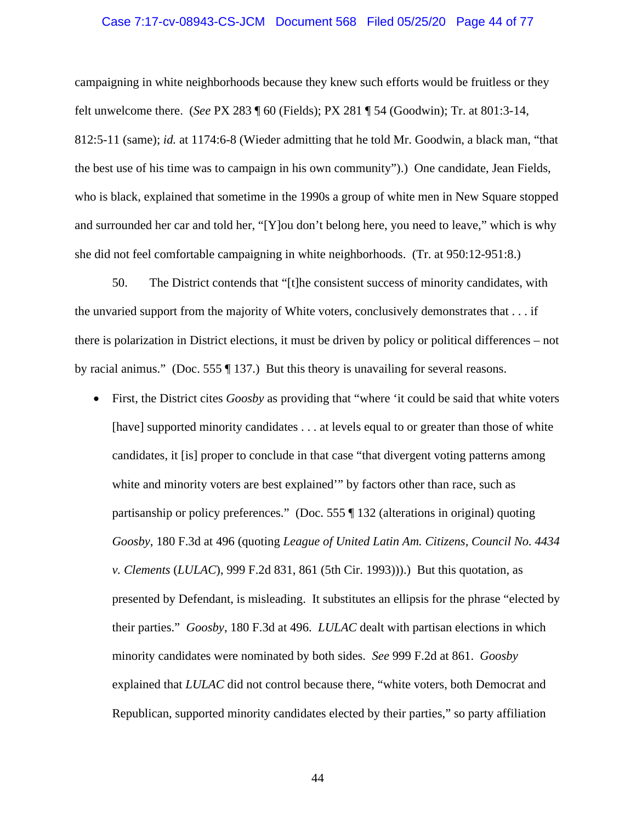#### Case 7:17-cv-08943-CS-JCM Document 568 Filed 05/25/20 Page 44 of 77

campaigning in white neighborhoods because they knew such efforts would be fruitless or they felt unwelcome there. (*See* PX 283 ¶ 60 (Fields); PX 281 ¶ 54 (Goodwin); Tr. at 801:3-14, 812:5-11 (same); *id.* at 1174:6-8 (Wieder admitting that he told Mr. Goodwin, a black man, "that the best use of his time was to campaign in his own community").) One candidate, Jean Fields, who is black, explained that sometime in the 1990s a group of white men in New Square stopped and surrounded her car and told her, "[Y]ou don't belong here, you need to leave," which is why she did not feel comfortable campaigning in white neighborhoods. (Tr. at 950:12-951:8.)

50. The District contends that "[t]he consistent success of minority candidates, with the unvaried support from the majority of White voters, conclusively demonstrates that . . . if there is polarization in District elections, it must be driven by policy or political differences – not by racial animus." (Doc. 555 ¶ 137.) But this theory is unavailing for several reasons.

 First, the District cites *Goosby* as providing that "where 'it could be said that white voters [have] supported minority candidates . . . at levels equal to or greater than those of white candidates, it [is] proper to conclude in that case "that divergent voting patterns among white and minority voters are best explained'" by factors other than race, such as partisanship or policy preferences." (Doc. 555 ¶ 132 (alterations in original) quoting *Goosby*, 180 F.3d at 496 (quoting *League of United Latin Am. Citizens, Council No. 4434 v. Clements* (*LULAC*), 999 F.2d 831, 861 (5th Cir. 1993))).) But this quotation, as presented by Defendant, is misleading. It substitutes an ellipsis for the phrase "elected by their parties." *Goosby*, 180 F.3d at 496. *LULAC* dealt with partisan elections in which minority candidates were nominated by both sides. *See* 999 F.2d at 861. *Goosby* explained that *LULAC* did not control because there, "white voters, both Democrat and Republican, supported minority candidates elected by their parties," so party affiliation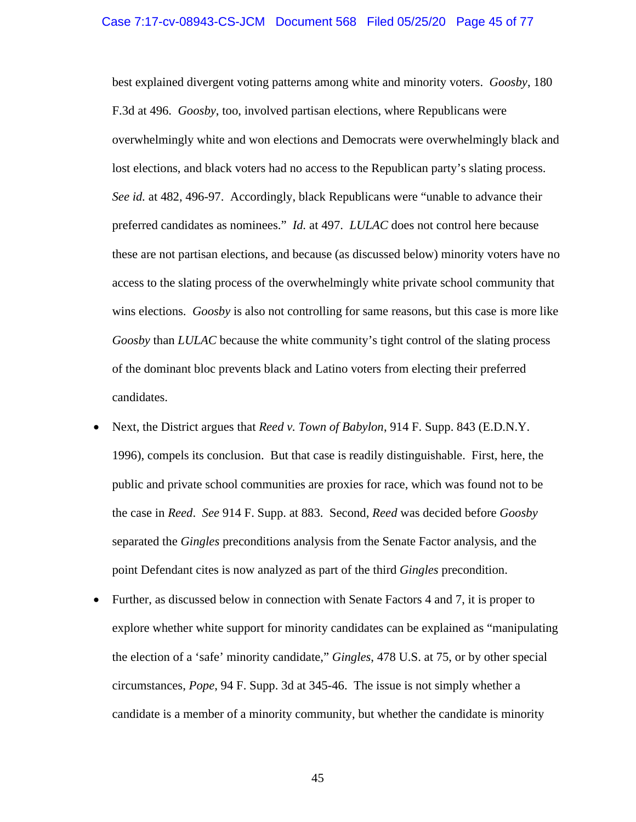# Case 7:17-cv-08943-CS-JCM Document 568 Filed 05/25/20 Page 45 of 77

best explained divergent voting patterns among white and minority voters. *Goosby*, 180 F.3d at 496. *Goosby*, too, involved partisan elections, where Republicans were overwhelmingly white and won elections and Democrats were overwhelmingly black and lost elections, and black voters had no access to the Republican party's slating process. *See id.* at 482, 496-97. Accordingly, black Republicans were "unable to advance their preferred candidates as nominees." *Id.* at 497. *LULAC* does not control here because these are not partisan elections, and because (as discussed below) minority voters have no access to the slating process of the overwhelmingly white private school community that wins elections. *Goosby* is also not controlling for same reasons, but this case is more like *Goosby* than *LULAC* because the white community's tight control of the slating process of the dominant bloc prevents black and Latino voters from electing their preferred candidates.

- Next, the District argues that *Reed v. Town of Babylon*, 914 F. Supp. 843 (E.D.N.Y. 1996), compels its conclusion. But that case is readily distinguishable. First, here, the public and private school communities are proxies for race, which was found not to be the case in *Reed*. *See* 914 F. Supp. at 883. Second, *Reed* was decided before *Goosby* separated the *Gingles* preconditions analysis from the Senate Factor analysis, and the point Defendant cites is now analyzed as part of the third *Gingles* precondition.
- Further, as discussed below in connection with Senate Factors 4 and 7, it is proper to explore whether white support for minority candidates can be explained as "manipulating the election of a 'safe' minority candidate," *Gingles*, 478 U.S. at 75, or by other special circumstances, *Pope*, 94 F. Supp. 3d at 345-46. The issue is not simply whether a candidate is a member of a minority community, but whether the candidate is minority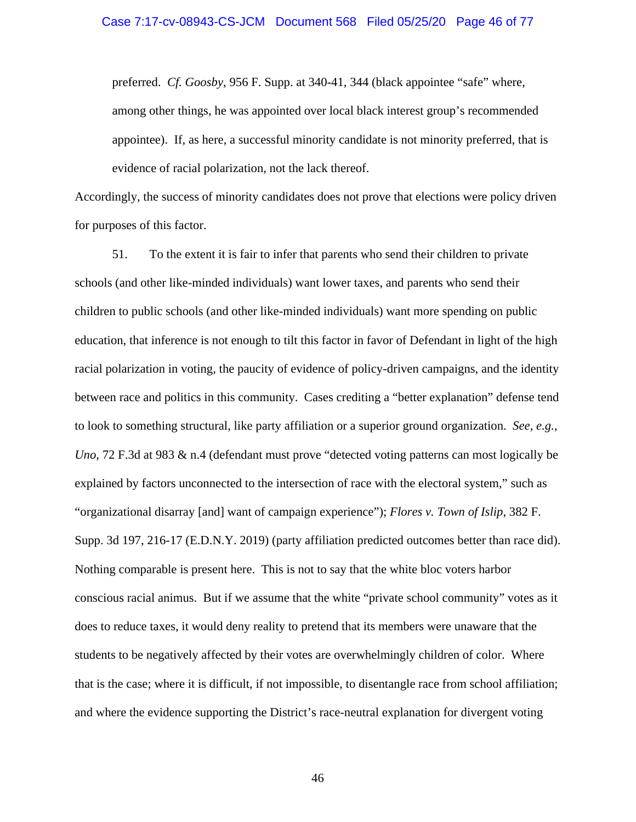preferred. *Cf. Goosby*, 956 F. Supp. at 340-41, 344 (black appointee "safe" where, among other things, he was appointed over local black interest group's recommended appointee). If, as here, a successful minority candidate is not minority preferred, that is evidence of racial polarization, not the lack thereof.

Accordingly, the success of minority candidates does not prove that elections were policy driven for purposes of this factor.

51. To the extent it is fair to infer that parents who send their children to private schools (and other like-minded individuals) want lower taxes, and parents who send their children to public schools (and other like-minded individuals) want more spending on public education, that inference is not enough to tilt this factor in favor of Defendant in light of the high racial polarization in voting, the paucity of evidence of policy-driven campaigns, and the identity between race and politics in this community. Cases crediting a "better explanation" defense tend to look to something structural, like party affiliation or a superior ground organization. *See, e.g.*, *Uno*, 72 F.3d at 983 & n.4 (defendant must prove "detected voting patterns can most logically be explained by factors unconnected to the intersection of race with the electoral system," such as "organizational disarray [and] want of campaign experience"); *Flores v. Town of Islip*, 382 F. Supp. 3d 197, 216-17 (E.D.N.Y. 2019) (party affiliation predicted outcomes better than race did). Nothing comparable is present here. This is not to say that the white bloc voters harbor conscious racial animus. But if we assume that the white "private school community" votes as it does to reduce taxes, it would deny reality to pretend that its members were unaware that the students to be negatively affected by their votes are overwhelmingly children of color. Where that is the case; where it is difficult, if not impossible, to disentangle race from school affiliation; and where the evidence supporting the District's race-neutral explanation for divergent voting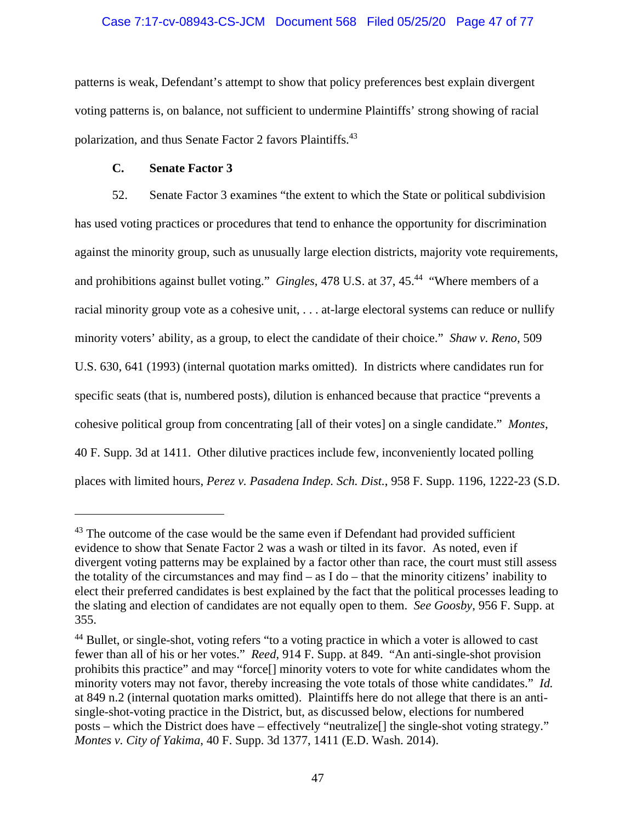# Case 7:17-cv-08943-CS-JCM Document 568 Filed 05/25/20 Page 47 of 77

patterns is weak, Defendant's attempt to show that policy preferences best explain divergent voting patterns is, on balance, not sufficient to undermine Plaintiffs' strong showing of racial polarization, and thus Senate Factor 2 favors Plaintiffs.<sup>43</sup>

# **C. Senate Factor 3**

52. Senate Factor 3 examines "the extent to which the State or political subdivision has used voting practices or procedures that tend to enhance the opportunity for discrimination against the minority group, such as unusually large election districts, majority vote requirements, and prohibitions against bullet voting." *Gingles*, 478 U.S. at 37, 45.<sup>44</sup> "Where members of a racial minority group vote as a cohesive unit, . . . at-large electoral systems can reduce or nullify minority voters' ability, as a group, to elect the candidate of their choice." *Shaw v. Reno*, 509 U.S. 630, 641 (1993) (internal quotation marks omitted). In districts where candidates run for specific seats (that is, numbered posts), dilution is enhanced because that practice "prevents a cohesive political group from concentrating [all of their votes] on a single candidate." *Montes*, 40 F. Supp. 3d at 1411. Other dilutive practices include few, inconveniently located polling places with limited hours, *Perez v. Pasadena Indep. Sch. Dist.*, 958 F. Supp. 1196, 1222-23 (S.D.

 $43$  The outcome of the case would be the same even if Defendant had provided sufficient evidence to show that Senate Factor 2 was a wash or tilted in its favor. As noted, even if divergent voting patterns may be explained by a factor other than race, the court must still assess the totality of the circumstances and may find  $-$  as I do  $-$  that the minority citizens' inability to elect their preferred candidates is best explained by the fact that the political processes leading to the slating and election of candidates are not equally open to them. *See Goosby*, 956 F. Supp. at 355.

<sup>&</sup>lt;sup>44</sup> Bullet, or single-shot, voting refers "to a voting practice in which a voter is allowed to cast fewer than all of his or her votes." *Reed*, 914 F. Supp. at 849. "An anti-single-shot provision prohibits this practice" and may "force[] minority voters to vote for white candidates whom the minority voters may not favor, thereby increasing the vote totals of those white candidates." *Id.* at 849 n.2 (internal quotation marks omitted). Plaintiffs here do not allege that there is an antisingle-shot-voting practice in the District, but, as discussed below, elections for numbered posts – which the District does have – effectively "neutralize[] the single-shot voting strategy." *Montes v. City of Yakima*, 40 F. Supp. 3d 1377, 1411 (E.D. Wash. 2014).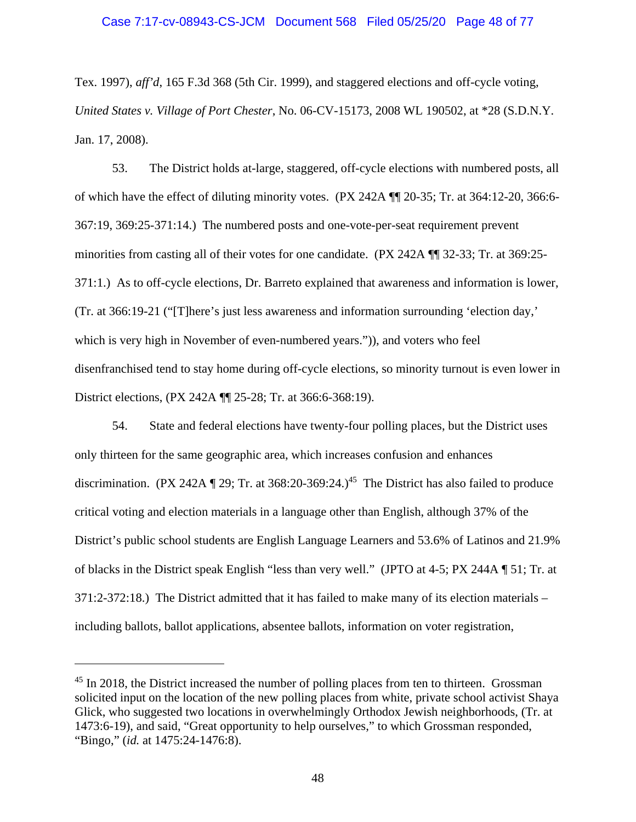Tex. 1997), *aff'd*, 165 F.3d 368 (5th Cir. 1999), and staggered elections and off-cycle voting, *United States v. Village of Port Chester*, No. 06-CV-15173, 2008 WL 190502, at \*28 (S.D.N.Y. Jan. 17, 2008).

53. The District holds at-large, staggered, off-cycle elections with numbered posts, all of which have the effect of diluting minority votes. (PX 242A ¶¶ 20-35; Tr. at 364:12-20, 366:6- 367:19, 369:25-371:14.) The numbered posts and one-vote-per-seat requirement prevent minorities from casting all of their votes for one candidate. (PX 242A ¶¶ 32-33; Tr. at 369:25- 371:1.) As to off-cycle elections, Dr. Barreto explained that awareness and information is lower, (Tr. at 366:19-21 ("[T]here's just less awareness and information surrounding 'election day,' which is very high in November of even-numbered years.")), and voters who feel disenfranchised tend to stay home during off-cycle elections, so minority turnout is even lower in District elections, (PX 242A ¶¶ 25-28; Tr. at 366:6-368:19).

54. State and federal elections have twenty-four polling places, but the District uses only thirteen for the same geographic area, which increases confusion and enhances discrimination. (PX 242A  $\P$  29; Tr. at 368:20-369:24.)<sup>45</sup> The District has also failed to produce critical voting and election materials in a language other than English, although 37% of the District's public school students are English Language Learners and 53.6% of Latinos and 21.9% of blacks in the District speak English "less than very well." (JPTO at 4-5; PX 244A ¶ 51; Tr. at 371:2-372:18.) The District admitted that it has failed to make many of its election materials – including ballots, ballot applications, absentee ballots, information on voter registration,

<sup>&</sup>lt;sup>45</sup> In 2018, the District increased the number of polling places from ten to thirteen. Grossman solicited input on the location of the new polling places from white, private school activist Shaya Glick, who suggested two locations in overwhelmingly Orthodox Jewish neighborhoods, (Tr. at 1473:6-19), and said, "Great opportunity to help ourselves," to which Grossman responded, "Bingo," (*id.* at 1475:24-1476:8).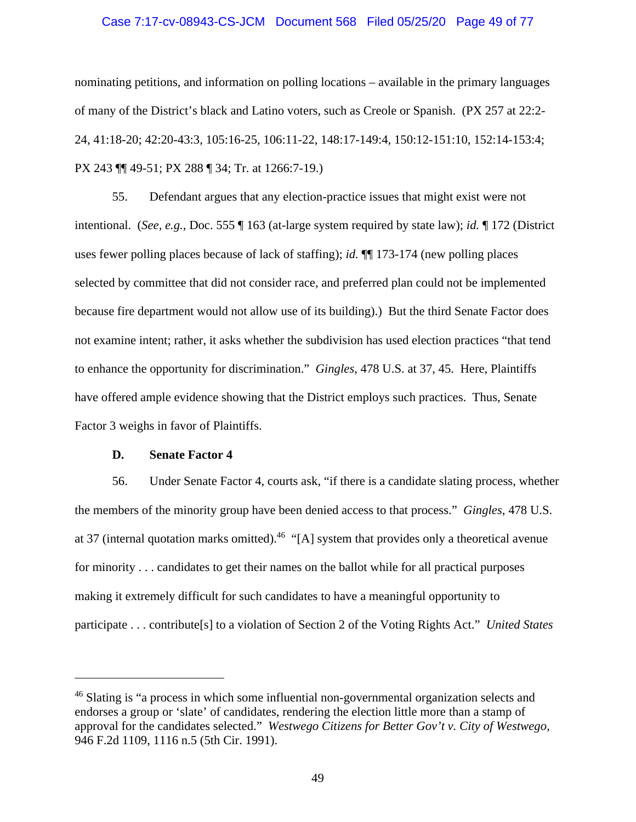#### Case 7:17-cv-08943-CS-JCM Document 568 Filed 05/25/20 Page 49 of 77

nominating petitions, and information on polling locations – available in the primary languages of many of the District's black and Latino voters, such as Creole or Spanish. (PX 257 at 22:2- 24, 41:18-20; 42:20-43:3, 105:16-25, 106:11-22, 148:17-149:4, 150:12-151:10, 152:14-153:4; PX 243 ¶¶ 49-51; PX 288 ¶ 34; Tr. at 1266:7-19.)

55. Defendant argues that any election-practice issues that might exist were not intentional. (*See, e.g.*, Doc. 555 ¶ 163 (at-large system required by state law); *id.* ¶ 172 (District uses fewer polling places because of lack of staffing); *id.* ¶¶ 173-174 (new polling places selected by committee that did not consider race, and preferred plan could not be implemented because fire department would not allow use of its building).) But the third Senate Factor does not examine intent; rather, it asks whether the subdivision has used election practices "that tend to enhance the opportunity for discrimination." *Gingles*, 478 U.S. at 37, 45. Here, Plaintiffs have offered ample evidence showing that the District employs such practices. Thus, Senate Factor 3 weighs in favor of Plaintiffs.

#### **D. Senate Factor 4**

56. Under Senate Factor 4, courts ask, "if there is a candidate slating process, whether the members of the minority group have been denied access to that process." *Gingles*, 478 U.S. at 37 (internal quotation marks omitted).<sup>46</sup> "[A] system that provides only a theoretical avenue for minority . . . candidates to get their names on the ballot while for all practical purposes making it extremely difficult for such candidates to have a meaningful opportunity to participate . . . contribute[s] to a violation of Section 2 of the Voting Rights Act." *United States* 

<sup>&</sup>lt;sup>46</sup> Slating is "a process in which some influential non-governmental organization selects and endorses a group or 'slate' of candidates, rendering the election little more than a stamp of approval for the candidates selected." *Westwego Citizens for Better Gov't v. City of Westwego*, 946 F.2d 1109, 1116 n.5 (5th Cir. 1991).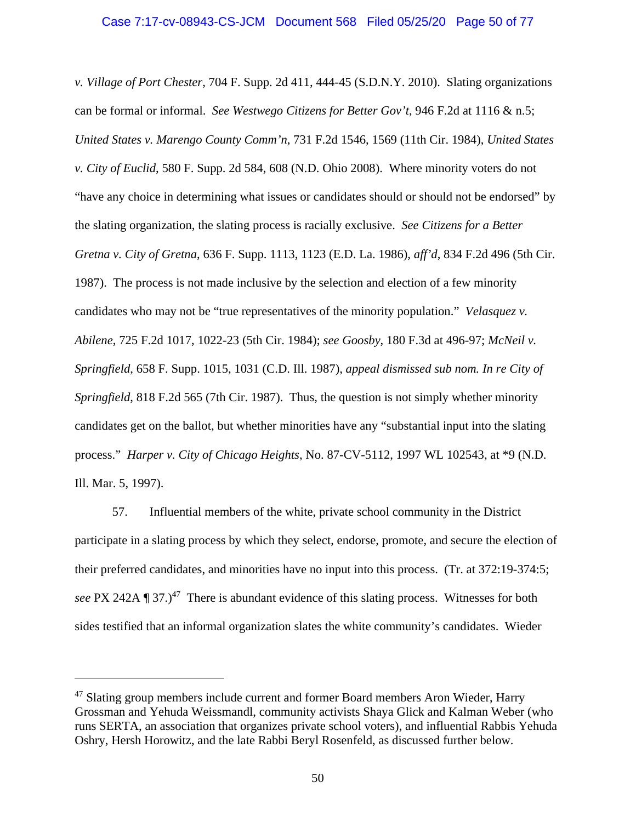*v. Village of Port Chester*, 704 F. Supp. 2d 411, 444-45 (S.D.N.Y. 2010). Slating organizations can be formal or informal. *See Westwego Citizens for Better Gov't*, 946 F.2d at 1116 & n.5; *United States v. Marengo County Comm'n*, 731 F.2d 1546, 1569 (11th Cir. 1984), *United States v. City of Euclid*, 580 F. Supp. 2d 584, 608 (N.D. Ohio 2008). Where minority voters do not "have any choice in determining what issues or candidates should or should not be endorsed" by the slating organization, the slating process is racially exclusive. *See Citizens for a Better Gretna v. City of Gretna*, 636 F. Supp. 1113, 1123 (E.D. La. 1986), *aff'd*, 834 F.2d 496 (5th Cir. 1987). The process is not made inclusive by the selection and election of a few minority candidates who may not be "true representatives of the minority population." *Velasquez v. Abilene*, 725 F.2d 1017, 1022-23 (5th Cir. 1984); *see Goosby*, 180 F.3d at 496-97; *McNeil v. Springfield*, 658 F. Supp. 1015, 1031 (C.D. Ill. 1987), *appeal dismissed sub nom. In re City of Springfield*, 818 F.2d 565 (7th Cir. 1987). Thus, the question is not simply whether minority candidates get on the ballot, but whether minorities have any "substantial input into the slating process." *Harper v. City of Chicago Heights*, No. 87-CV-5112, 1997 WL 102543, at \*9 (N.D. Ill. Mar. 5, 1997).

57. Influential members of the white, private school community in the District participate in a slating process by which they select, endorse, promote, and secure the election of their preferred candidates, and minorities have no input into this process. (Tr. at 372:19-374:5; *see* PX 242A ¶ 37.)<sup>47</sup> There is abundant evidence of this slating process. Witnesses for both sides testified that an informal organization slates the white community's candidates. Wieder

<sup>&</sup>lt;sup>47</sup> Slating group members include current and former Board members Aron Wieder, Harry Grossman and Yehuda Weissmandl, community activists Shaya Glick and Kalman Weber (who runs SERTA, an association that organizes private school voters), and influential Rabbis Yehuda Oshry, Hersh Horowitz, and the late Rabbi Beryl Rosenfeld, as discussed further below.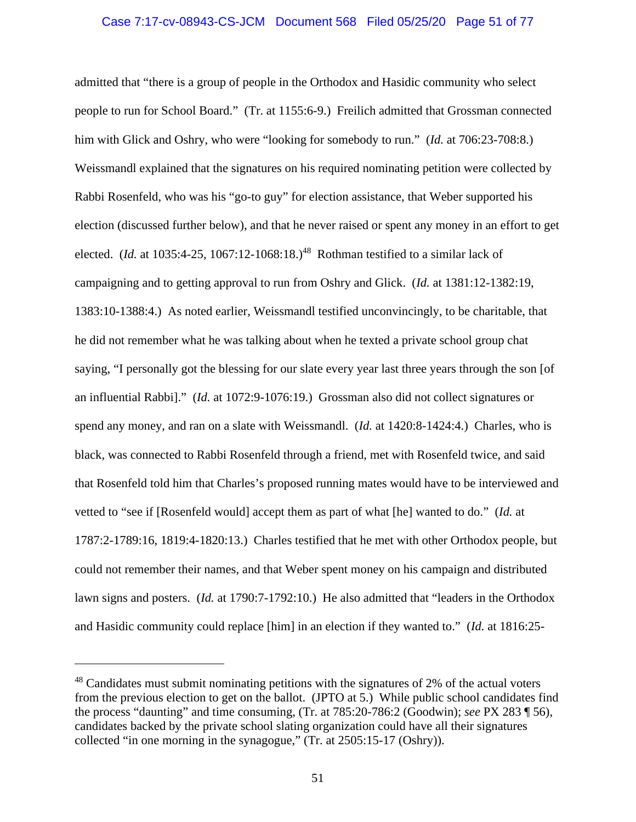# Case 7:17-cv-08943-CS-JCM Document 568 Filed 05/25/20 Page 51 of 77

admitted that "there is a group of people in the Orthodox and Hasidic community who select people to run for School Board." (Tr. at 1155:6-9.) Freilich admitted that Grossman connected him with Glick and Oshry, who were "looking for somebody to run." (*Id.* at 706:23-708:8.) Weissmandl explained that the signatures on his required nominating petition were collected by Rabbi Rosenfeld, who was his "go-to guy" for election assistance, that Weber supported his election (discussed further below), and that he never raised or spent any money in an effort to get elected. (*Id.* at 1035:4-25, 1067:12-1068:18.)<sup>48</sup> Rothman testified to a similar lack of campaigning and to getting approval to run from Oshry and Glick. (*Id.* at 1381:12-1382:19, 1383:10-1388:4.) As noted earlier, Weissmandl testified unconvincingly, to be charitable, that he did not remember what he was talking about when he texted a private school group chat saying, "I personally got the blessing for our slate every year last three years through the son [of an influential Rabbi]." (*Id.* at 1072:9-1076:19.) Grossman also did not collect signatures or spend any money, and ran on a slate with Weissmandl. (*Id.* at 1420:8-1424:4.) Charles, who is black, was connected to Rabbi Rosenfeld through a friend, met with Rosenfeld twice, and said that Rosenfeld told him that Charles's proposed running mates would have to be interviewed and vetted to "see if [Rosenfeld would] accept them as part of what [he] wanted to do." (*Id.* at 1787:2-1789:16, 1819:4-1820:13.) Charles testified that he met with other Orthodox people, but could not remember their names, and that Weber spent money on his campaign and distributed lawn signs and posters. (*Id.* at 1790:7-1792:10.) He also admitted that "leaders in the Orthodox and Hasidic community could replace [him] in an election if they wanted to." (*Id.* at 1816:25-

 $48$  Candidates must submit nominating petitions with the signatures of 2% of the actual voters from the previous election to get on the ballot. (JPTO at 5.) While public school candidates find the process "daunting" and time consuming, (Tr. at 785:20-786:2 (Goodwin); *see* PX 283 ¶ 56), candidates backed by the private school slating organization could have all their signatures collected "in one morning in the synagogue," (Tr. at 2505:15-17 (Oshry)).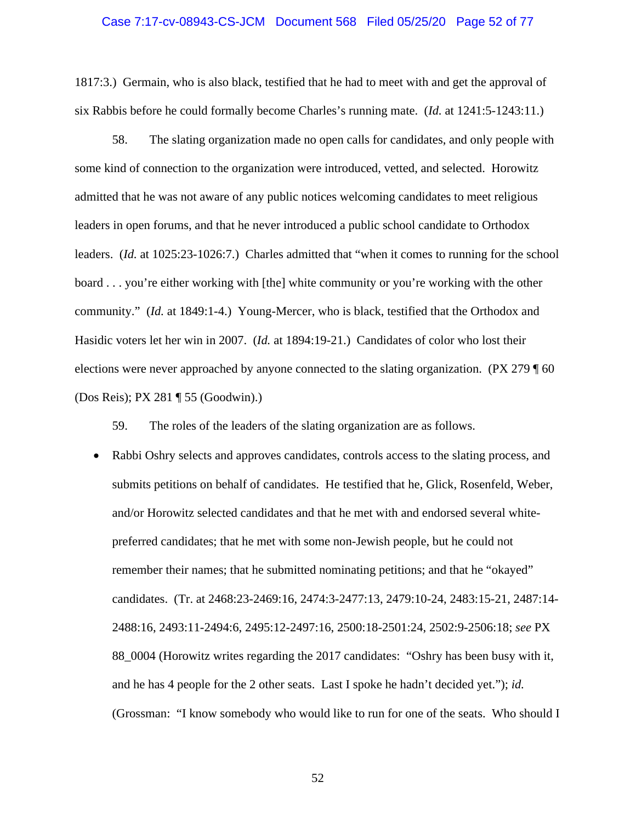#### Case 7:17-cv-08943-CS-JCM Document 568 Filed 05/25/20 Page 52 of 77

1817:3.) Germain, who is also black, testified that he had to meet with and get the approval of six Rabbis before he could formally become Charles's running mate. (*Id.* at 1241:5-1243:11.)

58. The slating organization made no open calls for candidates, and only people with some kind of connection to the organization were introduced, vetted, and selected. Horowitz admitted that he was not aware of any public notices welcoming candidates to meet religious leaders in open forums, and that he never introduced a public school candidate to Orthodox leaders. (*Id.* at 1025:23-1026:7.) Charles admitted that "when it comes to running for the school board . . . you're either working with [the] white community or you're working with the other community." (*Id.* at 1849:1-4.) Young-Mercer, who is black, testified that the Orthodox and Hasidic voters let her win in 2007. (*Id.* at 1894:19-21.) Candidates of color who lost their elections were never approached by anyone connected to the slating organization. (PX 279 ¶ 60 (Dos Reis); PX 281 ¶ 55 (Goodwin).)

59. The roles of the leaders of the slating organization are as follows.

• Rabbi Oshry selects and approves candidates, controls access to the slating process, and submits petitions on behalf of candidates. He testified that he, Glick, Rosenfeld, Weber, and/or Horowitz selected candidates and that he met with and endorsed several whitepreferred candidates; that he met with some non-Jewish people, but he could not remember their names; that he submitted nominating petitions; and that he "okayed" candidates. (Tr. at 2468:23-2469:16, 2474:3-2477:13, 2479:10-24, 2483:15-21, 2487:14- 2488:16, 2493:11-2494:6, 2495:12-2497:16, 2500:18-2501:24, 2502:9-2506:18; *see* PX 88\_0004 (Horowitz writes regarding the 2017 candidates: "Oshry has been busy with it, and he has 4 people for the 2 other seats. Last I spoke he hadn't decided yet."); *id.* (Grossman: "I know somebody who would like to run for one of the seats. Who should I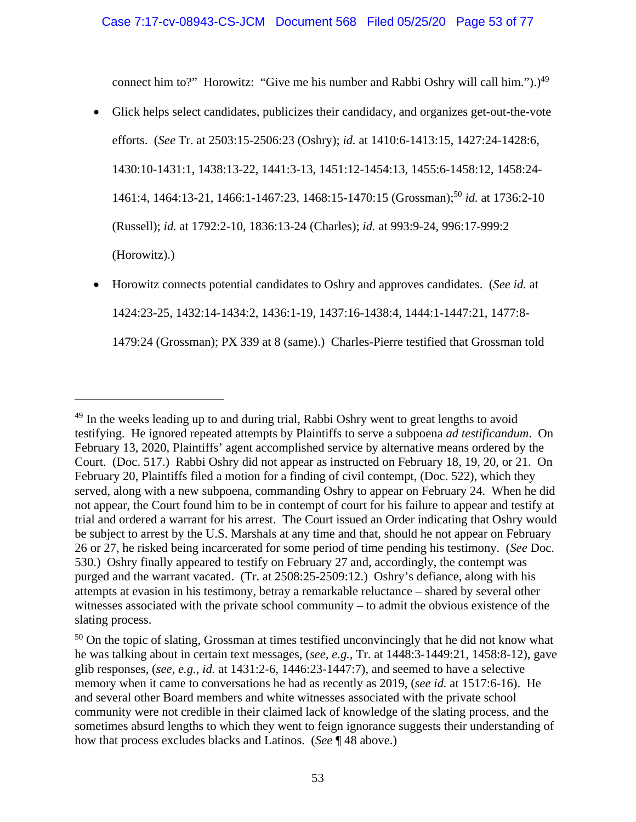connect him to?" Horowitz: "Give me his number and Rabbi Oshry will call him.").)<sup>49</sup>

- Glick helps select candidates, publicizes their candidacy, and organizes get-out-the-vote efforts. (*See* Tr. at 2503:15-2506:23 (Oshry); *id.* at 1410:6-1413:15, 1427:24-1428:6, 1430:10-1431:1, 1438:13-22, 1441:3-13, 1451:12-1454:13, 1455:6-1458:12, 1458:24- 1461:4, 1464:13-21, 1466:1-1467:23, 1468:15-1470:15 (Grossman);50 *id.* at 1736:2-10 (Russell); *id.* at 1792:2-10, 1836:13-24 (Charles); *id.* at 993:9-24, 996:17-999:2 (Horowitz).)
- Horowitz connects potential candidates to Oshry and approves candidates. (*See id.* at 1424:23-25, 1432:14-1434:2, 1436:1-19, 1437:16-1438:4, 1444:1-1447:21, 1477:8- 1479:24 (Grossman); PX 339 at 8 (same).) Charles-Pierre testified that Grossman told

<sup>&</sup>lt;sup>49</sup> In the weeks leading up to and during trial, Rabbi Oshry went to great lengths to avoid testifying. He ignored repeated attempts by Plaintiffs to serve a subpoena *ad testificandum*. On February 13, 2020, Plaintiffs' agent accomplished service by alternative means ordered by the Court. (Doc. 517.) Rabbi Oshry did not appear as instructed on February 18, 19, 20, or 21. On February 20, Plaintiffs filed a motion for a finding of civil contempt, (Doc. 522), which they served, along with a new subpoena, commanding Oshry to appear on February 24. When he did not appear, the Court found him to be in contempt of court for his failure to appear and testify at trial and ordered a warrant for his arrest. The Court issued an Order indicating that Oshry would be subject to arrest by the U.S. Marshals at any time and that, should he not appear on February 26 or 27, he risked being incarcerated for some period of time pending his testimony. (*See* Doc. 530.) Oshry finally appeared to testify on February 27 and, accordingly, the contempt was purged and the warrant vacated. (Tr. at 2508:25-2509:12.) Oshry's defiance, along with his attempts at evasion in his testimony, betray a remarkable reluctance – shared by several other witnesses associated with the private school community – to admit the obvious existence of the slating process.

<sup>&</sup>lt;sup>50</sup> On the topic of slating, Grossman at times testified unconvincingly that he did not know what he was talking about in certain text messages, (*see, e.g.*, Tr. at 1448:3-1449:21, 1458:8-12), gave glib responses, (*see, e.g.*, *id.* at 1431:2-6, 1446:23-1447:7), and seemed to have a selective memory when it came to conversations he had as recently as 2019, (*see id.* at 1517:6-16). He and several other Board members and white witnesses associated with the private school community were not credible in their claimed lack of knowledge of the slating process, and the sometimes absurd lengths to which they went to feign ignorance suggests their understanding of how that process excludes blacks and Latinos. (*See* ¶ 48 above.)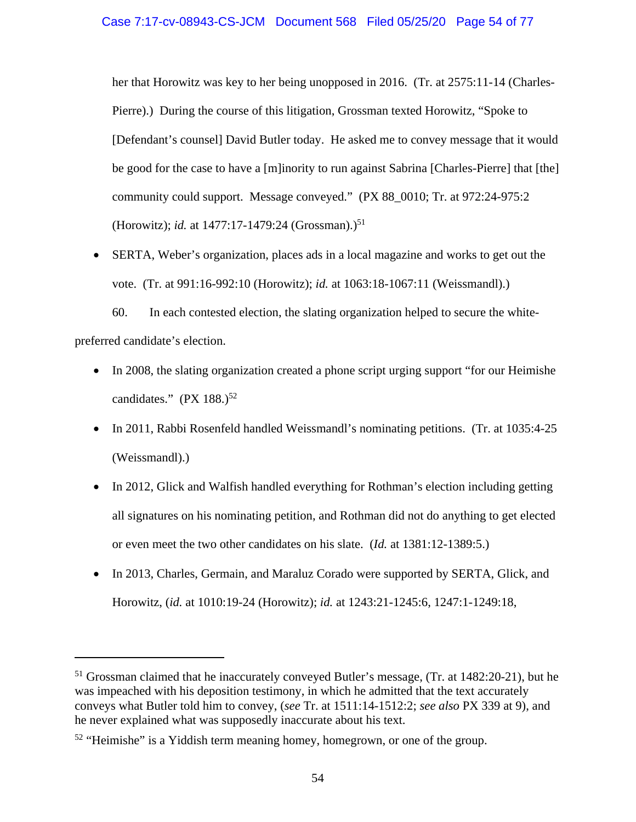her that Horowitz was key to her being unopposed in 2016. (Tr. at 2575:11-14 (Charles-Pierre).) During the course of this litigation, Grossman texted Horowitz, "Spoke to [Defendant's counsel] David Butler today. He asked me to convey message that it would be good for the case to have a [m]inority to run against Sabrina [Charles-Pierre] that [the] community could support. Message conveyed." (PX 88\_0010; Tr. at 972:24-975:2 (Horowitz); *id.* at 1477:17-1479:24 (Grossman).)<sup>51</sup>

 SERTA, Weber's organization, places ads in a local magazine and works to get out the vote. (Tr. at 991:16-992:10 (Horowitz); *id.* at 1063:18-1067:11 (Weissmandl).)

60. In each contested election, the slating organization helped to secure the whitepreferred candidate's election.

- In 2008, the slating organization created a phone script urging support "for our Heimishe" candidates."  $(PX 188.)^{52}$
- In 2011, Rabbi Rosenfeld handled Weissmandl's nominating petitions. (Tr. at 1035:4-25) (Weissmandl).)
- In 2012, Glick and Walfish handled everything for Rothman's election including getting all signatures on his nominating petition, and Rothman did not do anything to get elected or even meet the two other candidates on his slate. (*Id.* at 1381:12-1389:5.)
- In 2013, Charles, Germain, and Maraluz Corado were supported by SERTA, Glick, and Horowitz, (*id.* at 1010:19-24 (Horowitz); *id.* at 1243:21-1245:6, 1247:1-1249:18,

<sup>&</sup>lt;sup>51</sup> Grossman claimed that he inaccurately conveyed Butler's message, (Tr. at 1482:20-21), but he was impeached with his deposition testimony, in which he admitted that the text accurately conveys what Butler told him to convey, (*see* Tr. at 1511:14-1512:2; *see also* PX 339 at 9), and he never explained what was supposedly inaccurate about his text.

<sup>&</sup>lt;sup>52</sup> "Heimishe" is a Yiddish term meaning homey, homegrown, or one of the group.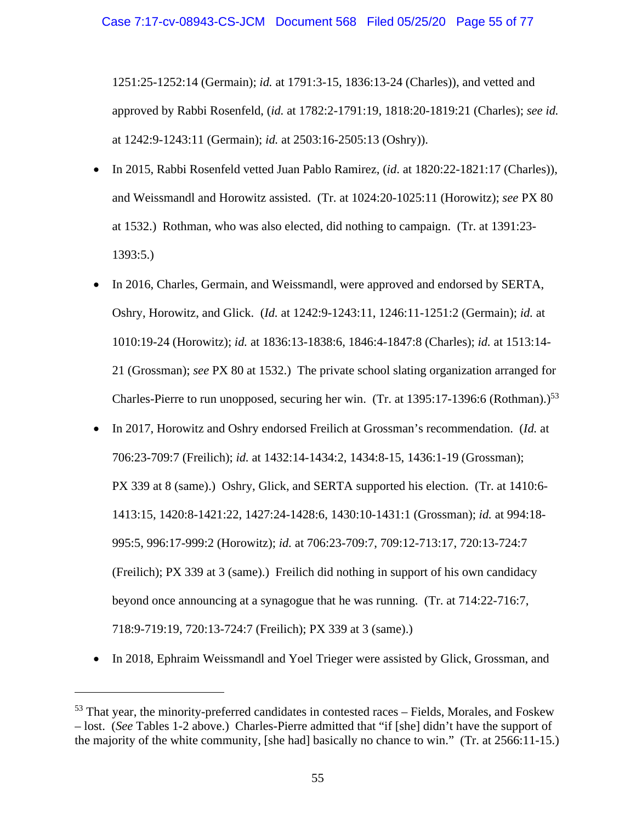1251:25-1252:14 (Germain); *id.* at 1791:3-15, 1836:13-24 (Charles)), and vetted and approved by Rabbi Rosenfeld, (*id.* at 1782:2-1791:19, 1818:20-1819:21 (Charles); *see id.* at 1242:9-1243:11 (Germain); *id.* at 2503:16-2505:13 (Oshry)).

- In 2015, Rabbi Rosenfeld vetted Juan Pablo Ramirez, (*id*. at 1820:22-1821:17 (Charles)), and Weissmandl and Horowitz assisted. (Tr. at 1024:20-1025:11 (Horowitz); *see* PX 80 at 1532.) Rothman, who was also elected, did nothing to campaign. (Tr. at 1391:23- 1393:5.)
- In 2016, Charles, Germain, and Weissmandl, were approved and endorsed by SERTA, Oshry, Horowitz, and Glick. (*Id.* at 1242:9-1243:11, 1246:11-1251:2 (Germain); *id.* at 1010:19-24 (Horowitz); *id.* at 1836:13-1838:6, 1846:4-1847:8 (Charles); *id.* at 1513:14- 21 (Grossman); *see* PX 80 at 1532.) The private school slating organization arranged for Charles-Pierre to run unopposed, securing her win. (Tr. at  $1395:17-1396:6$  (Rothman).)<sup>53</sup>
- In 2017, Horowitz and Oshry endorsed Freilich at Grossman's recommendation. (*Id.* at 706:23-709:7 (Freilich); *id.* at 1432:14-1434:2, 1434:8-15, 1436:1-19 (Grossman); PX 339 at 8 (same).) Oshry, Glick, and SERTA supported his election. (Tr. at 1410:6- 1413:15, 1420:8-1421:22, 1427:24-1428:6, 1430:10-1431:1 (Grossman); *id.* at 994:18- 995:5, 996:17-999:2 (Horowitz); *id.* at 706:23-709:7, 709:12-713:17, 720:13-724:7 (Freilich); PX 339 at 3 (same).) Freilich did nothing in support of his own candidacy beyond once announcing at a synagogue that he was running. (Tr. at 714:22-716:7, 718:9-719:19, 720:13-724:7 (Freilich); PX 339 at 3 (same).)
- In 2018, Ephraim Weissmandl and Yoel Trieger were assisted by Glick, Grossman, and

 $53$  That year, the minority-preferred candidates in contested races – Fields, Morales, and Foskew – lost. (*See* Tables 1-2 above.) Charles-Pierre admitted that "if [she] didn't have the support of the majority of the white community, [she had] basically no chance to win." (Tr. at 2566:11-15.)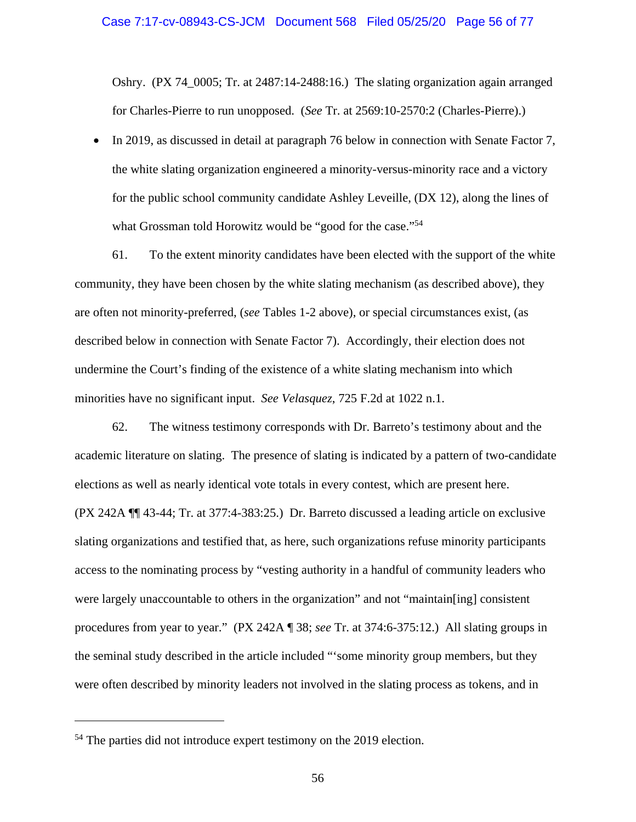Oshry. (PX 74\_0005; Tr. at 2487:14-2488:16.) The slating organization again arranged for Charles-Pierre to run unopposed. (*See* Tr. at 2569:10-2570:2 (Charles-Pierre).)

 In 2019, as discussed in detail at paragraph 76 below in connection with Senate Factor 7, the white slating organization engineered a minority-versus-minority race and a victory for the public school community candidate Ashley Leveille, (DX 12), along the lines of what Grossman told Horowitz would be "good for the case."<sup>54</sup>

61. To the extent minority candidates have been elected with the support of the white community, they have been chosen by the white slating mechanism (as described above), they are often not minority-preferred, (*see* Tables 1-2 above), or special circumstances exist, (as described below in connection with Senate Factor 7). Accordingly, their election does not undermine the Court's finding of the existence of a white slating mechanism into which minorities have no significant input. *See Velasquez*, 725 F.2d at 1022 n.1.

62. The witness testimony corresponds with Dr. Barreto's testimony about and the academic literature on slating. The presence of slating is indicated by a pattern of two-candidate elections as well as nearly identical vote totals in every contest, which are present here. (PX 242A ¶¶ 43-44; Tr. at 377:4-383:25.) Dr. Barreto discussed a leading article on exclusive slating organizations and testified that, as here, such organizations refuse minority participants access to the nominating process by "vesting authority in a handful of community leaders who were largely unaccountable to others in the organization" and not "maintain[ing] consistent procedures from year to year." (PX 242A ¶ 38; *see* Tr. at 374:6-375:12.) All slating groups in the seminal study described in the article included "'some minority group members, but they were often described by minority leaders not involved in the slating process as tokens, and in

<sup>&</sup>lt;sup>54</sup> The parties did not introduce expert testimony on the 2019 election.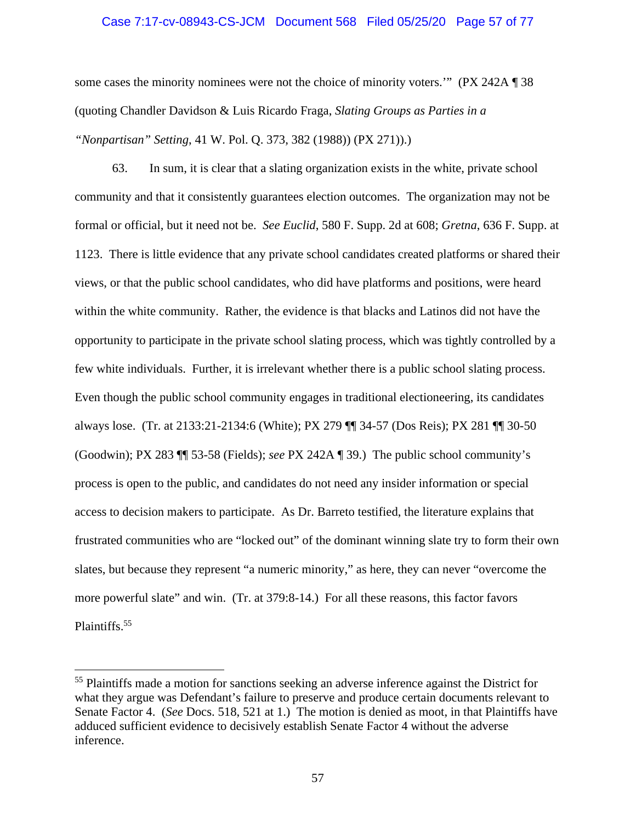# Case 7:17-cv-08943-CS-JCM Document 568 Filed 05/25/20 Page 57 of 77

some cases the minority nominees were not the choice of minority voters.'" (PX 242A ¶ 38 (quoting Chandler Davidson & Luis Ricardo Fraga, *Slating Groups as Parties in a "Nonpartisan" Setting*, 41 W. Pol. Q. 373, 382 (1988)) (PX 271)).)

63. In sum, it is clear that a slating organization exists in the white, private school community and that it consistently guarantees election outcomes. The organization may not be formal or official, but it need not be. *See Euclid*, 580 F. Supp. 2d at 608; *Gretna*, 636 F. Supp. at 1123. There is little evidence that any private school candidates created platforms or shared their views, or that the public school candidates, who did have platforms and positions, were heard within the white community. Rather, the evidence is that blacks and Latinos did not have the opportunity to participate in the private school slating process, which was tightly controlled by a few white individuals. Further, it is irrelevant whether there is a public school slating process. Even though the public school community engages in traditional electioneering, its candidates always lose. (Tr. at 2133:21-2134:6 (White); PX 279 ¶¶ 34-57 (Dos Reis); PX 281 ¶¶ 30-50 (Goodwin); PX 283 ¶¶ 53-58 (Fields); *see* PX 242A ¶ 39.) The public school community's process is open to the public, and candidates do not need any insider information or special access to decision makers to participate. As Dr. Barreto testified, the literature explains that frustrated communities who are "locked out" of the dominant winning slate try to form their own slates, but because they represent "a numeric minority," as here, they can never "overcome the more powerful slate" and win. (Tr. at 379:8-14.) For all these reasons, this factor favors Plaintiffs.<sup>55</sup>

<sup>&</sup>lt;sup>55</sup> Plaintiffs made a motion for sanctions seeking an adverse inference against the District for what they argue was Defendant's failure to preserve and produce certain documents relevant to Senate Factor 4. (*See* Docs. 518, 521 at 1.) The motion is denied as moot, in that Plaintiffs have adduced sufficient evidence to decisively establish Senate Factor 4 without the adverse inference.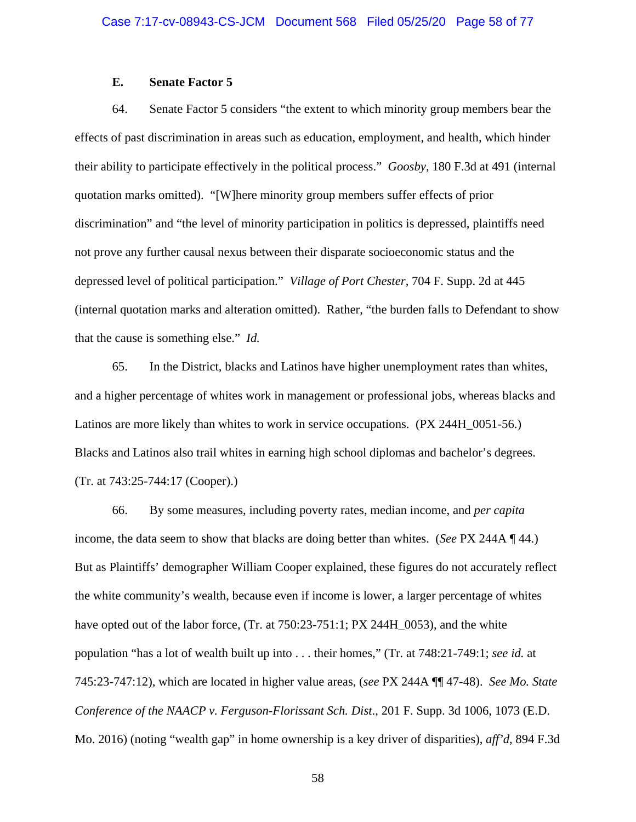# **E. Senate Factor 5**

64. Senate Factor 5 considers "the extent to which minority group members bear the effects of past discrimination in areas such as education, employment, and health, which hinder their ability to participate effectively in the political process." *Goosby*, 180 F.3d at 491 (internal quotation marks omitted). "[W]here minority group members suffer effects of prior discrimination" and "the level of minority participation in politics is depressed, plaintiffs need not prove any further causal nexus between their disparate socioeconomic status and the depressed level of political participation." *Village of Port Chester*, 704 F. Supp. 2d at 445 (internal quotation marks and alteration omitted). Rather, "the burden falls to Defendant to show that the cause is something else." *Id.*

65. In the District, blacks and Latinos have higher unemployment rates than whites, and a higher percentage of whites work in management or professional jobs, whereas blacks and Latinos are more likely than whites to work in service occupations. (PX 244H\_0051-56.) Blacks and Latinos also trail whites in earning high school diplomas and bachelor's degrees. (Tr. at 743:25-744:17 (Cooper).)

66. By some measures, including poverty rates, median income, and *per capita* income, the data seem to show that blacks are doing better than whites. (*See* PX 244A ¶ 44.) But as Plaintiffs' demographer William Cooper explained, these figures do not accurately reflect the white community's wealth, because even if income is lower, a larger percentage of whites have opted out of the labor force, (Tr. at 750:23-751:1; PX 244H\_0053), and the white population "has a lot of wealth built up into . . . their homes," (Tr. at 748:21-749:1; *see id.* at 745:23-747:12), which are located in higher value areas, (*see* PX 244A ¶¶ 47-48). *See Mo. State Conference of the NAACP v. Ferguson-Florissant Sch. Dist*., 201 F. Supp. 3d 1006, 1073 (E.D. Mo. 2016) (noting "wealth gap" in home ownership is a key driver of disparities), *aff'd*, 894 F.3d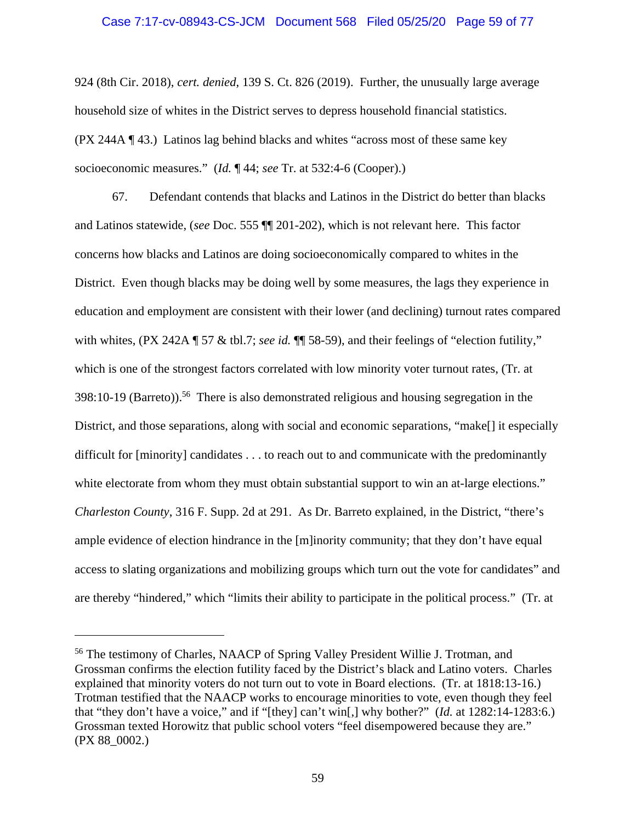# Case 7:17-cv-08943-CS-JCM Document 568 Filed 05/25/20 Page 59 of 77

924 (8th Cir. 2018), *cert. denied*, 139 S. Ct. 826 (2019). Further, the unusually large average household size of whites in the District serves to depress household financial statistics. (PX 244A ¶ 43.) Latinos lag behind blacks and whites "across most of these same key socioeconomic measures." (*Id.* ¶ 44; *see* Tr. at 532:4-6 (Cooper).)

67. Defendant contends that blacks and Latinos in the District do better than blacks and Latinos statewide, (*see* Doc. 555 ¶¶ 201-202), which is not relevant here. This factor concerns how blacks and Latinos are doing socioeconomically compared to whites in the District. Even though blacks may be doing well by some measures, the lags they experience in education and employment are consistent with their lower (and declining) turnout rates compared with whites, (PX 242A ¶ 57 & tbl.7; *see id.* ¶ 58-59), and their feelings of "election futility," which is one of the strongest factors correlated with low minority voter turnout rates, (Tr. at  $398:10-19$  (Barreto)).<sup>56</sup> There is also demonstrated religious and housing segregation in the District, and those separations, along with social and economic separations, "make<sup>[]</sup> it especially difficult for [minority] candidates . . . to reach out to and communicate with the predominantly white electorate from whom they must obtain substantial support to win an at-large elections." *Charleston County*, 316 F. Supp. 2d at 291. As Dr. Barreto explained, in the District, "there's ample evidence of election hindrance in the [m]inority community; that they don't have equal access to slating organizations and mobilizing groups which turn out the vote for candidates" and are thereby "hindered," which "limits their ability to participate in the political process." (Tr. at

<sup>56</sup> The testimony of Charles, NAACP of Spring Valley President Willie J. Trotman, and Grossman confirms the election futility faced by the District's black and Latino voters. Charles explained that minority voters do not turn out to vote in Board elections. (Tr. at 1818:13-16.) Trotman testified that the NAACP works to encourage minorities to vote, even though they feel that "they don't have a voice," and if "[they] can't win[,] why bother?" (*Id.* at 1282:14-1283:6.) Grossman texted Horowitz that public school voters "feel disempowered because they are." (PX 88\_0002.)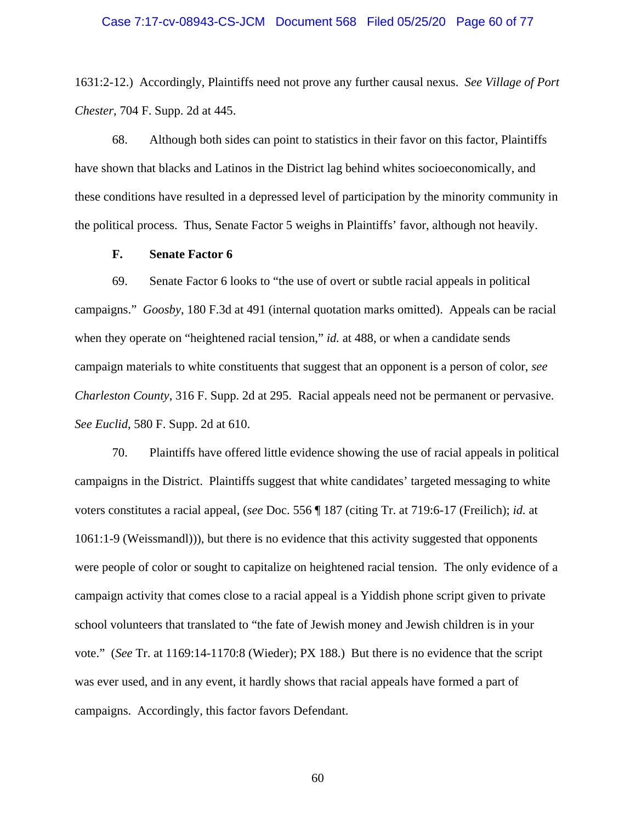#### Case 7:17-cv-08943-CS-JCM Document 568 Filed 05/25/20 Page 60 of 77

1631:2-12.) Accordingly, Plaintiffs need not prove any further causal nexus. *See Village of Port Chester*, 704 F. Supp. 2d at 445.

68. Although both sides can point to statistics in their favor on this factor, Plaintiffs have shown that blacks and Latinos in the District lag behind whites socioeconomically, and these conditions have resulted in a depressed level of participation by the minority community in the political process. Thus, Senate Factor 5 weighs in Plaintiffs' favor, although not heavily.

# **F. Senate Factor 6**

69. Senate Factor 6 looks to "the use of overt or subtle racial appeals in political campaigns." *Goosby*, 180 F.3d at 491 (internal quotation marks omitted). Appeals can be racial when they operate on "heightened racial tension," *id.* at 488, or when a candidate sends campaign materials to white constituents that suggest that an opponent is a person of color, *see Charleston County*, 316 F. Supp. 2d at 295. Racial appeals need not be permanent or pervasive. *See Euclid*, 580 F. Supp. 2d at 610.

70. Plaintiffs have offered little evidence showing the use of racial appeals in political campaigns in the District. Plaintiffs suggest that white candidates' targeted messaging to white voters constitutes a racial appeal, (*see* Doc. 556 ¶ 187 (citing Tr. at 719:6-17 (Freilich); *id.* at 1061:1-9 (Weissmandl))), but there is no evidence that this activity suggested that opponents were people of color or sought to capitalize on heightened racial tension. The only evidence of a campaign activity that comes close to a racial appeal is a Yiddish phone script given to private school volunteers that translated to "the fate of Jewish money and Jewish children is in your vote." (*See* Tr. at 1169:14-1170:8 (Wieder); PX 188.) But there is no evidence that the script was ever used, and in any event, it hardly shows that racial appeals have formed a part of campaigns. Accordingly, this factor favors Defendant.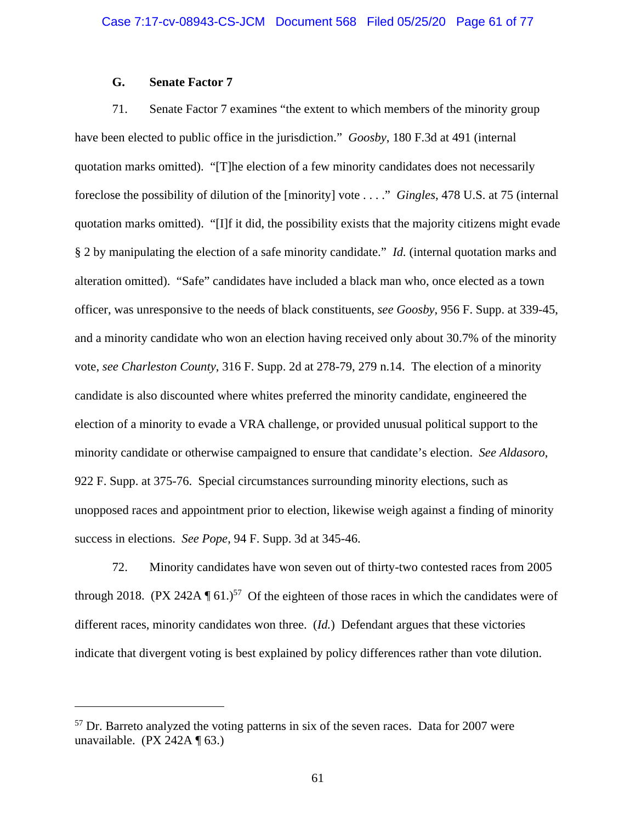# **G. Senate Factor 7**

71. Senate Factor 7 examines "the extent to which members of the minority group have been elected to public office in the jurisdiction." *Goosby*, 180 F.3d at 491 (internal quotation marks omitted). "[T]he election of a few minority candidates does not necessarily foreclose the possibility of dilution of the [minority] vote . . . ." *Gingles*, 478 U.S. at 75 (internal quotation marks omitted). "[I]f it did, the possibility exists that the majority citizens might evade § 2 by manipulating the election of a safe minority candidate." *Id.* (internal quotation marks and alteration omitted). "Safe" candidates have included a black man who, once elected as a town officer, was unresponsive to the needs of black constituents, *see Goosby*, 956 F. Supp. at 339-45, and a minority candidate who won an election having received only about 30.7% of the minority vote, *see Charleston County*, 316 F. Supp. 2d at 278-79, 279 n.14. The election of a minority candidate is also discounted where whites preferred the minority candidate, engineered the election of a minority to evade a VRA challenge, or provided unusual political support to the minority candidate or otherwise campaigned to ensure that candidate's election. *See Aldasoro*, 922 F. Supp. at 375-76. Special circumstances surrounding minority elections, such as unopposed races and appointment prior to election, likewise weigh against a finding of minority success in elections. *See Pope*, 94 F. Supp. 3d at 345-46.

72. Minority candidates have won seven out of thirty-two contested races from 2005 through 2018. (PX 242A  $\P$  61.)<sup>57</sup> Of the eighteen of those races in which the candidates were of different races, minority candidates won three. (*Id.*) Defendant argues that these victories indicate that divergent voting is best explained by policy differences rather than vote dilution.

 $57$  Dr. Barreto analyzed the voting patterns in six of the seven races. Data for 2007 were unavailable. (PX 242A  $\P$  63.)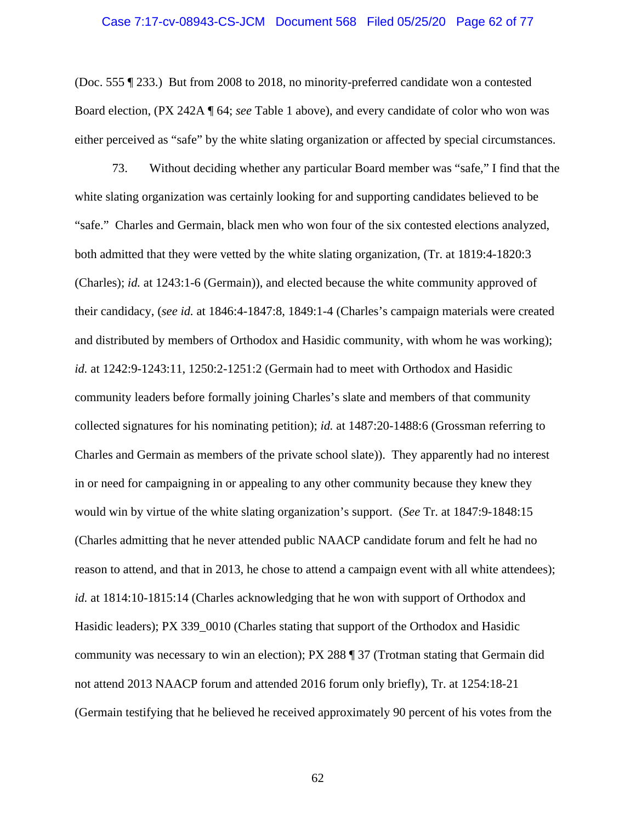#### Case 7:17-cv-08943-CS-JCM Document 568 Filed 05/25/20 Page 62 of 77

(Doc. 555 ¶ 233.) But from 2008 to 2018, no minority-preferred candidate won a contested Board election, (PX 242A ¶ 64; *see* Table 1 above), and every candidate of color who won was either perceived as "safe" by the white slating organization or affected by special circumstances.

73. Without deciding whether any particular Board member was "safe," I find that the white slating organization was certainly looking for and supporting candidates believed to be "safe." Charles and Germain, black men who won four of the six contested elections analyzed, both admitted that they were vetted by the white slating organization, (Tr. at 1819:4-1820:3 (Charles); *id.* at 1243:1-6 (Germain)), and elected because the white community approved of their candidacy, (*see id.* at 1846:4-1847:8, 1849:1-4 (Charles's campaign materials were created and distributed by members of Orthodox and Hasidic community, with whom he was working); *id.* at 1242:9-1243:11, 1250:2-1251:2 (Germain had to meet with Orthodox and Hasidic community leaders before formally joining Charles's slate and members of that community collected signatures for his nominating petition); *id.* at 1487:20-1488:6 (Grossman referring to Charles and Germain as members of the private school slate)). They apparently had no interest in or need for campaigning in or appealing to any other community because they knew they would win by virtue of the white slating organization's support. (*See* Tr. at 1847:9-1848:15 (Charles admitting that he never attended public NAACP candidate forum and felt he had no reason to attend, and that in 2013, he chose to attend a campaign event with all white attendees); *id.* at 1814:10-1815:14 (Charles acknowledging that he won with support of Orthodox and Hasidic leaders); PX 339\_0010 (Charles stating that support of the Orthodox and Hasidic community was necessary to win an election); PX 288 ¶ 37 (Trotman stating that Germain did not attend 2013 NAACP forum and attended 2016 forum only briefly), Tr. at 1254:18-21 (Germain testifying that he believed he received approximately 90 percent of his votes from the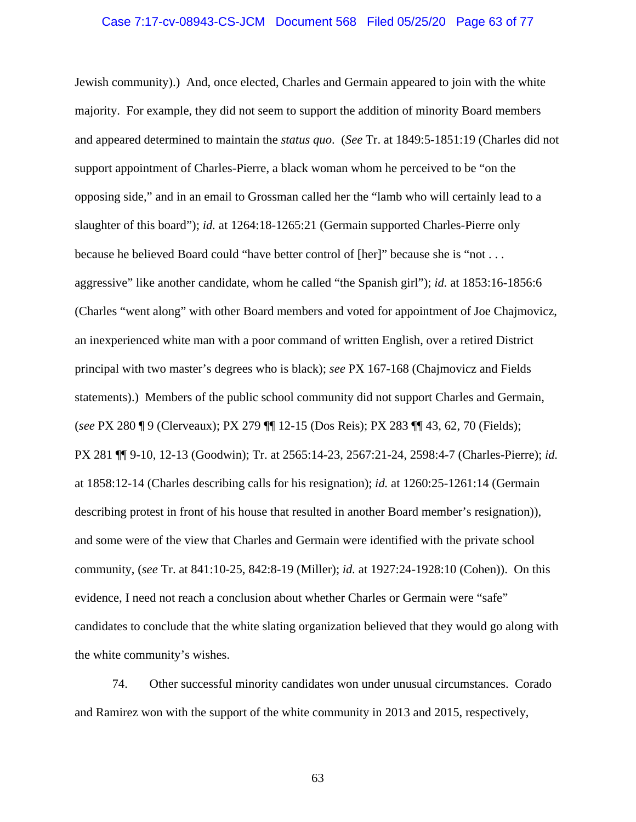#### Case 7:17-cv-08943-CS-JCM Document 568 Filed 05/25/20 Page 63 of 77

Jewish community).) And, once elected, Charles and Germain appeared to join with the white majority. For example, they did not seem to support the addition of minority Board members and appeared determined to maintain the *status quo*. (*See* Tr. at 1849:5-1851:19 (Charles did not support appointment of Charles-Pierre, a black woman whom he perceived to be "on the opposing side," and in an email to Grossman called her the "lamb who will certainly lead to a slaughter of this board"); *id.* at 1264:18-1265:21 (Germain supported Charles-Pierre only because he believed Board could "have better control of [her]" because she is "not . . . aggressive" like another candidate, whom he called "the Spanish girl"); *id.* at 1853:16-1856:6 (Charles "went along" with other Board members and voted for appointment of Joe Chajmovicz, an inexperienced white man with a poor command of written English, over a retired District principal with two master's degrees who is black); *see* PX 167-168 (Chajmovicz and Fields statements).) Members of the public school community did not support Charles and Germain, (*see* PX 280 ¶ 9 (Clerveaux); PX 279 ¶¶ 12-15 (Dos Reis); PX 283 ¶¶ 43, 62, 70 (Fields); PX 281 ¶¶ 9-10, 12-13 (Goodwin); Tr. at 2565:14-23, 2567:21-24, 2598:4-7 (Charles-Pierre); *id.* at 1858:12-14 (Charles describing calls for his resignation); *id.* at 1260:25-1261:14 (Germain describing protest in front of his house that resulted in another Board member's resignation)), and some were of the view that Charles and Germain were identified with the private school community, (*see* Tr. at 841:10-25, 842:8-19 (Miller); *id.* at 1927:24-1928:10 (Cohen)). On this evidence, I need not reach a conclusion about whether Charles or Germain were "safe" candidates to conclude that the white slating organization believed that they would go along with the white community's wishes.

74. Other successful minority candidates won under unusual circumstances. Corado and Ramirez won with the support of the white community in 2013 and 2015, respectively,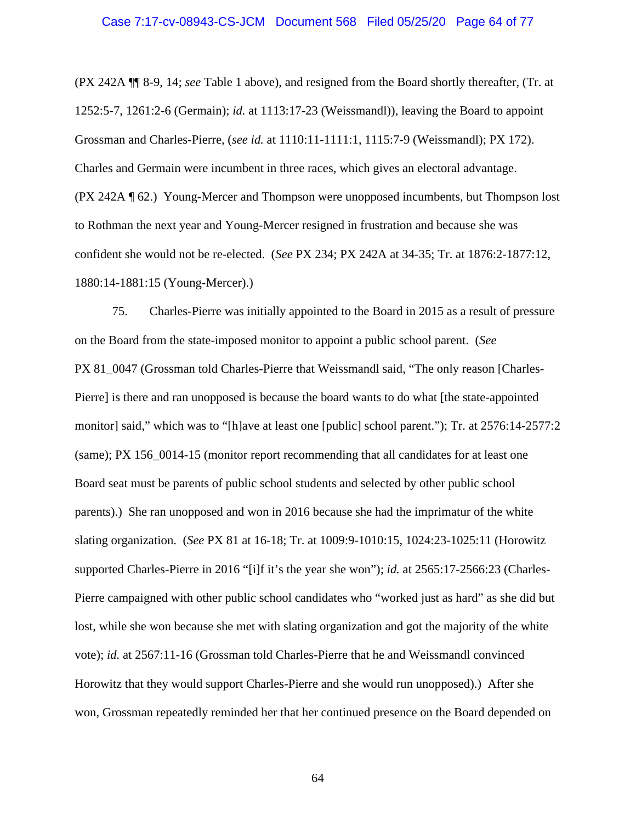#### Case 7:17-cv-08943-CS-JCM Document 568 Filed 05/25/20 Page 64 of 77

(PX 242A ¶¶ 8-9, 14; *see* Table 1 above), and resigned from the Board shortly thereafter, (Tr. at 1252:5-7, 1261:2-6 (Germain); *id.* at 1113:17-23 (Weissmandl)), leaving the Board to appoint Grossman and Charles-Pierre, (*see id.* at 1110:11-1111:1, 1115:7-9 (Weissmandl); PX 172). Charles and Germain were incumbent in three races, which gives an electoral advantage. (PX 242A ¶ 62.) Young-Mercer and Thompson were unopposed incumbents, but Thompson lost to Rothman the next year and Young-Mercer resigned in frustration and because she was confident she would not be re-elected. (*See* PX 234; PX 242A at 34-35; Tr. at 1876:2-1877:12, 1880:14-1881:15 (Young-Mercer).)

75. Charles-Pierre was initially appointed to the Board in 2015 as a result of pressure on the Board from the state-imposed monitor to appoint a public school parent. (*See* PX 81\_0047 (Grossman told Charles-Pierre that Weissmandl said, "The only reason [Charles-Pierre] is there and ran unopposed is because the board wants to do what [the state-appointed monitor] said," which was to "[h]ave at least one [public] school parent."); Tr. at 2576:14-2577:2 (same); PX 156\_0014-15 (monitor report recommending that all candidates for at least one Board seat must be parents of public school students and selected by other public school parents).) She ran unopposed and won in 2016 because she had the imprimatur of the white slating organization. (*See* PX 81 at 16-18; Tr. at 1009:9-1010:15, 1024:23-1025:11 (Horowitz supported Charles-Pierre in 2016 "[i]f it's the year she won"); *id.* at 2565:17-2566:23 (Charles-Pierre campaigned with other public school candidates who "worked just as hard" as she did but lost, while she won because she met with slating organization and got the majority of the white vote); *id.* at 2567:11-16 (Grossman told Charles-Pierre that he and Weissmandl convinced Horowitz that they would support Charles-Pierre and she would run unopposed).) After she won, Grossman repeatedly reminded her that her continued presence on the Board depended on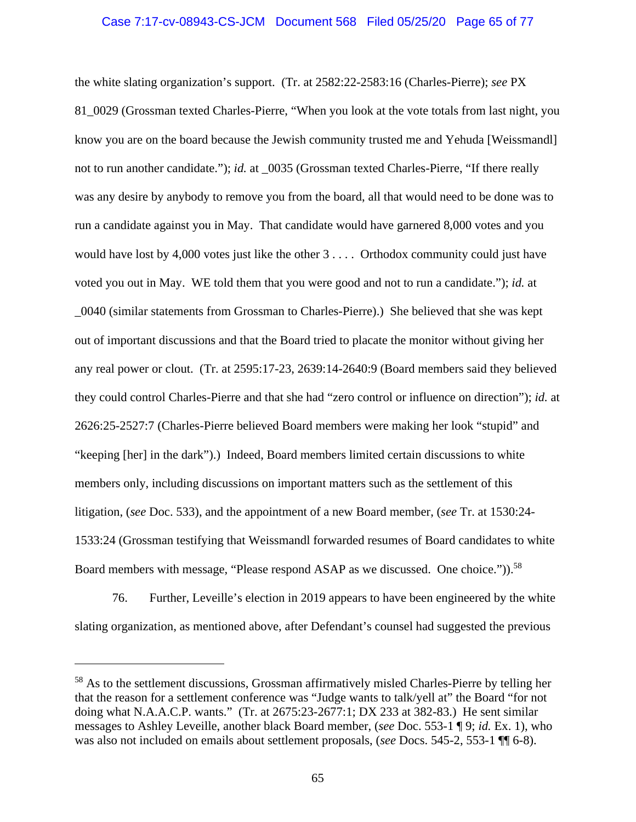# Case 7:17-cv-08943-CS-JCM Document 568 Filed 05/25/20 Page 65 of 77

the white slating organization's support. (Tr. at 2582:22-2583:16 (Charles-Pierre); *see* PX 81\_0029 (Grossman texted Charles-Pierre, "When you look at the vote totals from last night, you know you are on the board because the Jewish community trusted me and Yehuda [Weissmandl] not to run another candidate."); *id.* at \_0035 (Grossman texted Charles-Pierre, "If there really was any desire by anybody to remove you from the board, all that would need to be done was to run a candidate against you in May. That candidate would have garnered 8,000 votes and you would have lost by 4,000 votes just like the other 3 . . . . Orthodox community could just have voted you out in May. WE told them that you were good and not to run a candidate."); *id.* at \_0040 (similar statements from Grossman to Charles-Pierre).) She believed that she was kept out of important discussions and that the Board tried to placate the monitor without giving her any real power or clout. (Tr. at 2595:17-23, 2639:14-2640:9 (Board members said they believed they could control Charles-Pierre and that she had "zero control or influence on direction"); *id.* at 2626:25-2527:7 (Charles-Pierre believed Board members were making her look "stupid" and "keeping [her] in the dark").) Indeed, Board members limited certain discussions to white members only, including discussions on important matters such as the settlement of this litigation, (*see* Doc. 533), and the appointment of a new Board member, (*see* Tr. at 1530:24- 1533:24 (Grossman testifying that Weissmandl forwarded resumes of Board candidates to white Board members with message, "Please respond ASAP as we discussed. One choice.")).<sup>58</sup>

76. Further, Leveille's election in 2019 appears to have been engineered by the white slating organization, as mentioned above, after Defendant's counsel had suggested the previous

<sup>58</sup> As to the settlement discussions, Grossman affirmatively misled Charles-Pierre by telling her that the reason for a settlement conference was "Judge wants to talk/yell at" the Board "for not doing what N.A.A.C.P. wants." (Tr. at 2675:23-2677:1; DX 233 at 382-83.) He sent similar messages to Ashley Leveille, another black Board member, (*see* Doc. 553-1 ¶ 9; *id.* Ex. 1), who was also not included on emails about settlement proposals, (*see* Docs. 545-2, 553-1 ¶¶ 6-8).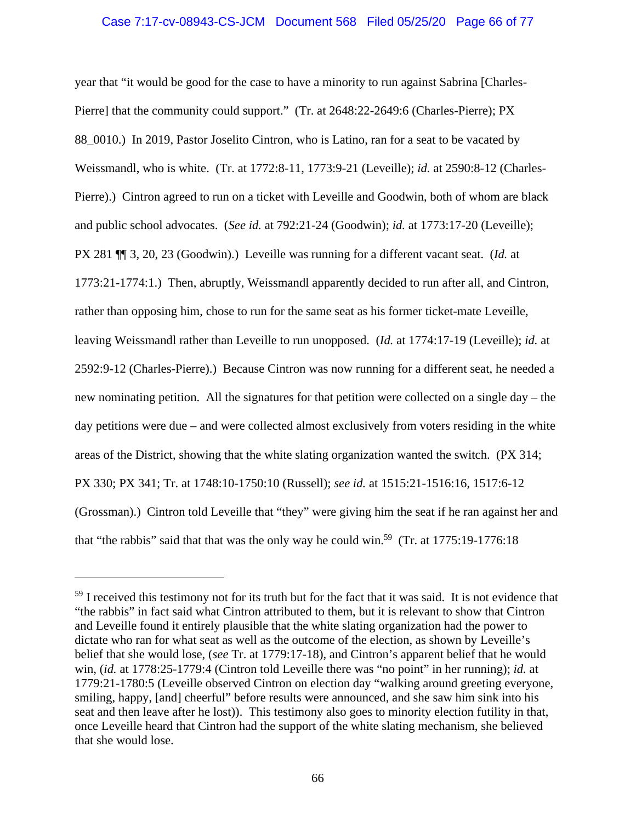# Case 7:17-cv-08943-CS-JCM Document 568 Filed 05/25/20 Page 66 of 77

year that "it would be good for the case to have a minority to run against Sabrina [Charles-Pierre] that the community could support." (Tr. at 2648:22-2649:6 (Charles-Pierre); PX 88\_0010.) In 2019, Pastor Joselito Cintron, who is Latino, ran for a seat to be vacated by Weissmandl, who is white. (Tr. at 1772:8-11, 1773:9-21 (Leveille); *id.* at 2590:8-12 (Charles-Pierre).) Cintron agreed to run on a ticket with Leveille and Goodwin, both of whom are black and public school advocates. (*See id.* at 792:21-24 (Goodwin); *id.* at 1773:17-20 (Leveille); PX 281 ¶¶ 3, 20, 23 (Goodwin).) Leveille was running for a different vacant seat. (*Id.* at 1773:21-1774:1.) Then, abruptly, Weissmandl apparently decided to run after all, and Cintron, rather than opposing him, chose to run for the same seat as his former ticket-mate Leveille, leaving Weissmandl rather than Leveille to run unopposed. (*Id.* at 1774:17-19 (Leveille); *id.* at 2592:9-12 (Charles-Pierre).) Because Cintron was now running for a different seat, he needed a new nominating petition. All the signatures for that petition were collected on a single day – the day petitions were due – and were collected almost exclusively from voters residing in the white areas of the District, showing that the white slating organization wanted the switch. (PX 314; PX 330; PX 341; Tr. at 1748:10-1750:10 (Russell); *see id.* at 1515:21-1516:16, 1517:6-12 (Grossman).) Cintron told Leveille that "they" were giving him the seat if he ran against her and that "the rabbis" said that that was the only way he could win.<sup>59</sup> (Tr. at 1775:19-1776:18)

<sup>&</sup>lt;sup>59</sup> I received this testimony not for its truth but for the fact that it was said. It is not evidence that "the rabbis" in fact said what Cintron attributed to them, but it is relevant to show that Cintron and Leveille found it entirely plausible that the white slating organization had the power to dictate who ran for what seat as well as the outcome of the election, as shown by Leveille's belief that she would lose, (*see* Tr. at 1779:17-18), and Cintron's apparent belief that he would win, (*id.* at 1778:25-1779:4 (Cintron told Leveille there was "no point" in her running); *id.* at 1779:21-1780:5 (Leveille observed Cintron on election day "walking around greeting everyone, smiling, happy, [and] cheerful" before results were announced, and she saw him sink into his seat and then leave after he lost)). This testimony also goes to minority election futility in that, once Leveille heard that Cintron had the support of the white slating mechanism, she believed that she would lose.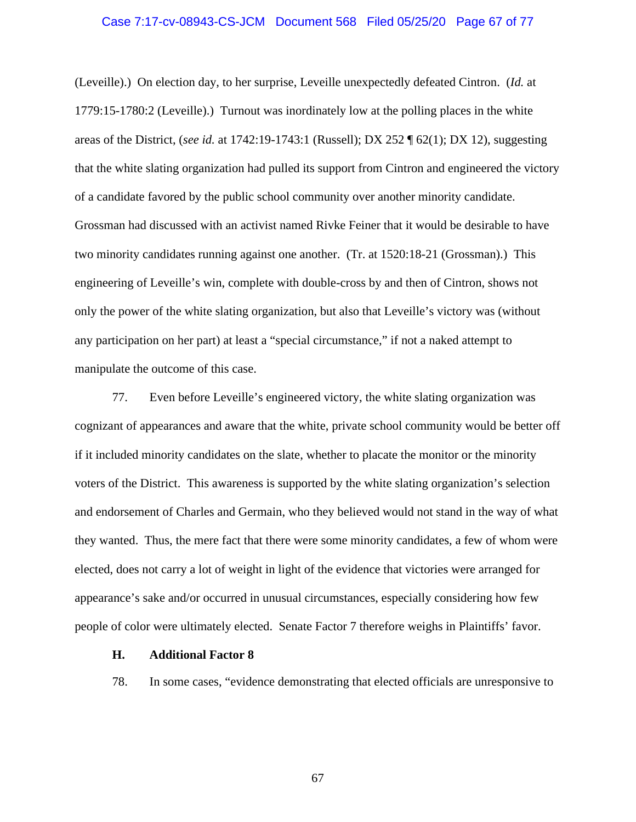#### Case 7:17-cv-08943-CS-JCM Document 568 Filed 05/25/20 Page 67 of 77

(Leveille).) On election day, to her surprise, Leveille unexpectedly defeated Cintron. (*Id.* at 1779:15-1780:2 (Leveille).) Turnout was inordinately low at the polling places in the white areas of the District, (*see id.* at 1742:19-1743:1 (Russell); DX 252 ¶ 62(1); DX 12), suggesting that the white slating organization had pulled its support from Cintron and engineered the victory of a candidate favored by the public school community over another minority candidate. Grossman had discussed with an activist named Rivke Feiner that it would be desirable to have two minority candidates running against one another. (Tr. at 1520:18-21 (Grossman).) This engineering of Leveille's win, complete with double-cross by and then of Cintron, shows not only the power of the white slating organization, but also that Leveille's victory was (without any participation on her part) at least a "special circumstance," if not a naked attempt to manipulate the outcome of this case.

77. Even before Leveille's engineered victory, the white slating organization was cognizant of appearances and aware that the white, private school community would be better off if it included minority candidates on the slate, whether to placate the monitor or the minority voters of the District. This awareness is supported by the white slating organization's selection and endorsement of Charles and Germain, who they believed would not stand in the way of what they wanted. Thus, the mere fact that there were some minority candidates, a few of whom were elected, does not carry a lot of weight in light of the evidence that victories were arranged for appearance's sake and/or occurred in unusual circumstances, especially considering how few people of color were ultimately elected. Senate Factor 7 therefore weighs in Plaintiffs' favor.

## **H. Additional Factor 8**

78. In some cases, "evidence demonstrating that elected officials are unresponsive to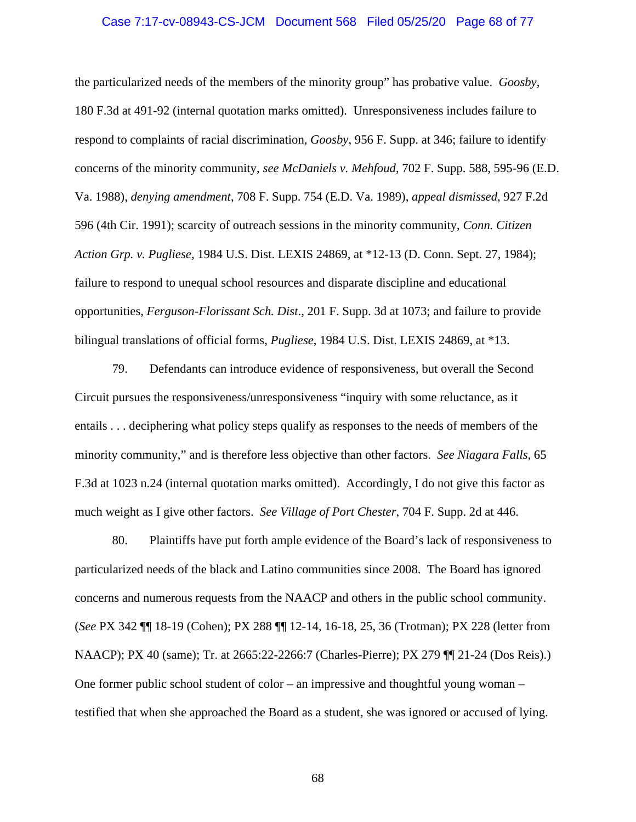#### Case 7:17-cv-08943-CS-JCM Document 568 Filed 05/25/20 Page 68 of 77

the particularized needs of the members of the minority group" has probative value. *Goosby*, 180 F.3d at 491-92 (internal quotation marks omitted). Unresponsiveness includes failure to respond to complaints of racial discrimination, *Goosby*, 956 F. Supp. at 346; failure to identify concerns of the minority community, *see McDaniels v. Mehfoud*, 702 F. Supp. 588, 595-96 (E.D. Va. 1988), *denying amendment*, 708 F. Supp. 754 (E.D. Va. 1989), *appeal dismissed*, 927 F.2d 596 (4th Cir. 1991); scarcity of outreach sessions in the minority community, *Conn. Citizen Action Grp. v. Pugliese*, 1984 U.S. Dist. LEXIS 24869, at \*12-13 (D. Conn. Sept. 27, 1984); failure to respond to unequal school resources and disparate discipline and educational opportunities, *Ferguson-Florissant Sch. Dist*., 201 F. Supp. 3d at 1073; and failure to provide bilingual translations of official forms, *Pugliese*, 1984 U.S. Dist. LEXIS 24869, at \*13.

79. Defendants can introduce evidence of responsiveness, but overall the Second Circuit pursues the responsiveness/unresponsiveness "inquiry with some reluctance, as it entails . . . deciphering what policy steps qualify as responses to the needs of members of the minority community," and is therefore less objective than other factors. *See Niagara Falls*, 65 F.3d at 1023 n.24 (internal quotation marks omitted). Accordingly, I do not give this factor as much weight as I give other factors. *See Village of Port Chester*, 704 F. Supp. 2d at 446.

80. Plaintiffs have put forth ample evidence of the Board's lack of responsiveness to particularized needs of the black and Latino communities since 2008. The Board has ignored concerns and numerous requests from the NAACP and others in the public school community. (*See* PX 342 ¶¶ 18-19 (Cohen); PX 288 ¶¶ 12-14, 16-18, 25, 36 (Trotman); PX 228 (letter from NAACP); PX 40 (same); Tr. at 2665:22-2266:7 (Charles-Pierre); PX 279 ¶¶ 21-24 (Dos Reis).) One former public school student of color – an impressive and thoughtful young woman – testified that when she approached the Board as a student, she was ignored or accused of lying.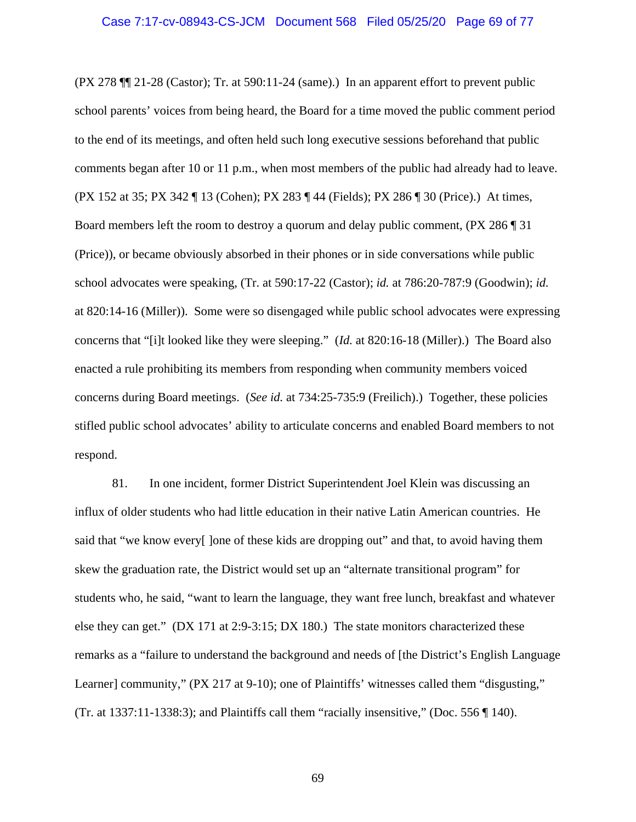(PX 278 ¶¶ 21-28 (Castor); Tr. at 590:11-24 (same).) In an apparent effort to prevent public school parents' voices from being heard, the Board for a time moved the public comment period to the end of its meetings, and often held such long executive sessions beforehand that public comments began after 10 or 11 p.m., when most members of the public had already had to leave. (PX 152 at 35; PX 342 ¶ 13 (Cohen); PX 283 ¶ 44 (Fields); PX 286 ¶ 30 (Price).) At times, Board members left the room to destroy a quorum and delay public comment, (PX 286 ¶ 31 (Price)), or became obviously absorbed in their phones or in side conversations while public school advocates were speaking, (Tr. at 590:17-22 (Castor); *id.* at 786:20-787:9 (Goodwin); *id.* at 820:14-16 (Miller)). Some were so disengaged while public school advocates were expressing concerns that "[i]t looked like they were sleeping." (*Id.* at 820:16-18 (Miller).) The Board also enacted a rule prohibiting its members from responding when community members voiced concerns during Board meetings. (*See id.* at 734:25-735:9 (Freilich).) Together, these policies stifled public school advocates' ability to articulate concerns and enabled Board members to not respond.

81. In one incident, former District Superintendent Joel Klein was discussing an influx of older students who had little education in their native Latin American countries. He said that "we know every<sup>[1]</sup> lone of these kids are dropping out" and that, to avoid having them skew the graduation rate, the District would set up an "alternate transitional program" for students who, he said, "want to learn the language, they want free lunch, breakfast and whatever else they can get." (DX 171 at 2:9-3:15; DX 180.) The state monitors characterized these remarks as a "failure to understand the background and needs of [the District's English Language Learner] community," (PX 217 at 9-10); one of Plaintiffs' witnesses called them "disgusting," (Tr. at 1337:11-1338:3); and Plaintiffs call them "racially insensitive," (Doc. 556 ¶ 140).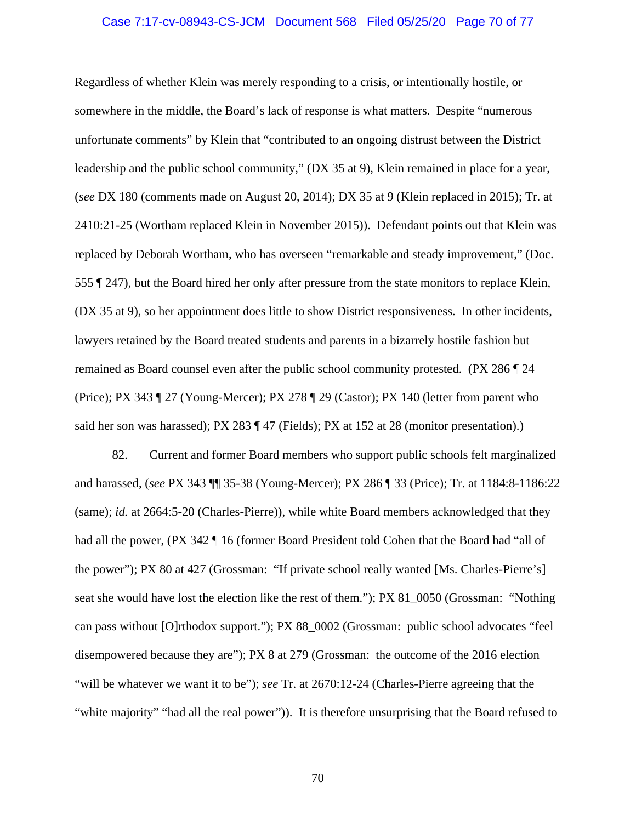#### Case 7:17-cv-08943-CS-JCM Document 568 Filed 05/25/20 Page 70 of 77

Regardless of whether Klein was merely responding to a crisis, or intentionally hostile, or somewhere in the middle, the Board's lack of response is what matters. Despite "numerous unfortunate comments" by Klein that "contributed to an ongoing distrust between the District leadership and the public school community," (DX 35 at 9), Klein remained in place for a year, (*see* DX 180 (comments made on August 20, 2014); DX 35 at 9 (Klein replaced in 2015); Tr. at 2410:21-25 (Wortham replaced Klein in November 2015)). Defendant points out that Klein was replaced by Deborah Wortham, who has overseen "remarkable and steady improvement," (Doc. 555 ¶ 247), but the Board hired her only after pressure from the state monitors to replace Klein, (DX 35 at 9), so her appointment does little to show District responsiveness. In other incidents, lawyers retained by the Board treated students and parents in a bizarrely hostile fashion but remained as Board counsel even after the public school community protested. (PX 286 ¶ 24 (Price); PX 343 ¶ 27 (Young-Mercer); PX 278 ¶ 29 (Castor); PX 140 (letter from parent who said her son was harassed); PX 283 ¶ 47 (Fields); PX at 152 at 28 (monitor presentation).)

82. Current and former Board members who support public schools felt marginalized and harassed, (*see* PX 343 ¶¶ 35-38 (Young-Mercer); PX 286 ¶ 33 (Price); Tr. at 1184:8-1186:22 (same); *id.* at 2664:5-20 (Charles-Pierre)), while white Board members acknowledged that they had all the power, (PX 342 \left 16 (former Board President told Cohen that the Board had "all of the power"); PX 80 at 427 (Grossman: "If private school really wanted [Ms. Charles-Pierre's] seat she would have lost the election like the rest of them."); PX 81\_0050 (Grossman: "Nothing can pass without [O]rthodox support."); PX 88\_0002 (Grossman: public school advocates "feel disempowered because they are"); PX 8 at 279 (Grossman: the outcome of the 2016 election "will be whatever we want it to be"); *see* Tr. at 2670:12-24 (Charles-Pierre agreeing that the "white majority" "had all the real power")). It is therefore unsurprising that the Board refused to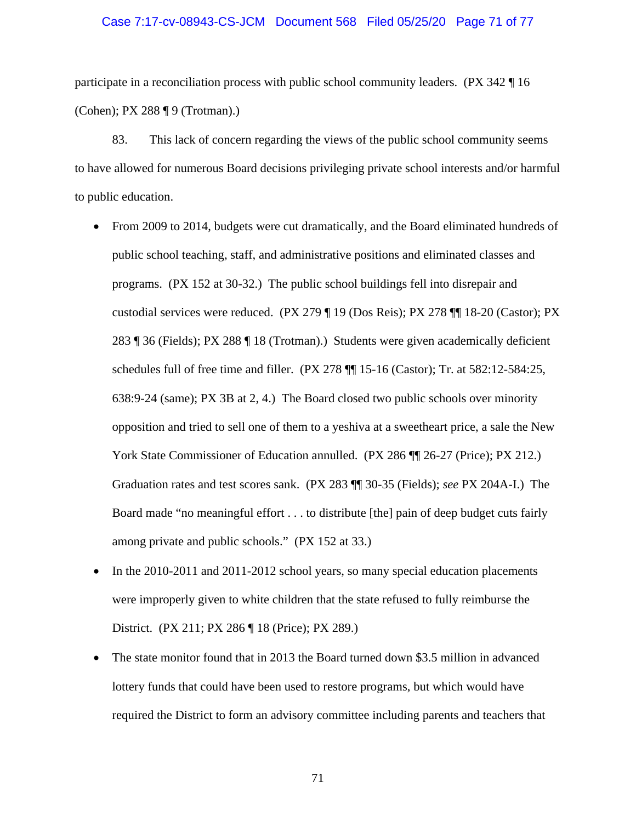#### Case 7:17-cv-08943-CS-JCM Document 568 Filed 05/25/20 Page 71 of 77

participate in a reconciliation process with public school community leaders. (PX 342 ¶ 16 (Cohen); PX 288 ¶ 9 (Trotman).)

83. This lack of concern regarding the views of the public school community seems to have allowed for numerous Board decisions privileging private school interests and/or harmful to public education.

- From 2009 to 2014, budgets were cut dramatically, and the Board eliminated hundreds of public school teaching, staff, and administrative positions and eliminated classes and programs. (PX 152 at 30-32.) The public school buildings fell into disrepair and custodial services were reduced. (PX 279 ¶ 19 (Dos Reis); PX 278 ¶¶ 18-20 (Castor); PX 283 ¶ 36 (Fields); PX 288 ¶ 18 (Trotman).) Students were given academically deficient schedules full of free time and filler. (PX 278 ¶¶ 15-16 (Castor); Tr. at 582:12-584:25, 638:9-24 (same); PX 3B at 2, 4.) The Board closed two public schools over minority opposition and tried to sell one of them to a yeshiva at a sweetheart price, a sale the New York State Commissioner of Education annulled. (PX 286  $\P$  26-27 (Price); PX 212.) Graduation rates and test scores sank. (PX 283 ¶¶ 30-35 (Fields); *see* PX 204A-I.) The Board made "no meaningful effort . . . to distribute [the] pain of deep budget cuts fairly among private and public schools." (PX 152 at 33.)
- In the 2010-2011 and 2011-2012 school years, so many special education placements were improperly given to white children that the state refused to fully reimburse the District. (PX 211; PX 286 ¶ 18 (Price); PX 289.)
- The state monitor found that in 2013 the Board turned down \$3.5 million in advanced lottery funds that could have been used to restore programs, but which would have required the District to form an advisory committee including parents and teachers that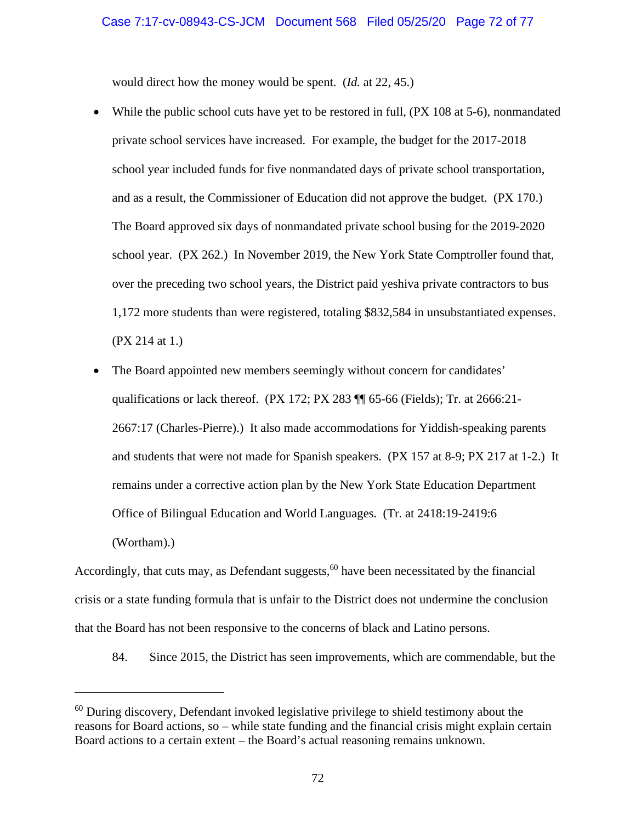would direct how the money would be spent. (*Id.* at 22, 45.)

- While the public school cuts have yet to be restored in full, (PX 108 at 5-6), nonmandated private school services have increased. For example, the budget for the 2017-2018 school year included funds for five nonmandated days of private school transportation, and as a result, the Commissioner of Education did not approve the budget. (PX 170.) The Board approved six days of nonmandated private school busing for the 2019-2020 school year. (PX 262.) In November 2019, the New York State Comptroller found that, over the preceding two school years, the District paid yeshiva private contractors to bus 1,172 more students than were registered, totaling \$832,584 in unsubstantiated expenses. (PX 214 at 1.)
- The Board appointed new members seemingly without concern for candidates' qualifications or lack thereof. (PX 172; PX 283 ¶¶ 65-66 (Fields); Tr. at 2666:21- 2667:17 (Charles-Pierre).) It also made accommodations for Yiddish-speaking parents and students that were not made for Spanish speakers. (PX 157 at 8-9; PX 217 at 1-2.) It remains under a corrective action plan by the New York State Education Department Office of Bilingual Education and World Languages. (Tr. at 2418:19-2419:6 (Wortham).)

Accordingly, that cuts may, as Defendant suggests,  $60$  have been necessitated by the financial crisis or a state funding formula that is unfair to the District does not undermine the conclusion that the Board has not been responsive to the concerns of black and Latino persons.

84. Since 2015, the District has seen improvements, which are commendable, but the

<sup>&</sup>lt;sup>60</sup> During discovery, Defendant invoked legislative privilege to shield testimony about the reasons for Board actions, so – while state funding and the financial crisis might explain certain Board actions to a certain extent – the Board's actual reasoning remains unknown.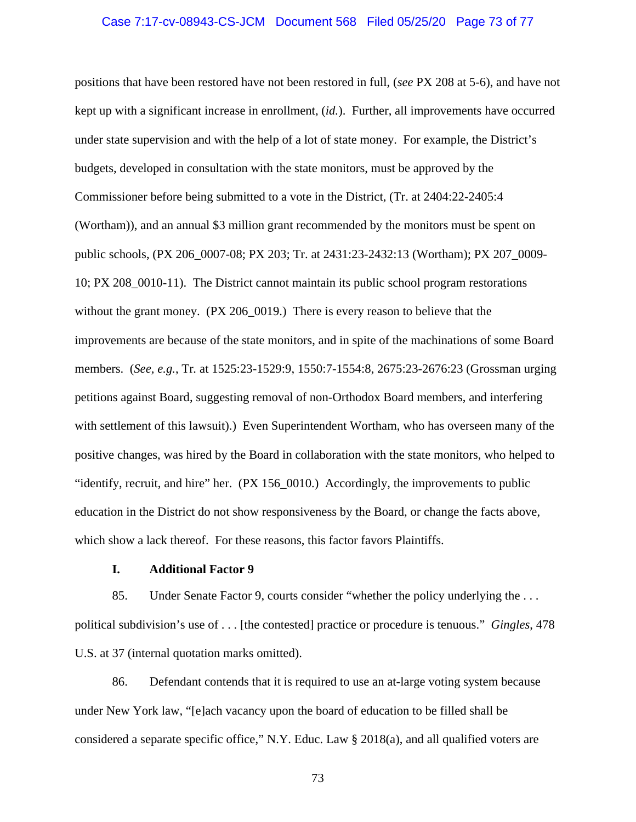## Case 7:17-cv-08943-CS-JCM Document 568 Filed 05/25/20 Page 73 of 77

positions that have been restored have not been restored in full, (*see* PX 208 at 5-6), and have not kept up with a significant increase in enrollment, (*id.*). Further, all improvements have occurred under state supervision and with the help of a lot of state money. For example, the District's budgets, developed in consultation with the state monitors, must be approved by the Commissioner before being submitted to a vote in the District, (Tr. at 2404:22-2405:4 (Wortham)), and an annual \$3 million grant recommended by the monitors must be spent on public schools, (PX 206\_0007-08; PX 203; Tr. at 2431:23-2432:13 (Wortham); PX 207\_0009- 10; PX 208\_0010-11). The District cannot maintain its public school program restorations without the grant money. (PX 206\_0019.) There is every reason to believe that the improvements are because of the state monitors, and in spite of the machinations of some Board members. (*See, e.g.*, Tr*.* at 1525:23-1529:9, 1550:7-1554:8, 2675:23-2676:23 (Grossman urging petitions against Board, suggesting removal of non-Orthodox Board members, and interfering with settlement of this lawsuit).) Even Superintendent Wortham, who has overseen many of the positive changes, was hired by the Board in collaboration with the state monitors, who helped to "identify, recruit, and hire" her. (PX 156\_0010.) Accordingly, the improvements to public education in the District do not show responsiveness by the Board, or change the facts above, which show a lack thereof. For these reasons, this factor favors Plaintiffs.

## **I. Additional Factor 9**

85. Under Senate Factor 9, courts consider "whether the policy underlying the . . . political subdivision's use of . . . [the contested] practice or procedure is tenuous." *Gingles*, 478 U.S. at 37 (internal quotation marks omitted).

86. Defendant contends that it is required to use an at-large voting system because under New York law, "[e]ach vacancy upon the board of education to be filled shall be considered a separate specific office," N.Y. Educ. Law § 2018(a), and all qualified voters are

73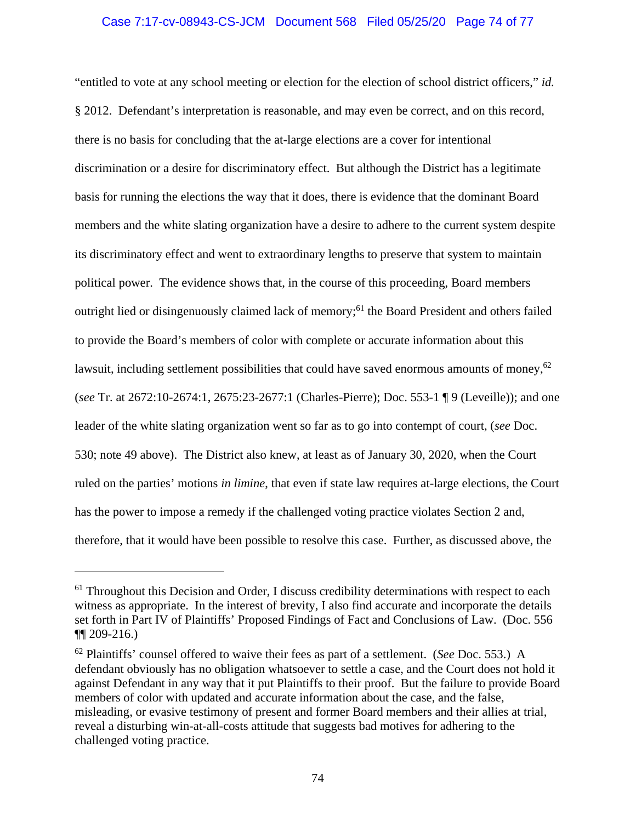# Case 7:17-cv-08943-CS-JCM Document 568 Filed 05/25/20 Page 74 of 77

"entitled to vote at any school meeting or election for the election of school district officers," *id.* § 2012. Defendant's interpretation is reasonable, and may even be correct, and on this record, there is no basis for concluding that the at-large elections are a cover for intentional discrimination or a desire for discriminatory effect. But although the District has a legitimate basis for running the elections the way that it does, there is evidence that the dominant Board members and the white slating organization have a desire to adhere to the current system despite its discriminatory effect and went to extraordinary lengths to preserve that system to maintain political power. The evidence shows that, in the course of this proceeding, Board members outright lied or disingenuously claimed lack of memory;<sup>61</sup> the Board President and others failed to provide the Board's members of color with complete or accurate information about this lawsuit, including settlement possibilities that could have saved enormous amounts of money, $62$ (*see* Tr. at 2672:10-2674:1, 2675:23-2677:1 (Charles-Pierre); Doc. 553-1 ¶ 9 (Leveille)); and one leader of the white slating organization went so far as to go into contempt of court, (*see* Doc. 530; note 49 above). The District also knew, at least as of January 30, 2020, when the Court ruled on the parties' motions *in limine*, that even if state law requires at-large elections, the Court has the power to impose a remedy if the challenged voting practice violates Section 2 and, therefore, that it would have been possible to resolve this case. Further, as discussed above, the

 $61$  Throughout this Decision and Order, I discuss credibility determinations with respect to each witness as appropriate. In the interest of brevity, I also find accurate and incorporate the details set forth in Part IV of Plaintiffs' Proposed Findings of Fact and Conclusions of Law. (Doc. 556 ¶¶ 209-216.)

<sup>62</sup> Plaintiffs' counsel offered to waive their fees as part of a settlement. (*See* Doc. 553.) A defendant obviously has no obligation whatsoever to settle a case, and the Court does not hold it against Defendant in any way that it put Plaintiffs to their proof. But the failure to provide Board members of color with updated and accurate information about the case, and the false, misleading, or evasive testimony of present and former Board members and their allies at trial, reveal a disturbing win-at-all-costs attitude that suggests bad motives for adhering to the challenged voting practice.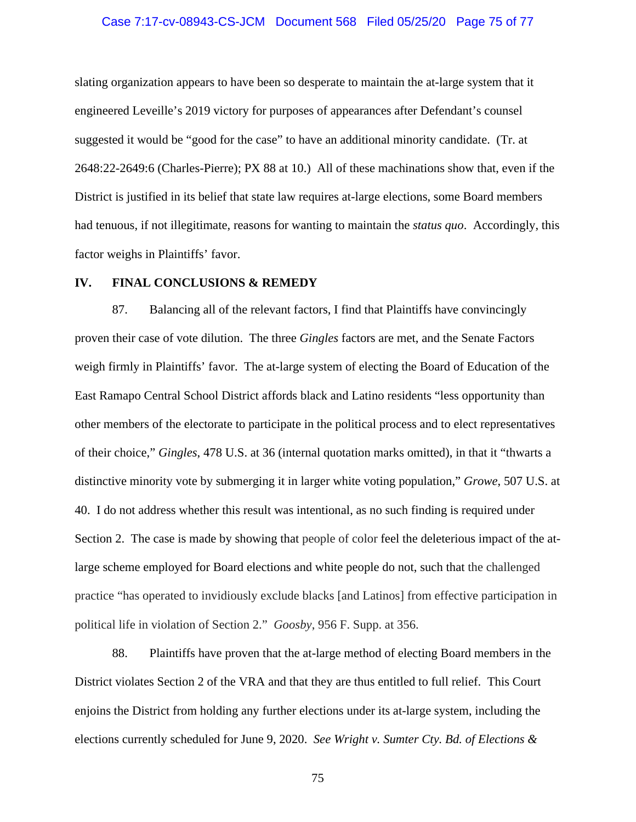## Case 7:17-cv-08943-CS-JCM Document 568 Filed 05/25/20 Page 75 of 77

slating organization appears to have been so desperate to maintain the at-large system that it engineered Leveille's 2019 victory for purposes of appearances after Defendant's counsel suggested it would be "good for the case" to have an additional minority candidate. (Tr. at 2648:22-2649:6 (Charles-Pierre); PX 88 at 10.) All of these machinations show that, even if the District is justified in its belief that state law requires at-large elections, some Board members had tenuous, if not illegitimate, reasons for wanting to maintain the *status quo*. Accordingly, this factor weighs in Plaintiffs' favor.

#### **IV. FINAL CONCLUSIONS & REMEDY**

87. Balancing all of the relevant factors, I find that Plaintiffs have convincingly proven their case of vote dilution. The three *Gingles* factors are met, and the Senate Factors weigh firmly in Plaintiffs' favor. The at-large system of electing the Board of Education of the East Ramapo Central School District affords black and Latino residents "less opportunity than other members of the electorate to participate in the political process and to elect representatives of their choice," *Gingles*, 478 U.S. at 36 (internal quotation marks omitted), in that it "thwarts a distinctive minority vote by submerging it in larger white voting population," *Growe*, 507 U.S. at 40. I do not address whether this result was intentional, as no such finding is required under Section 2. The case is made by showing that people of color feel the deleterious impact of the atlarge scheme employed for Board elections and white people do not, such that the challenged practice "has operated to invidiously exclude blacks [and Latinos] from effective participation in political life in violation of Section 2." *Goosby*, 956 F. Supp. at 356.

88. Plaintiffs have proven that the at-large method of electing Board members in the District violates Section 2 of the VRA and that they are thus entitled to full relief. This Court enjoins the District from holding any further elections under its at-large system, including the elections currently scheduled for June 9, 2020. *See Wright v. Sumter Cty. Bd. of Elections &* 

75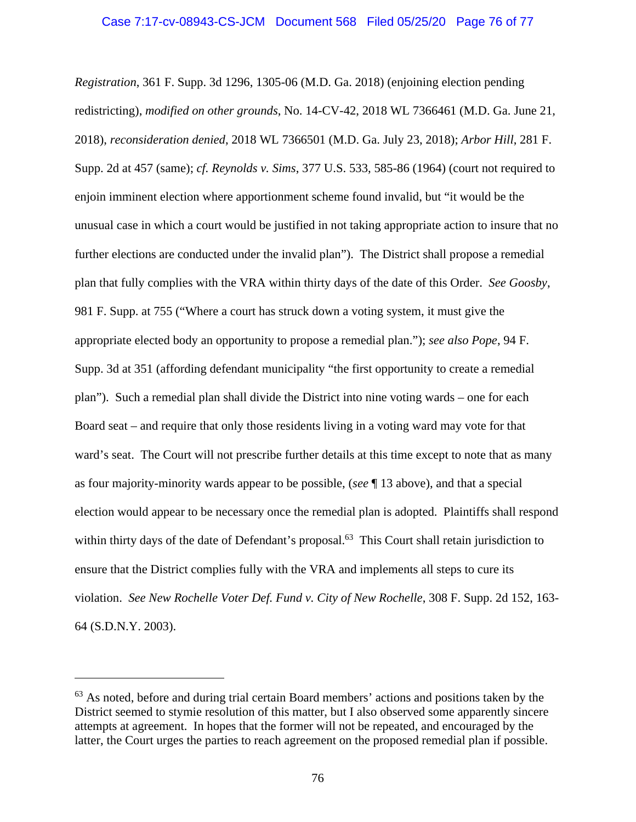*Registration*, 361 F. Supp. 3d 1296, 1305-06 (M.D. Ga. 2018) (enjoining election pending redistricting), *modified on other grounds*, No. 14-CV-42, 2018 WL 7366461 (M.D. Ga. June 21, 2018), *reconsideration denied*, 2018 WL 7366501 (M.D. Ga. July 23, 2018); *Arbor Hill*, 281 F. Supp. 2d at 457 (same); *cf. Reynolds v. Sims*, 377 U.S. 533, 585-86 (1964) (court not required to enjoin imminent election where apportionment scheme found invalid, but "it would be the unusual case in which a court would be justified in not taking appropriate action to insure that no further elections are conducted under the invalid plan"). The District shall propose a remedial plan that fully complies with the VRA within thirty days of the date of this Order. *See Goosby*, 981 F. Supp. at 755 ("Where a court has struck down a voting system, it must give the appropriate elected body an opportunity to propose a remedial plan."); *see also Pope*, 94 F. Supp. 3d at 351 (affording defendant municipality "the first opportunity to create a remedial plan"). Such a remedial plan shall divide the District into nine voting wards – one for each Board seat – and require that only those residents living in a voting ward may vote for that ward's seat. The Court will not prescribe further details at this time except to note that as many as four majority-minority wards appear to be possible, (*see* ¶ 13 above), and that a special election would appear to be necessary once the remedial plan is adopted. Plaintiffs shall respond within thirty days of the date of Defendant's proposal.<sup>63</sup> This Court shall retain jurisdiction to ensure that the District complies fully with the VRA and implements all steps to cure its violation. *See New Rochelle Voter Def. Fund v. City of New Rochelle*, 308 F. Supp. 2d 152, 163- 64 (S.D.N.Y. 2003).

 $63$  As noted, before and during trial certain Board members' actions and positions taken by the District seemed to stymie resolution of this matter, but I also observed some apparently sincere attempts at agreement. In hopes that the former will not be repeated, and encouraged by the latter, the Court urges the parties to reach agreement on the proposed remedial plan if possible.